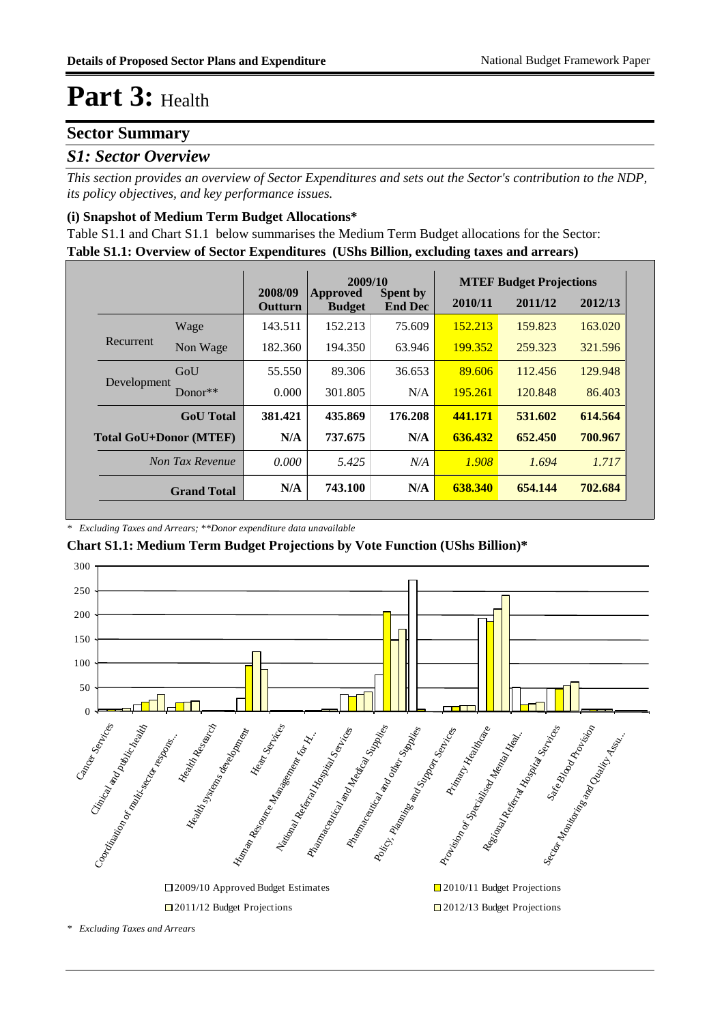### **Sector Summary**

#### *S1: Sector Overview*

*This section provides an overview of Sector Expenditures and sets out the Sector's contribution to the NDP, its policy objectives, and key performance issues.* 

#### **(i) Snapshot of Medium Term Budget Allocations\***

**Table S1.1: Overview of Sector Expenditures (UShs Billion, excluding taxes and arrears)** Table S1.1 and Chart S1.1 below summarises the Medium Term Budget allocations for the Sector:

|                               |                    |                           | 2009/10                   |                                   | <b>MTEF Budget Projections</b> |         |         |
|-------------------------------|--------------------|---------------------------|---------------------------|-----------------------------------|--------------------------------|---------|---------|
|                               |                    | 2008/09<br><b>Outturn</b> | Approved<br><b>Budget</b> | <b>Spent by</b><br><b>End Dec</b> | 2010/11                        | 2011/12 | 2012/13 |
|                               | Wage               | 143.511                   | 152.213                   | 75.609                            | 152.213                        | 159.823 | 163.020 |
| Recurrent                     | Non Wage           | 182.360                   | 194.350                   | 63.946                            | 199.352                        | 259.323 | 321.596 |
| Development                   | GoU                | 55.550                    | 89.306                    | 36.653                            | 89.606                         | 112.456 | 129.948 |
|                               | $Donor**$          | 0.000                     | 301.805                   | N/A                               | 195.261                        | 120.848 | 86.403  |
|                               | <b>GoU</b> Total   | 381.421                   | 435.869                   | 176.208                           | 441.171                        | 531.602 | 614.564 |
| <b>Total GoU+Donor (MTEF)</b> |                    | N/A                       | 737.675                   | N/A                               | 636.432                        | 652.450 | 700.967 |
|                               | Non Tax Revenue    | 0.000                     | 5.425                     | N/A                               | 1.908                          | 1.694   | 1.717   |
|                               | <b>Grand Total</b> | N/A                       | 743.100                   | N/A                               | 638.340                        | 654.144 | 702.684 |

*\* Excluding Taxes and Arrears; \*\*Donor expenditure data unavailable*

**Chart S1.1: Medium Term Budget Projections by Vote Function (UShs Billion)\***



*\* Excluding Taxes and Arrears*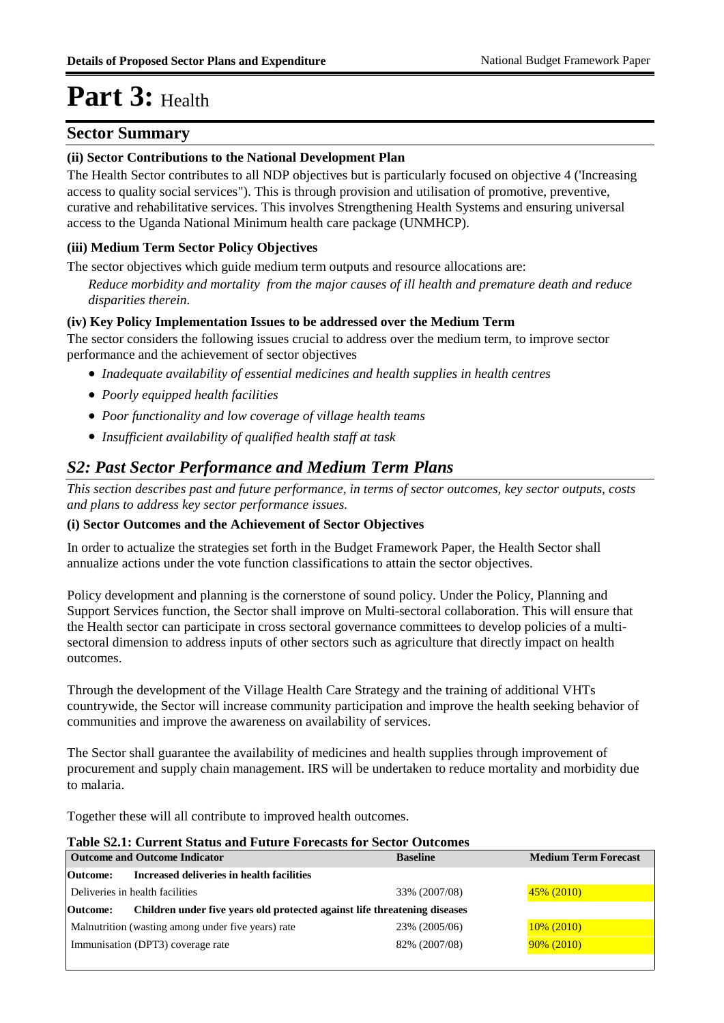#### **Sector Summary**

#### **(ii) Sector Contributions to the National Development Plan**

The Health Sector contributes to all NDP objectives but is particularly focused on objective 4 ('Increasing access to quality social services"). This is through provision and utilisation of promotive, preventive, curative and rehabilitative services. This involves Strengthening Health Systems and ensuring universal access to the Uganda National Minimum health care package (UNMHCP).

#### **(iii) Medium Term Sector Policy Objectives**

The sector objectives which guide medium term outputs and resource allocations are:

*Reduce morbidity and mortality from the major causes of ill health and premature death and reduce disparities therein.*

#### **(iv) Key Policy Implementation Issues to be addressed over the Medium Term**

The sector considers the following issues crucial to address over the medium term, to improve sector performance and the achievement of sector objectives

- *Inadequate availability of essential medicines and health supplies in health centres*
- *Poorly equipped health facilities*
- *Poor functionality and low coverage of village health teams*
- *Insufficient availability of qualified health staff at task*

### *S2: Past Sector Performance and Medium Term Plans*

*This section describes past and future performance, in terms of sector outcomes, key sector outputs, costs and plans to address key sector performance issues.* 

#### **(i) Sector Outcomes and the Achievement of Sector Objectives**

In order to actualize the strategies set forth in the Budget Framework Paper, the Health Sector shall annualize actions under the vote function classifications to attain the sector objectives.

Policy development and planning is the cornerstone of sound policy. Under the Policy, Planning and Support Services function, the Sector shall improve on Multi-sectoral collaboration. This will ensure that the Health sector can participate in cross sectoral governance committees to develop policies of a multisectoral dimension to address inputs of other sectors such as agriculture that directly impact on health outcomes.

Through the development of the Village Health Care Strategy and the training of additional VHTs countrywide, the Sector will increase community participation and improve the health seeking behavior of communities and improve the awareness on availability of services.

The Sector shall guarantee the availability of medicines and health supplies through improvement of procurement and supply chain management. IRS will be undertaken to reduce mortality and morbidity due to malaria.

Together these will all contribute to improved health outcomes.

#### **Table S2.1: Current Status and Future Forecasts for Sector Outcomes**

| <b>Outcome and Outcome Indicator</b> |                                                                           | <b>Baseline</b> | <b>Medium Term Forecast</b> |  |
|--------------------------------------|---------------------------------------------------------------------------|-----------------|-----------------------------|--|
| Outcome:                             | Increased deliveries in health facilities                                 |                 |                             |  |
| Deliveries in health facilities      |                                                                           | 33% (2007/08)   | 45% (2010)                  |  |
| Outcome:                             | Children under five years old protected against life threatening diseases |                 |                             |  |
|                                      | Malnutrition (wasting among under five years) rate                        | 23% (2005/06)   | $10\%$ (2010)               |  |
| Immunisation (DPT3) coverage rate    |                                                                           | 82% (2007/08)   | $90\% (2010)$               |  |
|                                      |                                                                           |                 |                             |  |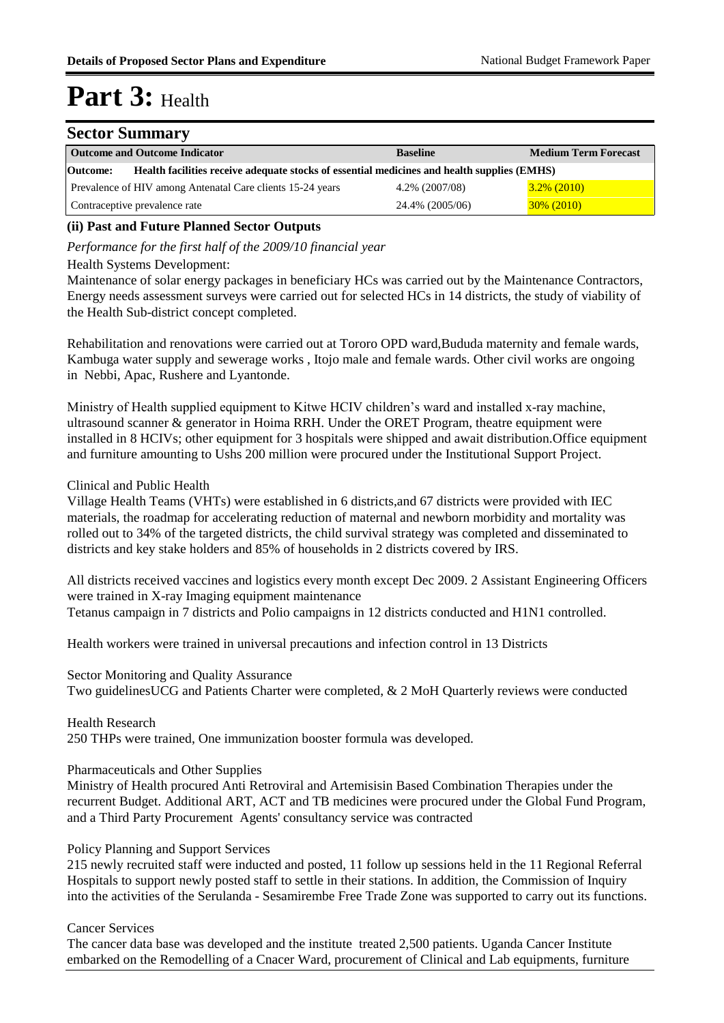#### **Sector Summary**

| <b>Outcome and Outcome Indicator</b>                                                                    | <b>Baseline</b> | <b>Medium Term Forecast</b> |  |  |  |  |
|---------------------------------------------------------------------------------------------------------|-----------------|-----------------------------|--|--|--|--|
| Health facilities receive adequate stocks of essential medicines and health supplies (EMHS)<br>Outcome: |                 |                             |  |  |  |  |
| Prevalence of HIV among Antenatal Care clients 15-24 years                                              | 4.2% (2007/08)  | $3.2\%$ (2010)              |  |  |  |  |
| Contraceptive prevalence rate                                                                           | 24.4% (2005/06) | $30\% (2010)$               |  |  |  |  |

#### **(ii) Past and Future Planned Sector Outputs**

*Performance for the first half of the 2009/10 financial year*

#### Health Systems Development:

Maintenance of solar energy packages in beneficiary HCs was carried out by the Maintenance Contractors, Energy needs assessment surveys were carried out for selected HCs in 14 districts, the study of viability of the Health Sub-district concept completed.

Rehabilitation and renovations were carried out at Tororo OPD ward,Bududa maternity and female wards, Kambuga water supply and sewerage works , Itojo male and female wards. Other civil works are ongoing in Nebbi, Apac, Rushere and Lyantonde.

Ministry of Health supplied equipment to Kitwe HCIV children's ward and installed x-ray machine, ultrasound scanner & generator in Hoima RRH. Under the ORET Program, theatre equipment were installed in 8 HCIVs; other equipment for 3 hospitals were shipped and await distribution.Office equipment and furniture amounting to Ushs 200 million were procured under the Institutional Support Project.

#### Clinical and Public Health

Village Health Teams (VHTs) were established in 6 districts,and 67 districts were provided with IEC materials, the roadmap for accelerating reduction of maternal and newborn morbidity and mortality was rolled out to 34% of the targeted districts, the child survival strategy was completed and disseminated to districts and key stake holders and 85% of households in 2 districts covered by IRS.

All districts received vaccines and logistics every month except Dec 2009. 2 Assistant Engineering Officers were trained in X-ray Imaging equipment maintenance Tetanus campaign in 7 districts and Polio campaigns in 12 districts conducted and H1N1 controlled.

Health workers were trained in universal precautions and infection control in 13 Districts

Sector Monitoring and Quality Assurance Two guidelinesUCG and Patients Charter were completed, & 2 MoH Quarterly reviews were conducted

Health Research 250 THPs were trained, One immunization booster formula was developed.

#### Pharmaceuticals and Other Supplies

Ministry of Health procured Anti Retroviral and Artemisisin Based Combination Therapies under the recurrent Budget. Additional ART, ACT and TB medicines were procured under the Global Fund Program, and a Third Party Procurement Agents' consultancy service was contracted

#### Policy Planning and Support Services

215 newly recruited staff were inducted and posted, 11 follow up sessions held in the 11 Regional Referral Hospitals to support newly posted staff to settle in their stations. In addition, the Commission of Inquiry into the activities of the Serulanda - Sesamirembe Free Trade Zone was supported to carry out its functions.

#### Cancer Services

The cancer data base was developed and the institute treated 2,500 patients. Uganda Cancer Institute embarked on the Remodelling of a Cnacer Ward, procurement of Clinical and Lab equipments, furniture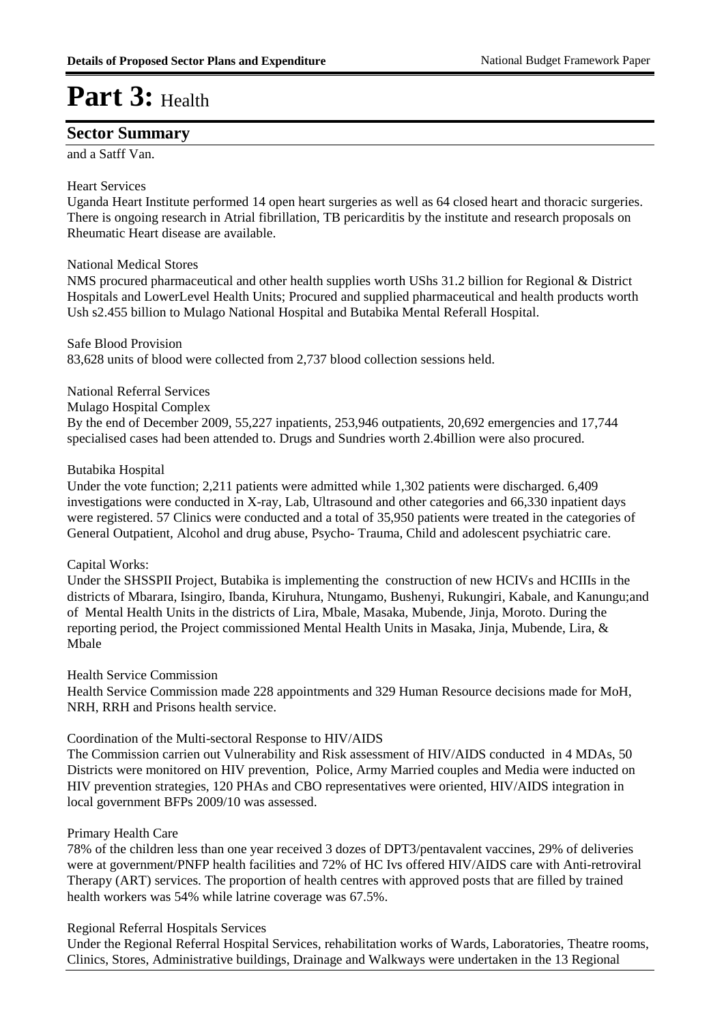### **Sector Summary**

and a Satff Van.

#### Heart Services

Uganda Heart Institute performed 14 open heart surgeries as well as 64 closed heart and thoracic surgeries. There is ongoing research in Atrial fibrillation, TB pericarditis by the institute and research proposals on Rheumatic Heart disease are available.

#### National Medical Stores

NMS procured pharmaceutical and other health supplies worth UShs 31.2 billion for Regional & District Hospitals and LowerLevel Health Units; Procured and supplied pharmaceutical and health products worth Ush s2.455 billion to Mulago National Hospital and Butabika Mental Referall Hospital.

Safe Blood Provision 83,628 units of blood were collected from 2,737 blood collection sessions held.

#### National Referral Services

Mulago Hospital Complex

By the end of December 2009, 55,227 inpatients, 253,946 outpatients, 20,692 emergencies and 17,744 specialised cases had been attended to. Drugs and Sundries worth 2.4billion were also procured.

#### Butabika Hospital

Under the vote function; 2,211 patients were admitted while 1,302 patients were discharged. 6,409 investigations were conducted in X-ray, Lab, Ultrasound and other categories and 66,330 inpatient days were registered. 57 Clinics were conducted and a total of 35,950 patients were treated in the categories of General Outpatient, Alcohol and drug abuse, Psycho- Trauma, Child and adolescent psychiatric care.

#### Capital Works:

Under the SHSSPII Project, Butabika is implementing the construction of new HCIVs and HCIIIs in the districts of Mbarara, Isingiro, Ibanda, Kiruhura, Ntungamo, Bushenyi, Rukungiri, Kabale, and Kanungu;and of Mental Health Units in the districts of Lira, Mbale, Masaka, Mubende, Jinja, Moroto. During the reporting period, the Project commissioned Mental Health Units in Masaka, Jinja, Mubende, Lira, & Mbale

#### Health Service Commission

Health Service Commission made 228 appointments and 329 Human Resource decisions made for MoH, NRH, RRH and Prisons health service.

#### Coordination of the Multi-sectoral Response to HIV/AIDS

The Commission carrien out Vulnerability and Risk assessment of HIV/AIDS conducted in 4 MDAs, 50 Districts were monitored on HIV prevention, Police, Army Married couples and Media were inducted on HIV prevention strategies, 120 PHAs and CBO representatives were oriented, HIV/AIDS integration in local government BFPs 2009/10 was assessed.

#### Primary Health Care

78% of the children less than one year received 3 dozes of DPT3/pentavalent vaccines, 29% of deliveries were at government/PNFP health facilities and 72% of HC Ivs offered HIV/AIDS care with Anti-retroviral Therapy (ART) services. The proportion of health centres with approved posts that are filled by trained health workers was 54% while latrine coverage was 67.5%.

#### Regional Referral Hospitals Services

Under the Regional Referral Hospital Services, rehabilitation works of Wards, Laboratories, Theatre rooms, Clinics, Stores, Administrative buildings, Drainage and Walkways were undertaken in the 13 Regional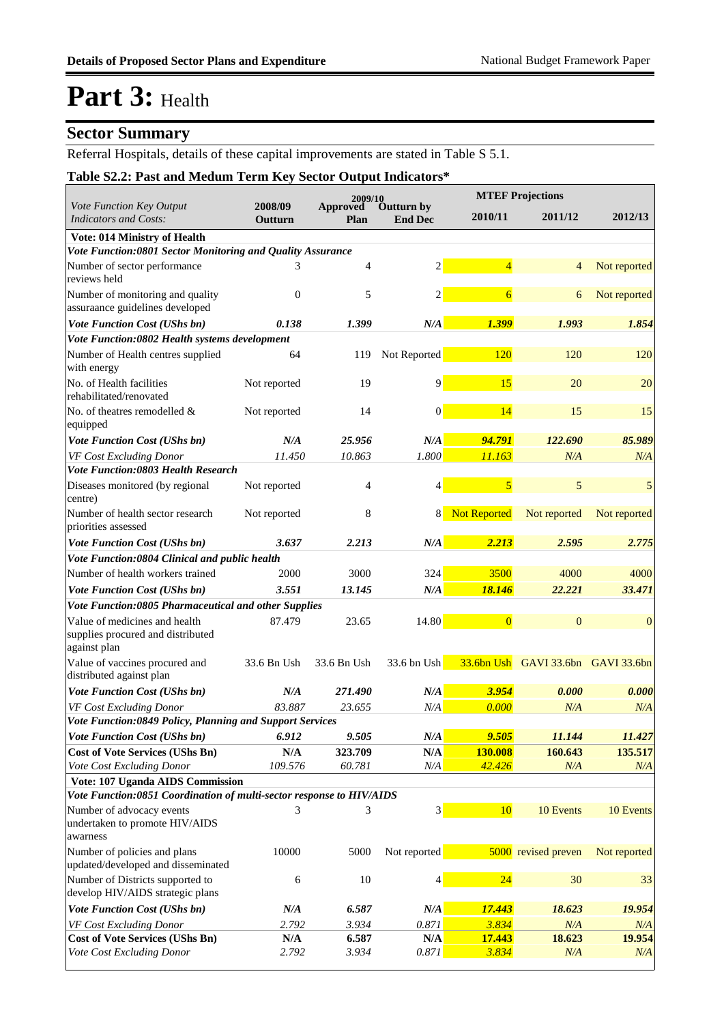### **Sector Summary**

Referral Hospitals, details of these capital improvements are stated in Table S 5.1.

### **Table S2.2: Past and Medum Term Key Sector Output Indicators\***

|                                                                                    |                         | 2009/10          |                                     |                | <b>MTEF Projections</b> |              |
|------------------------------------------------------------------------------------|-------------------------|------------------|-------------------------------------|----------------|-------------------------|--------------|
| Vote Function Key Output<br><b>Indicators and Costs:</b>                           | 2008/09<br>Outturn      | Approved<br>Plan | <b>Outturn by</b><br><b>End Dec</b> | 2010/11        | 2011/12                 | 2012/13      |
| Vote: 014 Ministry of Health                                                       |                         |                  |                                     |                |                         |              |
| Vote Function:0801 Sector Monitoring and Quality Assurance                         |                         |                  |                                     |                |                         |              |
| Number of sector performance<br>reviews held                                       | 3                       | $\overline{4}$   | $\overline{2}$                      | $\overline{4}$ | $\overline{4}$          | Not reported |
| Number of monitoring and quality<br>assuraance guidelines developed                | $\overline{0}$          | 5                | 2                                   | $\overline{6}$ | 6                       | Not reported |
| Vote Function Cost (UShs bn)                                                       | 0.138                   | 1.399            | N/A                                 | 1.399          | 1.993                   | 1.854        |
| Vote Function:0802 Health systems development                                      |                         |                  |                                     |                |                         |              |
| Number of Health centres supplied<br>with energy                                   | 64                      | 119              | Not Reported                        | 120            | 120                     | 120          |
| No. of Health facilities<br>rehabilitated/renovated                                | Not reported            | 19               | 9                                   | 15             | 20                      | 20           |
| No. of theatres remodelled &<br>equipped                                           | Not reported            | 14               | $\boldsymbol{0}$                    | 14             | 15                      | 15           |
| <b>Vote Function Cost (UShs bn)</b>                                                | N/A                     | 25.956           | N/A                                 | 94.791         | 122.690                 | 85.989       |
| VF Cost Excluding Donor                                                            | 11.450                  | 10.863           | 1.800                               | 11.163         | N/A                     | N/A          |
| <b>Vote Function:0803 Health Research</b>                                          |                         |                  |                                     |                |                         |              |
| Diseases monitored (by regional<br>centre)                                         | Not reported            | 4                | 4                                   | 5              | 5                       | 5            |
| Number of health sector research<br>priorities assessed                            | Not reported            | 8                | 8                                   | Not Reported   | Not reported            | Not reported |
| <b>Vote Function Cost (UShs bn)</b>                                                | 3.637                   | 2.213            | N/A                                 | 2.213          | 2.595                   | 2.775        |
| Vote Function:0804 Clinical and public health                                      |                         |                  |                                     |                |                         |              |
| Number of health workers trained                                                   | 2000                    | 3000             | 324                                 | 3500           | 4000                    | 4000         |
| <b>Vote Function Cost (UShs bn)</b>                                                | 3.551                   | 13.145           | N/A                                 | 18.146         | 22.221                  | 33.471       |
| Vote Function:0805 Pharmaceutical and other Supplies                               |                         |                  |                                     |                |                         |              |
| Value of medicines and health<br>supplies procured and distributed<br>against plan | 87.479                  | 23.65            | 14.80                               | $\overline{0}$ | $\mathbf{0}$            | $\mathbf{0}$ |
| Value of vaccines procured and<br>distributed against plan                         | 33.6 Bn Ush             | 33.6 Bn Ush      | 33.6 bn Ush                         | $33.6bn$ Ush   | GAVI 33.6bn GAVI 33.6bn |              |
| <b>Vote Function Cost (UShs bn)</b>                                                | N/A                     | 271.490          | N/A                                 | 3.954          | 0.000                   | 0.000        |
| VF Cost Excluding Donor                                                            | 83.887                  | 23.655           | N/A                                 | 0.000          | N/A                     | N/A          |
| Vote Function:0849 Policy, Planning and Support Services                           |                         |                  |                                     |                |                         |              |
| Vote Function Cost (UShs bn)                                                       | 6.912                   | 9.505            | $N\!/\!A$                           | <u>9.505</u>   | 11.144                  | 11.427       |
| <b>Cost of Vote Services (UShs Bn)</b>                                             | $\mathbf{N}/\mathbf{A}$ | 323.709          | N/A                                 | 130.008        | 160.643                 | 135.517      |
| Vote Cost Excluding Donor                                                          | 109.576                 | 60.781           | N/A                                 | 42.426         | N/A                     | N/A          |
| Vote: 107 Uganda AIDS Commission                                                   |                         |                  |                                     |                |                         |              |
| Vote Function:0851 Coordination of multi-sector response to HIV/AIDS               |                         |                  |                                     |                |                         |              |
| Number of advocacy events<br>undertaken to promote HIV/AIDS<br>awarness            | 3                       | 3                | 3                                   | 10             | 10 Events               | 10 Events    |
| Number of policies and plans<br>updated/developed and disseminated                 | 10000                   | 5000             | Not reported                        |                | 5000 revised preven     | Not reported |
| Number of Districts supported to<br>develop HIV/AIDS strategic plans               | 6                       | 10               | $\vert 4 \vert$                     | 24             | 30                      | 33           |
| Vote Function Cost (UShs bn)                                                       | N/A                     | 6.587            | N/A                                 | 17.443         | 18.623                  | 19.954       |
| VF Cost Excluding Donor                                                            | 2.792                   | 3.934            | 0.871                               | 3.834          | N/A                     | N/A          |
| <b>Cost of Vote Services (UShs Bn)</b>                                             | N/A                     | 6.587            | N/A                                 | 17.443         | 18.623                  | 19.954       |
| Vote Cost Excluding Donor                                                          | 2.792                   | 3.934            | 0.871                               | 3.834          | N/A                     | N/A          |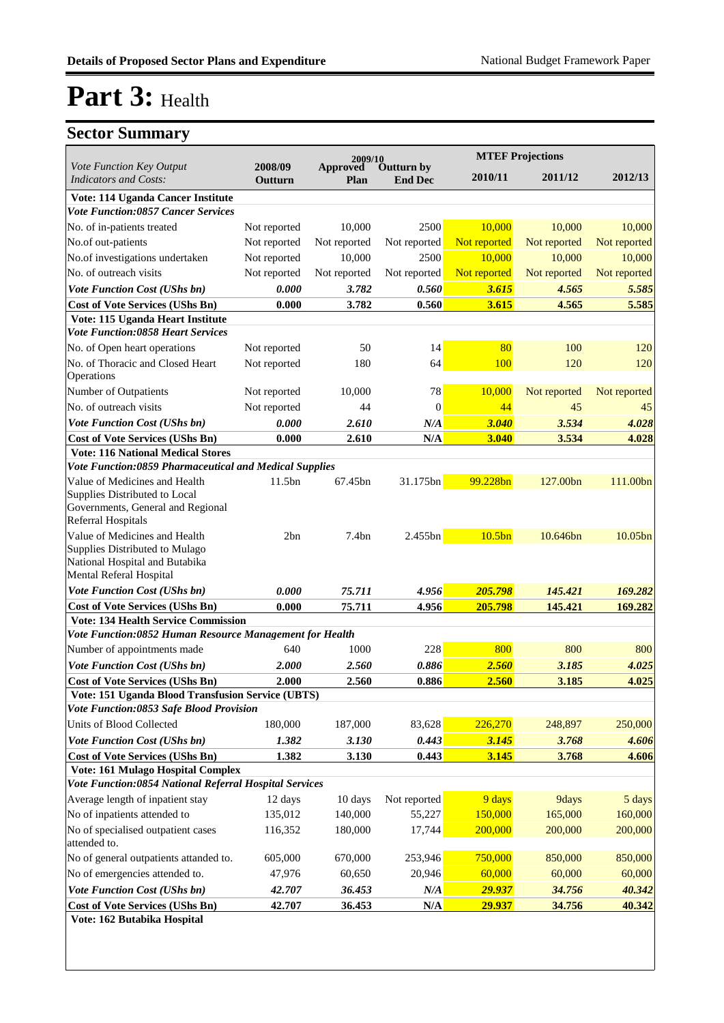|                                                                                    |                    | 2009/10          |                                     |                    | <b>MTEF Projections</b> |                     |
|------------------------------------------------------------------------------------|--------------------|------------------|-------------------------------------|--------------------|-------------------------|---------------------|
| Vote Function Key Output<br><b>Indicators and Costs:</b>                           | 2008/09<br>Outturn | Approved<br>Plan | <b>Outturn by</b><br><b>End Dec</b> | 2010/11            | 2011/12                 | 2012/13             |
| Vote: 114 Uganda Cancer Institute                                                  |                    |                  |                                     |                    |                         |                     |
| <b>Vote Function:0857 Cancer Services</b>                                          |                    |                  |                                     |                    |                         |                     |
| No. of in-patients treated                                                         | Not reported       | 10,000           | 2500                                | 10,000             | 10.000                  | 10,000              |
| No.of out-patients                                                                 | Not reported       | Not reported     | Not reported                        | Not reported       | Not reported            | Not reported        |
| No.of investigations undertaken                                                    | Not reported       | 10,000           | 2500                                | 10,000             | 10,000                  | 10,000              |
| No. of outreach visits                                                             | Not reported       | Not reported     | Not reported                        | Not reported       | Not reported            | Not reported        |
| <b>Vote Function Cost (UShs bn)</b>                                                | 0.000              | 3.782            | 0.560                               | 3.615              | 4.565                   | 5.585               |
| <b>Cost of Vote Services (UShs Bn)</b>                                             | 0.000              | 3.782            | 0.560                               | 3.615              | 4.565                   | 5.585               |
| Vote: 115 Uganda Heart Institute                                                   |                    |                  |                                     |                    |                         |                     |
| <b>Vote Function:0858 Heart Services</b>                                           |                    |                  |                                     |                    |                         |                     |
| No. of Open heart operations                                                       | Not reported       | 50               | 14                                  | 80                 | 100                     | 120                 |
| No. of Thoracic and Closed Heart<br>Operations                                     | Not reported       | 180              | 64                                  | 100                | 120                     | 120                 |
| Number of Outpatients                                                              | Not reported       | 10,000           | 78                                  | 10,000             | Not reported            | Not reported        |
| No. of outreach visits                                                             | Not reported       | 44               | $\theta$                            | 44                 | 45                      | 45                  |
| <b>Vote Function Cost (UShs bn)</b>                                                | 0.000              | 2.610            | N/A                                 | 3.040              | 3.534                   | 4.028               |
|                                                                                    |                    |                  |                                     |                    |                         |                     |
| <b>Cost of Vote Services (UShs Bn)</b><br><b>Vote: 116 National Medical Stores</b> | 0.000              | 2.610            | N/A                                 | 3.040              | 3.534                   | 4.028               |
| <b>Vote Function:0859 Pharmaceutical and Medical Supplies</b>                      |                    |                  |                                     |                    |                         |                     |
| Value of Medicines and Health                                                      | 11.5bn             | 67.45bn          | 31.175bn                            | 99.228bn           | 127.00bn                | 111.00bn            |
| Supplies Distributed to Local                                                      |                    |                  |                                     |                    |                         |                     |
| Governments, General and Regional                                                  |                    |                  |                                     |                    |                         |                     |
| <b>Referral Hospitals</b>                                                          |                    |                  |                                     |                    |                         |                     |
| Value of Medicines and Health                                                      | 2bn                | 7.4bn            | 2.455bn                             | 10.5 <sub>bn</sub> | 10.646bn                | 10.05 <sub>bn</sub> |
| Supplies Distributed to Mulago                                                     |                    |                  |                                     |                    |                         |                     |
| National Hospital and Butabika<br>Mental Referal Hospital                          |                    |                  |                                     |                    |                         |                     |
| <b>Vote Function Cost (UShs bn)</b>                                                | 0.000              | 75.711           | 4.956                               | 205.798            | 145.421                 | 169.282             |
| <b>Cost of Vote Services (UShs Bn)</b>                                             | 0.000              | 75.711           | 4.956                               | 205.798            | 145.421                 | 169.282             |
| <b>Vote: 134 Health Service Commission</b>                                         |                    |                  |                                     |                    |                         |                     |
| Vote Function:0852 Human Resource Management for Health                            |                    |                  |                                     |                    |                         |                     |
| Number of appointments made                                                        | 640                | 1000             | 228                                 | 800                | 800                     | 800                 |
| <b>Vote Function Cost (UShs bn)</b>                                                | 2.000              | 2.560            | 0.886                               | 2.560              | 3.185                   | 4.025               |
| <b>Cost of Vote Services (UShs Bn)</b>                                             | 2.000              | 2.560            | 0.886                               | 2.560              | 3.185                   | 4.025               |
| Vote: 151 Uganda Blood Transfusion Service (UBTS)                                  |                    |                  |                                     |                    |                         |                     |
| Vote Function:0853 Safe Blood Provision                                            |                    |                  |                                     |                    |                         |                     |
| Units of Blood Collected                                                           | 180,000            | 187,000          | 83,628                              | 226,270            | 248,897                 | 250,000             |
| Vote Function Cost (UShs bn)                                                       | 1.382              | 3.130            | 0.443                               | 3.145              | 3.768                   | 4.606               |
| <b>Cost of Vote Services (UShs Bn)</b>                                             | 1.382              | 3.130            | 0.443                               | 3.145              | 3.768                   | 4.606               |
| Vote: 161 Mulago Hospital Complex                                                  |                    |                  |                                     |                    |                         |                     |
| Vote Function:0854 National Referral Hospital Services                             |                    |                  |                                     |                    |                         |                     |
| Average length of inpatient stay                                                   | 12 days            | 10 days          | Not reported                        | 9 days             | 9days                   | 5 days              |
| No of inpatients attended to                                                       | 135,012            | 140,000          | 55,227                              | 150,000            | 165,000                 | 160,000             |
| No of specialised outpatient cases<br>attended to.                                 | 116,352            | 180,000          | 17,744                              | 200,000            | 200,000                 | 200,000             |
| No of general outpatients attanded to.                                             | 605,000            | 670,000          | 253,946                             | 750,000            | 850,000                 | 850,000             |
| No of emergencies attended to.                                                     | 47,976             | 60,650           | 20,946                              | 60,000             | 60,000                  | 60,000              |
| Vote Function Cost (UShs bn)                                                       | 42.707             | 36.453           | N/A                                 | 29.937             | 34.756                  | 40.342              |
| <b>Cost of Vote Services (UShs Bn)</b>                                             | 42.707             | 36.453           | $\mathbf{N}/\mathbf{A}$             | 29.937             | 34.756                  | 40.342              |
| Vote: 162 Butabika Hospital                                                        |                    |                  |                                     |                    |                         |                     |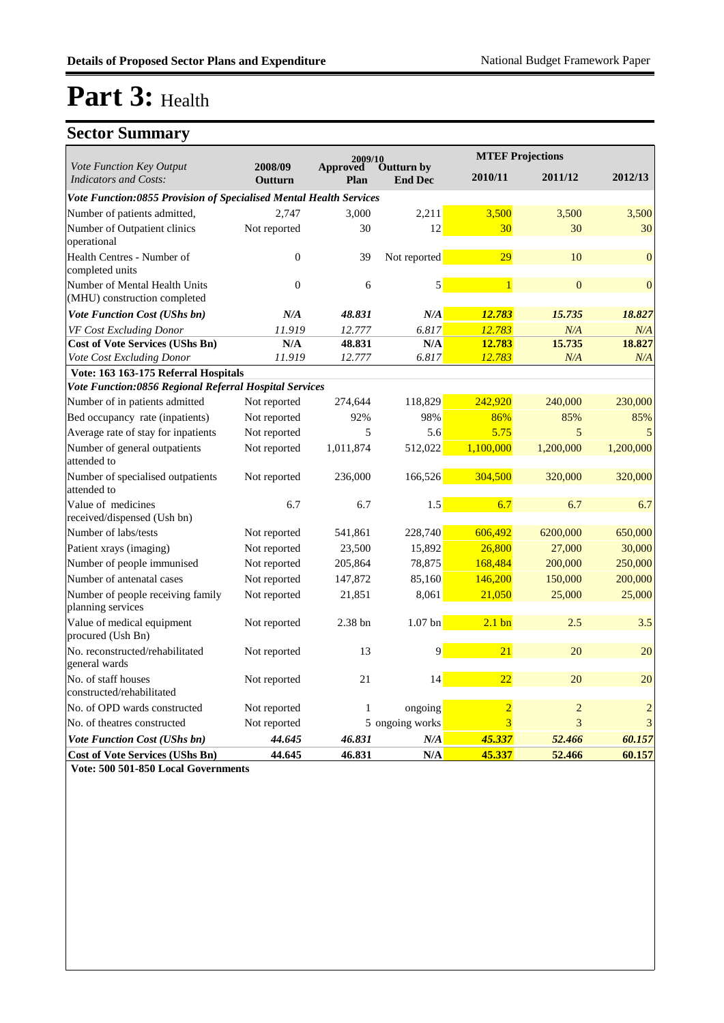### **Sector Summary**

|                                                                    |                    | 2009/10          |                                     |                  | <b>MTEF Projections</b> |                  |
|--------------------------------------------------------------------|--------------------|------------------|-------------------------------------|------------------|-------------------------|------------------|
| Vote Function Key Output<br><b>Indicators and Costs:</b>           | 2008/09<br>Outturn | Approved<br>Plan | <b>Outturn by</b><br><b>End Dec</b> | 2010/11          | 2011/12                 | 2012/13          |
| Vote Function:0855 Provision of Specialised Mental Health Services |                    |                  |                                     |                  |                         |                  |
| Number of patients admitted,                                       | 2,747              | 3,000            | 2,211                               | 3,500            | 3,500                   | 3,500            |
| Number of Outpatient clinics<br>operational                        | Not reported       | 30               | 12                                  | 30               | 30                      | 30               |
| Health Centres - Number of<br>completed units                      | $\Omega$           | 39               | Not reported                        | 29               | 10                      | $\boldsymbol{0}$ |
| Number of Mental Health Units<br>(MHU) construction completed      | $\theta$           | 6                | 5                                   | $\mathbf{1}$     | $\boldsymbol{0}$        | $\boldsymbol{0}$ |
| <b>Vote Function Cost (UShs bn)</b>                                | N/A                | 48.831           | N/A                                 | 12.783           | 15.735                  | 18.827           |
| VF Cost Excluding Donor                                            | 11.919             | 12.777           | 6.817                               | 12.783           | N/A                     | N/A              |
| <b>Cost of Vote Services (UShs Bn)</b>                             | N/A                | 48.831           | N/A                                 | 12.783           | 15.735                  | 18.827           |
| Vote Cost Excluding Donor                                          | 11.919             | 12.777           | 6.817                               | 12.783           | N/A                     | N/A              |
| Vote: 163 163-175 Referral Hospitals                               |                    |                  |                                     |                  |                         |                  |
| Vote Function:0856 Regional Referral Hospital Services             |                    |                  |                                     |                  |                         |                  |
| Number of in patients admitted                                     | Not reported       | 274,644          | 118,829                             | 242,920          | 240,000                 | 230,000          |
| Bed occupancy rate (inpatients)                                    | Not reported       | 92%              | 98%                                 | 86%              | 85%                     | 85%              |
| Average rate of stay for inpatients                                | Not reported       | 5                | 5.6                                 | 5.75             | 5                       | 5                |
| Number of general outpatients<br>attended to                       | Not reported       | 1,011,874        | 512,022                             | 1,100,000        | 1,200,000               | 1,200,000        |
| Number of specialised outpatients<br>attended to                   | Not reported       | 236,000          | 166,526                             | 304,500          | 320,000                 | 320,000          |
| Value of medicines<br>received/dispensed (Ush bn)                  | 6.7                | 6.7              | 1.5                                 | 6.7              | 6.7                     | 6.7              |
| Number of labs/tests                                               | Not reported       | 541,861          | 228,740                             | 606,492          | 6200,000                | 650,000          |
| Patient xrays (imaging)                                            | Not reported       | 23,500           | 15,892                              | 26,800           | 27,000                  | 30,000           |
| Number of people immunised                                         | Not reported       | 205,864          | 78,875                              | 168,484          | 200,000                 | 250,000          |
| Number of antenatal cases                                          | Not reported       | 147,872          | 85,160                              | 146,200          | 150,000                 | 200,000          |
| Number of people receiving family<br>planning services             | Not reported       | 21,851           | 8,061                               | 21,050           | 25,000                  | 25,000           |
| Value of medical equipment<br>procured (Ush Bn)                    | Not reported       | 2.38 bn          | $1.07$ bn                           | $2.1 \text{ bn}$ | 2.5                     | 3.5              |
| No. reconstructed/rehabilitated<br>general wards                   | Not reported       | 13               | 9                                   | 21               | 20                      | 20               |
| No. of staff houses<br>constructed/rehabilitated                   | Not reported       | 21               | 14                                  | 22               | 20                      | 20               |
| No. of OPD wards constructed                                       | Not reported       | 1                | ongoing                             | $\overline{2}$   | $\overline{c}$          | $\overline{c}$   |
| No. of theatres constructed                                        | Not reported       |                  | 5 ongoing works                     | 3                | 3                       | 3                |
| <b>Vote Function Cost (UShs bn)</b>                                | 44.645             | 46.831           | N/A                                 | 45.337           | 52.466                  | 60.157           |
| <b>Cost of Vote Services (UShs Bn)</b>                             | 44.645             | 46.831           | N/A                                 | 45.337           | 52.466                  | 60.157           |

**Vote: 500 501-850 Local Governments**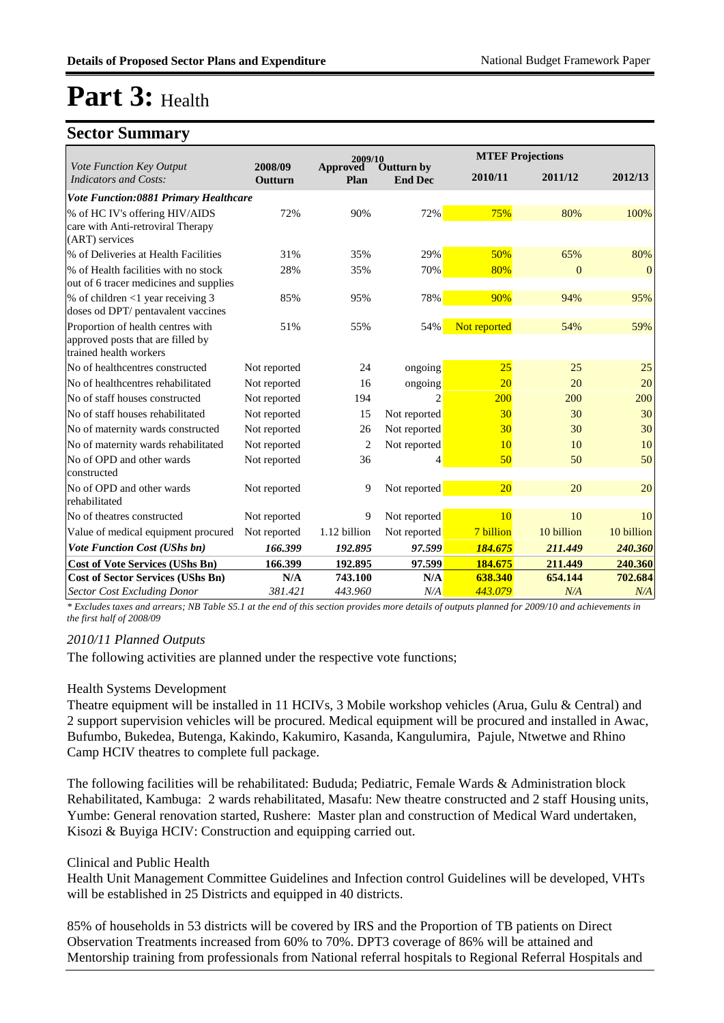### **Sector Summary**

|                                                                                                  |                    | 2009/10                 |                              |              | <b>MTEF Projections</b> |            |
|--------------------------------------------------------------------------------------------------|--------------------|-------------------------|------------------------------|--------------|-------------------------|------------|
| Vote Function Key Output<br><b>Indicators and Costs:</b>                                         | 2008/09<br>Outturn | <b>Approved</b><br>Plan | Outturn by<br><b>End Dec</b> | 2010/11      | 2011/12                 | 2012/13    |
| Vote Function:0881 Primary Healthcare                                                            |                    |                         |                              |              |                         |            |
| % of HC IV's offering HIV/AIDS<br>care with Anti-retroviral Therapy<br>(ART) services            | 72%                | 90%                     | 72%                          | 75%          | 80%                     | 100%       |
| % of Deliveries at Health Facilities                                                             | 31%                | 35%                     | 29%                          | 50%          | 65%                     | 80%        |
| % of Health facilities with no stock<br>out of 6 tracer medicines and supplies                   | 28%                | 35%                     | 70%                          | 80%          | $\Omega$                | $\Omega$   |
| % of children $\langle$ 1 year receiving 3<br>doses od DPT/ pentavalent vaccines                 | 85%                | 95%                     | 78%                          | 90%          | 94%                     | 95%        |
| Proportion of health centres with<br>approved posts that are filled by<br>trained health workers | 51%                | 55%                     | 54%                          | Not reported | 54%                     | 59%        |
| No of healthcentres constructed                                                                  | Not reported       | 24                      | ongoing                      | 25           | 25                      | 25         |
| No of healthcentres rehabilitated                                                                | Not reported       | 16                      | ongoing                      | 20           | 20                      | 20         |
| No of staff houses constructed                                                                   | Not reported       | 194                     |                              | 200          | 200                     | 200        |
| No of staff houses rehabilitated                                                                 | Not reported       | 15                      | Not reported                 | 30           | 30                      | 30         |
| No of maternity wards constructed                                                                | Not reported       | 26                      | Not reported                 | 30           | 30                      | 30         |
| No of maternity wards rehabilitated                                                              | Not reported       | $\overline{2}$          | Not reported                 | 10           | 10                      | 10         |
| No of OPD and other wards<br>constructed                                                         | Not reported       | 36                      | 4                            | 50           | 50                      | 50         |
| No of OPD and other wards<br>rehabilitated                                                       | Not reported       | 9                       | Not reported                 | 20           | 20                      | 20         |
| No of theatres constructed                                                                       | Not reported       | 9                       | Not reported                 | 10           | 10                      | 10         |
| Value of medical equipment procured                                                              | Not reported       | 1.12 billion            | Not reported                 | 7 billion    | 10 billion              | 10 billion |
| <b>Vote Function Cost (UShs bn)</b>                                                              | 166.399            | 192.895                 | 97.599                       | 184.675      | 211.449                 | 240.360    |
| <b>Cost of Vote Services (UShs Bn)</b>                                                           | 166.399            | 192.895                 | 97.599                       | 184.675      | 211.449                 | 240.360    |
| <b>Cost of Sector Services (UShs Bn)</b>                                                         | N/A                | 743.100                 | N/A                          | 638.340      | 654.144                 | 702.684    |
| <b>Sector Cost Excluding Donor</b>                                                               | 381.421            | 443.960                 | N/A                          | 443.079      | N/A                     | N/A        |

*\* Excludes taxes and arrears; NB Table S5.1 at the end of this section provides more details of outputs planned for 2009/10 and achievements in the first half of 2008/09*

#### *2010/11 Planned Outputs*

The following activities are planned under the respective vote functions;

#### Health Systems Development

Theatre equipment will be installed in 11 HCIVs, 3 Mobile workshop vehicles (Arua, Gulu & Central) and 2 support supervision vehicles will be procured. Medical equipment will be procured and installed in Awac, Bufumbo, Bukedea, Butenga, Kakindo, Kakumiro, Kasanda, Kangulumira, Pajule, Ntwetwe and Rhino Camp HCIV theatres to complete full package.

The following facilities will be rehabilitated: Bududa; Pediatric, Female Wards & Administration block Rehabilitated, Kambuga: 2 wards rehabilitated, Masafu: New theatre constructed and 2 staff Housing units, Yumbe: General renovation started, Rushere: Master plan and construction of Medical Ward undertaken, Kisozi & Buyiga HCIV: Construction and equipping carried out.

#### Clinical and Public Health

Health Unit Management Committee Guidelines and Infection control Guidelines will be developed, VHTs will be established in 25 Districts and equipped in 40 districts.

85% of households in 53 districts will be covered by IRS and the Proportion of TB patients on Direct Observation Treatments increased from 60% to 70%. DPT3 coverage of 86% will be attained and Mentorship training from professionals from National referral hospitals to Regional Referral Hospitals and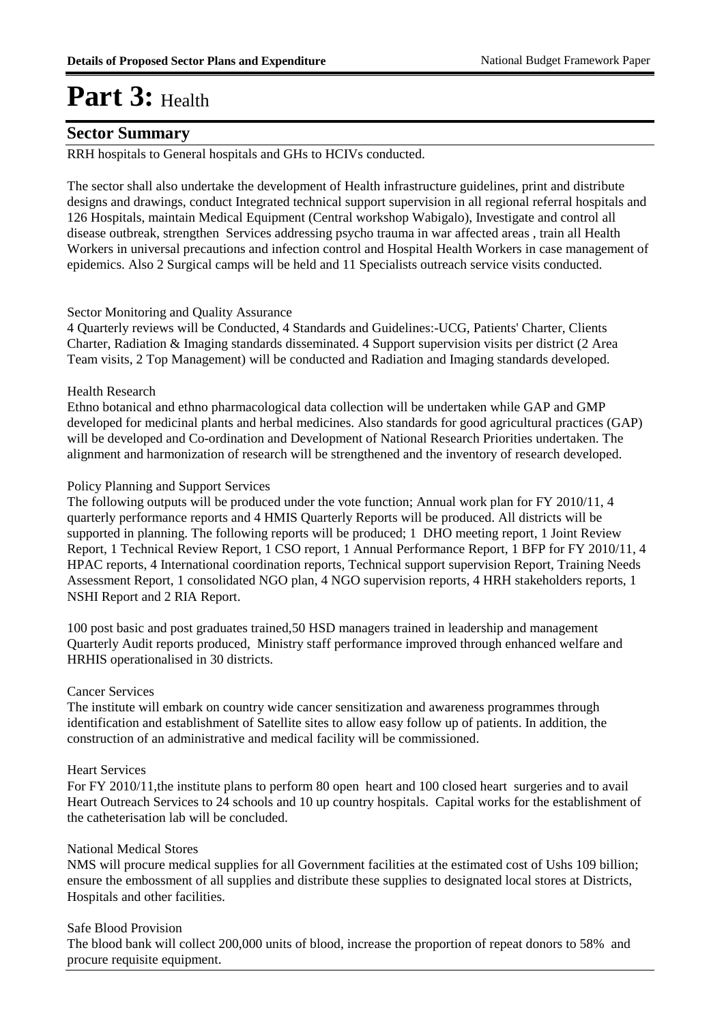### **Sector Summary**

RRH hospitals to General hospitals and GHs to HCIVs conducted.

The sector shall also undertake the development of Health infrastructure guidelines, print and distribute designs and drawings, conduct Integrated technical support supervision in all regional referral hospitals and 126 Hospitals, maintain Medical Equipment (Central workshop Wabigalo), Investigate and control all disease outbreak, strengthen Services addressing psycho trauma in war affected areas , train all Health Workers in universal precautions and infection control and Hospital Health Workers in case management of epidemics. Also 2 Surgical camps will be held and 11 Specialists outreach service visits conducted.

#### Sector Monitoring and Quality Assurance

4 Quarterly reviews will be Conducted, 4 Standards and Guidelines:-UCG, Patients' Charter, Clients Charter, Radiation & Imaging standards disseminated. 4 Support supervision visits per district (2 Area Team visits, 2 Top Management) will be conducted and Radiation and Imaging standards developed.

#### Health Research

Ethno botanical and ethno pharmacological data collection will be undertaken while GAP and GMP developed for medicinal plants and herbal medicines. Also standards for good agricultural practices (GAP) will be developed and Co-ordination and Development of National Research Priorities undertaken. The alignment and harmonization of research will be strengthened and the inventory of research developed.

#### Policy Planning and Support Services

The following outputs will be produced under the vote function; Annual work plan for FY 2010/11, 4 quarterly performance reports and 4 HMIS Quarterly Reports will be produced. All districts will be supported in planning. The following reports will be produced; 1 DHO meeting report, 1 Joint Review Report, 1 Technical Review Report, 1 CSO report, 1 Annual Performance Report, 1 BFP for FY 2010/11, 4 HPAC reports, 4 International coordination reports, Technical support supervision Report, Training Needs Assessment Report, 1 consolidated NGO plan, 4 NGO supervision reports, 4 HRH stakeholders reports, 1 NSHI Report and 2 RIA Report.

100 post basic and post graduates trained,50 HSD managers trained in leadership and management Quarterly Audit reports produced, Ministry staff performance improved through enhanced welfare and HRHIS operationalised in 30 districts.

#### Cancer Services

The institute will embark on country wide cancer sensitization and awareness programmes through identification and establishment of Satellite sites to allow easy follow up of patients. In addition, the construction of an administrative and medical facility will be commissioned.

#### Heart Services

For FY 2010/11,the institute plans to perform 80 open heart and 100 closed heart surgeries and to avail Heart Outreach Services to 24 schools and 10 up country hospitals. Capital works for the establishment of the catheterisation lab will be concluded.

#### National Medical Stores

NMS will procure medical supplies for all Government facilities at the estimated cost of Ushs 109 billion; ensure the embossment of all supplies and distribute these supplies to designated local stores at Districts, Hospitals and other facilities.

#### Safe Blood Provision

The blood bank will collect 200,000 units of blood, increase the proportion of repeat donors to 58% and procure requisite equipment.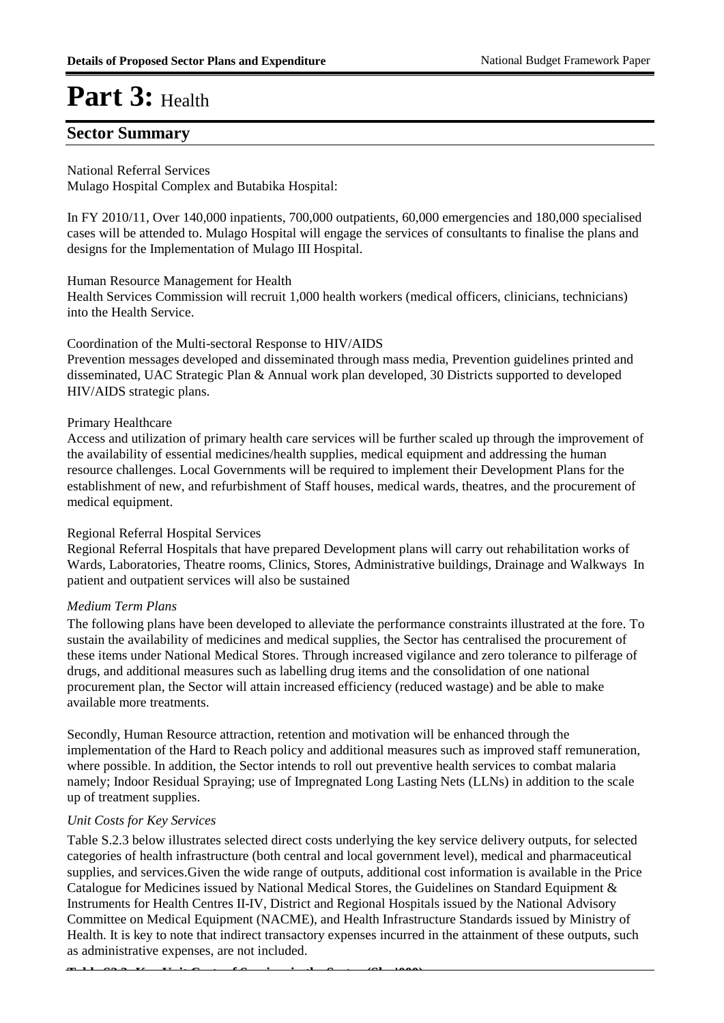### **Sector Summary**

National Referral Services

Mulago Hospital Complex and Butabika Hospital:

In FY 2010/11, Over 140,000 inpatients, 700,000 outpatients, 60,000 emergencies and 180,000 specialised cases will be attended to. Mulago Hospital will engage the services of consultants to finalise the plans and designs for the Implementation of Mulago III Hospital.

#### Human Resource Management for Health

Health Services Commission will recruit 1,000 health workers (medical officers, clinicians, technicians) into the Health Service.

#### Coordination of the Multi-sectoral Response to HIV/AIDS

Prevention messages developed and disseminated through mass media, Prevention guidelines printed and disseminated, UAC Strategic Plan & Annual work plan developed, 30 Districts supported to developed HIV/AIDS strategic plans.

#### Primary Healthcare

Access and utilization of primary health care services will be further scaled up through the improvement of the availability of essential medicines/health supplies, medical equipment and addressing the human resource challenges. Local Governments will be required to implement their Development Plans for the establishment of new, and refurbishment of Staff houses, medical wards, theatres, and the procurement of medical equipment.

#### Regional Referral Hospital Services

Regional Referral Hospitals that have prepared Development plans will carry out rehabilitation works of Wards, Laboratories, Theatre rooms, Clinics, Stores, Administrative buildings, Drainage and Walkways In patient and outpatient services will also be sustained

#### *Medium Term Plans*

The following plans have been developed to alleviate the performance constraints illustrated at the fore. To sustain the availability of medicines and medical supplies, the Sector has centralised the procurement of these items under National Medical Stores. Through increased vigilance and zero tolerance to pilferage of drugs, and additional measures such as labelling drug items and the consolidation of one national procurement plan, the Sector will attain increased efficiency (reduced wastage) and be able to make available more treatments.

Secondly, Human Resource attraction, retention and motivation will be enhanced through the implementation of the Hard to Reach policy and additional measures such as improved staff remuneration, where possible. In addition, the Sector intends to roll out preventive health services to combat malaria namely; Indoor Residual Spraying; use of Impregnated Long Lasting Nets (LLNs) in addition to the scale up of treatment supplies.

#### *Unit Costs for Key Services*

Table S.2.3 below illustrates selected direct costs underlying the key service delivery outputs, for selected categories of health infrastructure (both central and local government level), medical and pharmaceutical supplies, and services.Given the wide range of outputs, additional cost information is available in the Price Catalogue for Medicines issued by National Medical Stores, the Guidelines on Standard Equipment & Instruments for Health Centres II-IV, District and Regional Hospitals issued by the National Advisory Committee on Medical Equipment (NACME), and Health Infrastructure Standards issued by Ministry of Health. It is key to note that indirect transactory expenses incurred in the attainment of these outputs, such as administrative expenses, are not included.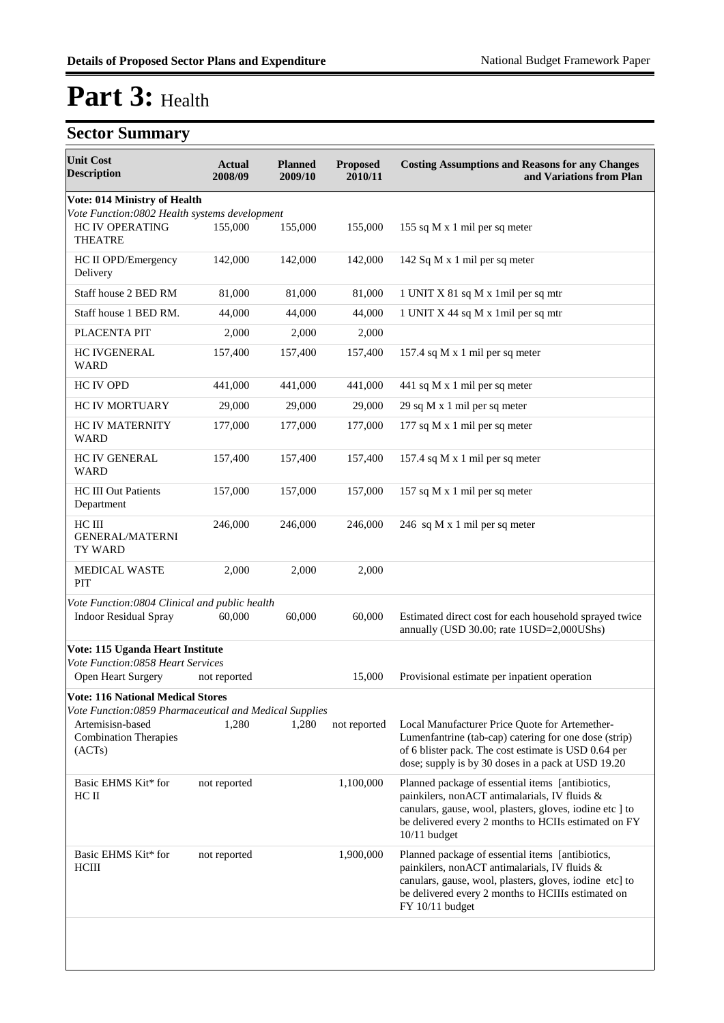| <b>Unit Cost</b><br><b>Description</b>                                                                                                                           | Actual<br>2008/09 | <b>Planned</b><br>2009/10 | <b>Proposed</b><br>2010/11 | <b>Costing Assumptions and Reasons for any Changes</b><br>and Variations from Plan                                                                                                                                                      |
|------------------------------------------------------------------------------------------------------------------------------------------------------------------|-------------------|---------------------------|----------------------------|-----------------------------------------------------------------------------------------------------------------------------------------------------------------------------------------------------------------------------------------|
| Vote: 014 Ministry of Health                                                                                                                                     |                   |                           |                            |                                                                                                                                                                                                                                         |
| Vote Function:0802 Health systems development<br><b>HC IV OPERATING</b><br><b>THEATRE</b>                                                                        | 155,000           | 155,000                   | 155,000                    | 155 sq M x 1 mil per sq meter                                                                                                                                                                                                           |
| HC II OPD/Emergency<br>Delivery                                                                                                                                  | 142,000           | 142,000                   | 142,000                    | 142 Sq M x 1 mil per sq meter                                                                                                                                                                                                           |
| Staff house 2 BED RM                                                                                                                                             | 81,000            | 81,000                    | 81,000                     | 1 UNIT X 81 sq M x 1 mil per sq mtr                                                                                                                                                                                                     |
| Staff house 1 BED RM.                                                                                                                                            | 44,000            | 44,000                    | 44,000                     | 1 UNIT X 44 sq M x 1 mil per sq mtr                                                                                                                                                                                                     |
| PLACENTA PIT                                                                                                                                                     | 2,000             | 2,000                     | 2,000                      |                                                                                                                                                                                                                                         |
| <b>HC IVGENERAL</b><br><b>WARD</b>                                                                                                                               | 157,400           | 157,400                   | 157,400                    | 157.4 sq M x 1 mil per sq meter                                                                                                                                                                                                         |
| <b>HC IV OPD</b>                                                                                                                                                 | 441,000           | 441,000                   | 441,000                    | 441 sq M x 1 mil per sq meter                                                                                                                                                                                                           |
| <b>HC IV MORTUARY</b>                                                                                                                                            | 29,000            | 29,000                    | 29,000                     | 29 sq M x 1 mil per sq meter                                                                                                                                                                                                            |
| <b>HC IV MATERNITY</b><br><b>WARD</b>                                                                                                                            | 177,000           | 177,000                   | 177,000                    | 177 sq M x 1 mil per sq meter                                                                                                                                                                                                           |
| <b>HC IV GENERAL</b><br><b>WARD</b>                                                                                                                              | 157,400           | 157,400                   | 157,400                    | 157.4 sq M x 1 mil per sq meter                                                                                                                                                                                                         |
| <b>HC III Out Patients</b><br>Department                                                                                                                         | 157,000           | 157,000                   | 157,000                    | 157 sq M x 1 mil per sq meter                                                                                                                                                                                                           |
| HC III<br><b>GENERAL/MATERNI</b><br><b>TY WARD</b>                                                                                                               | 246,000           | 246,000                   | 246,000                    | 246 sq M x 1 mil per sq meter                                                                                                                                                                                                           |
| MEDICAL WASTE<br>PIT                                                                                                                                             | 2,000             | 2,000                     | 2,000                      |                                                                                                                                                                                                                                         |
| Vote Function:0804 Clinical and public health<br><b>Indoor Residual Spray</b>                                                                                    | 60,000            | 60,000                    | 60,000                     | Estimated direct cost for each household sprayed twice<br>annually (USD 30.00; rate 1USD=2,000UShs)                                                                                                                                     |
| Vote: 115 Uganda Heart Institute                                                                                                                                 |                   |                           |                            |                                                                                                                                                                                                                                         |
| Vote Function:0858 Heart Services<br>Open Heart Surgery                                                                                                          | not reported      |                           | 15,000                     | Provisional estimate per inpatient operation                                                                                                                                                                                            |
| <b>Vote: 116 National Medical Stores</b><br>Vote Function:0859 Pharmaceutical and Medical Supplies<br>Artemisisn-based<br><b>Combination Therapies</b><br>(ACTs) | 1,280             | 1,280                     | not reported               | Local Manufacturer Price Quote for Artemether-<br>Lumenfantrine (tab-cap) catering for one dose (strip)<br>of 6 blister pack. The cost estimate is USD 0.64 per<br>dose; supply is by 30 doses in a pack at USD 19.20                   |
| Basic EHMS Kit* for<br>HC II                                                                                                                                     | not reported      |                           | 1,100,000                  | Planned package of essential items [antibiotics,<br>painkilers, nonACT antimalarials, IV fluids &<br>canulars, gause, wool, plasters, gloves, iodine etc ] to<br>be delivered every 2 months to HCIIs estimated on FY<br>$10/11$ budget |
| Basic EHMS Kit* for<br>HCIII                                                                                                                                     | not reported      |                           | 1,900,000                  | Planned package of essential items [antibiotics,<br>painkilers, nonACT antimalarials, IV fluids &<br>canulars, gause, wool, plasters, gloves, iodine etc] to<br>be delivered every 2 months to HCIIIs estimated on<br>FY 10/11 budget   |
|                                                                                                                                                                  |                   |                           |                            |                                                                                                                                                                                                                                         |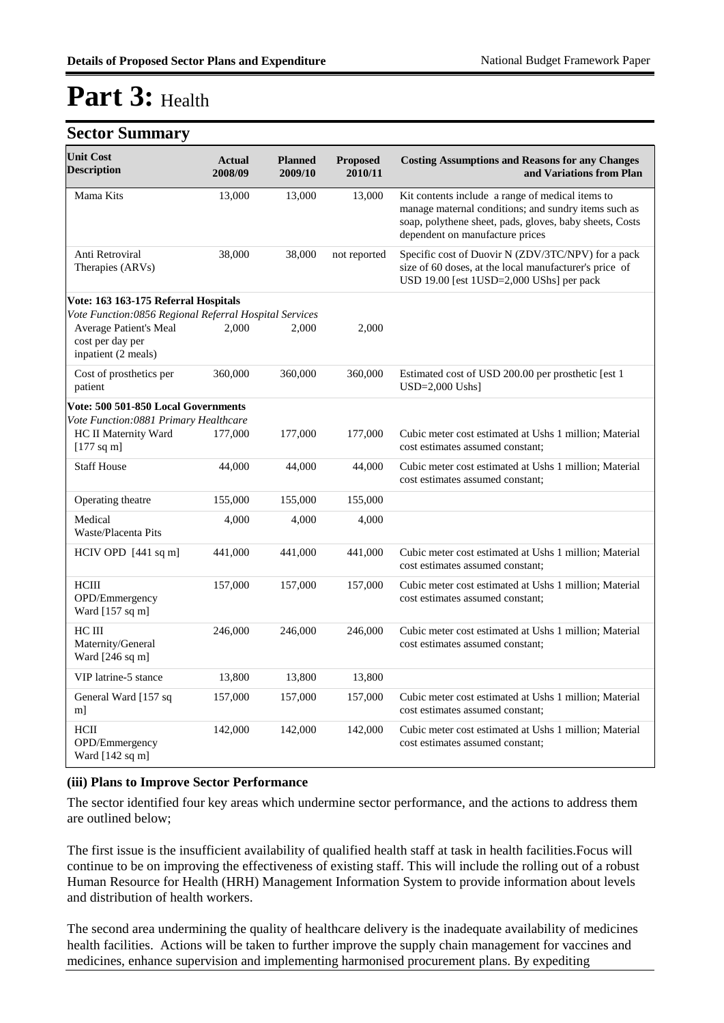#### **Sector Summary**

| <b>Unit Cost</b><br><b>Description</b>                            | <b>Actual</b><br>2008/09 | <b>Planned</b><br>2009/10 | <b>Proposed</b><br>2010/11 | <b>Costing Assumptions and Reasons for any Changes</b><br>and Variations from Plan                                                                                                                     |
|-------------------------------------------------------------------|--------------------------|---------------------------|----------------------------|--------------------------------------------------------------------------------------------------------------------------------------------------------------------------------------------------------|
| Mama Kits                                                         | 13,000                   | 13,000                    | 13,000                     | Kit contents include a range of medical items to<br>manage maternal conditions; and sundry items such as<br>soap, polythene sheet, pads, gloves, baby sheets, Costs<br>dependent on manufacture prices |
| Anti Retroviral<br>Therapies (ARVs)                               | 38,000                   | 38,000                    | not reported               | Specific cost of Duovir N (ZDV/3TC/NPV) for a pack<br>size of 60 doses, at the local manufacturer's price of<br>USD 19.00 [est 1USD=2,000 UShs] per pack                                               |
| Vote: 163 163-175 Referral Hospitals                              |                          |                           |                            |                                                                                                                                                                                                        |
| Vote Function:0856 Regional Referral Hospital Services            |                          |                           |                            |                                                                                                                                                                                                        |
| Average Patient's Meal<br>cost per day per<br>inpatient (2 meals) | 2,000                    | 2,000                     | 2,000                      |                                                                                                                                                                                                        |
| Cost of prosthetics per<br>patient                                | 360,000                  | 360,000                   | 360,000                    | Estimated cost of USD 200.00 per prosthetic [est 1<br>$USD=2,000$ Ushs]                                                                                                                                |
| Vote: 500 501-850 Local Governments                               |                          |                           |                            |                                                                                                                                                                                                        |
| Vote Function:0881 Primary Healthcare                             |                          |                           |                            |                                                                                                                                                                                                        |
| HC II Maternity Ward<br>$[177$ sq m]                              | 177,000                  | 177,000                   | 177,000                    | Cubic meter cost estimated at Ushs 1 million; Material<br>cost estimates assumed constant:                                                                                                             |
| <b>Staff House</b>                                                | 44,000                   | 44,000                    | 44,000                     | Cubic meter cost estimated at Ushs 1 million; Material<br>cost estimates assumed constant;                                                                                                             |
| Operating theatre                                                 | 155,000                  | 155,000                   | 155,000                    |                                                                                                                                                                                                        |
| Medical<br>Waste/Placenta Pits                                    | 4,000                    | 4,000                     | 4,000                      |                                                                                                                                                                                                        |
| HCIV OPD $[441 \text{ sq m}]$                                     | 441,000                  | 441,000                   | 441,000                    | Cubic meter cost estimated at Ushs 1 million; Material<br>cost estimates assumed constant;                                                                                                             |
| <b>HCIII</b><br>OPD/Emmergency<br>Ward $[157$ sq m]               | 157,000                  | 157,000                   | 157,000                    | Cubic meter cost estimated at Ushs 1 million; Material<br>cost estimates assumed constant:                                                                                                             |
| HC III<br>Maternity/General<br>Ward [246 sq m]                    | 246,000                  | 246,000                   | 246,000                    | Cubic meter cost estimated at Ushs 1 million; Material<br>cost estimates assumed constant;                                                                                                             |
| VIP latrine-5 stance                                              | 13,800                   | 13,800                    | 13,800                     |                                                                                                                                                                                                        |
| General Ward [157 sq<br>m]                                        | 157,000                  | 157,000                   | 157,000                    | Cubic meter cost estimated at Ushs 1 million; Material<br>cost estimates assumed constant;                                                                                                             |
| HCII<br>OPD/Emmergency<br>Ward [142 sq m]                         | 142,000                  | 142,000                   | 142,000                    | Cubic meter cost estimated at Ushs 1 million; Material<br>cost estimates assumed constant:                                                                                                             |

#### **(iii) Plans to Improve Sector Performance**

The sector identified four key areas which undermine sector performance, and the actions to address them are outlined below;

The first issue is the insufficient availability of qualified health staff at task in health facilities.Focus will continue to be on improving the effectiveness of existing staff. This will include the rolling out of a robust Human Resource for Health (HRH) Management Information System to provide information about levels and distribution of health workers.

The second area undermining the quality of healthcare delivery is the inadequate availability of medicines health facilities. Actions will be taken to further improve the supply chain management for vaccines and medicines, enhance supervision and implementing harmonised procurement plans. By expediting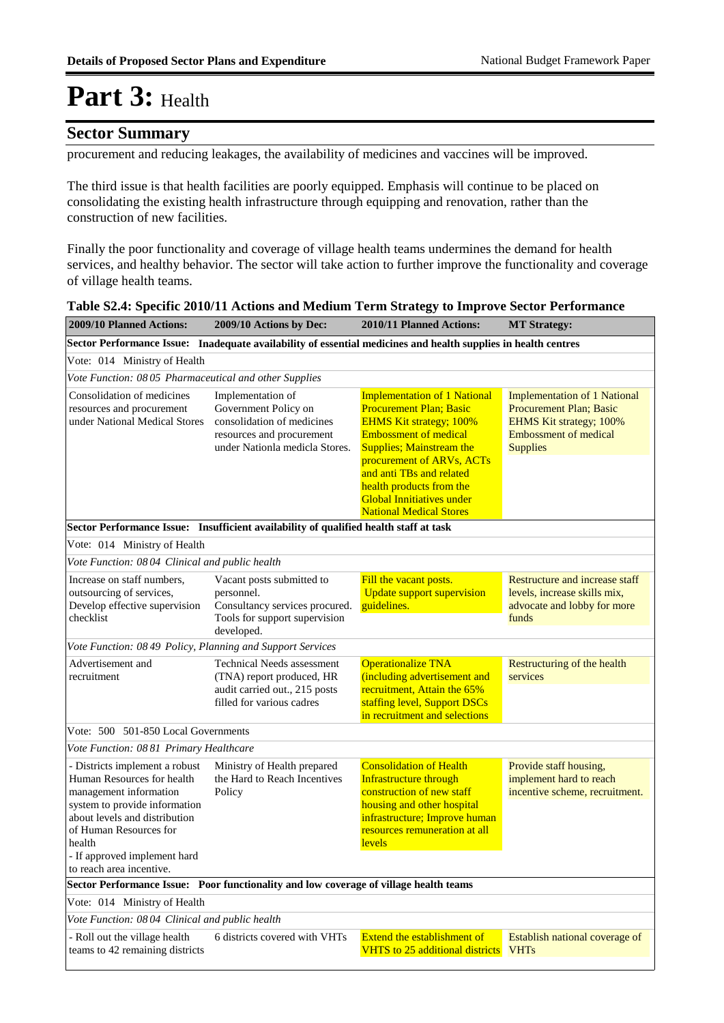### **Sector Summary**

procurement and reducing leakages, the availability of medicines and vaccines will be improved.

The third issue is that health facilities are poorly equipped. Emphasis will continue to be placed on consolidating the existing health infrastructure through equipping and renovation, rather than the construction of new facilities.

Finally the poor functionality and coverage of village health teams undermines the demand for health services, and healthy behavior. The sector will take action to further improve the functionality and coverage of village health teams.

| 2009/10 Planned Actions:                                                                                                                                                                                                                                 | 2009/10 Actions by Dec:                                                                                                                | 2010/11 Planned Actions:                                                                                                                                                                                                                                                                                                              | <b>MT Strategy:</b>                                                                                                                                        |  |  |  |  |  |
|----------------------------------------------------------------------------------------------------------------------------------------------------------------------------------------------------------------------------------------------------------|----------------------------------------------------------------------------------------------------------------------------------------|---------------------------------------------------------------------------------------------------------------------------------------------------------------------------------------------------------------------------------------------------------------------------------------------------------------------------------------|------------------------------------------------------------------------------------------------------------------------------------------------------------|--|--|--|--|--|
| Inadequate availability of essential medicines and health supplies in health centres<br><b>Sector Performance Issue:</b>                                                                                                                                 |                                                                                                                                        |                                                                                                                                                                                                                                                                                                                                       |                                                                                                                                                            |  |  |  |  |  |
| Vote: 014 Ministry of Health                                                                                                                                                                                                                             |                                                                                                                                        |                                                                                                                                                                                                                                                                                                                                       |                                                                                                                                                            |  |  |  |  |  |
| Vote Function: 08 05 Pharmaceutical and other Supplies                                                                                                                                                                                                   |                                                                                                                                        |                                                                                                                                                                                                                                                                                                                                       |                                                                                                                                                            |  |  |  |  |  |
| Consolidation of medicines<br>resources and procurement<br>under National Medical Stores                                                                                                                                                                 | Implementation of<br>Government Policy on<br>consolidation of medicines<br>resources and procurement<br>under Nationla medicla Stores. | <b>Implementation of 1 National</b><br><b>Procurement Plan; Basic</b><br><b>EHMS Kit strategy; 100%</b><br><b>Embossment of medical</b><br><b>Supplies; Mainstream the</b><br>procurement of ARVs, ACTs<br>and anti TBs and related<br>health products from the<br><b>Global Innitiatives under</b><br><b>National Medical Stores</b> | <b>Implementation of 1 National</b><br><b>Procurement Plan; Basic</b><br><b>EHMS Kit strategy; 100%</b><br><b>Embossment of medical</b><br><b>Supplies</b> |  |  |  |  |  |
|                                                                                                                                                                                                                                                          | Sector Performance Issue: Insufficient availability of qualified health staff at task                                                  |                                                                                                                                                                                                                                                                                                                                       |                                                                                                                                                            |  |  |  |  |  |
| Vote: 014 Ministry of Health                                                                                                                                                                                                                             |                                                                                                                                        |                                                                                                                                                                                                                                                                                                                                       |                                                                                                                                                            |  |  |  |  |  |
| Vote Function: 08 04 Clinical and public health                                                                                                                                                                                                          |                                                                                                                                        |                                                                                                                                                                                                                                                                                                                                       |                                                                                                                                                            |  |  |  |  |  |
| Increase on staff numbers.<br>outsourcing of services,<br>Develop effective supervision<br>checklist                                                                                                                                                     | Vacant posts submitted to<br>personnel.<br>Consultancy services procured.<br>Tools for support supervision<br>developed.               | Fill the vacant posts.<br><b>Update support supervision</b><br>guidelines.                                                                                                                                                                                                                                                            | Restructure and increase staff<br>levels, increase skills mix,<br>advocate and lobby for more<br>funds                                                     |  |  |  |  |  |
| Vote Function: 08 49 Policy, Planning and Support Services                                                                                                                                                                                               |                                                                                                                                        |                                                                                                                                                                                                                                                                                                                                       |                                                                                                                                                            |  |  |  |  |  |
| Advertisement and<br>recruitment                                                                                                                                                                                                                         | <b>Technical Needs assessment</b><br>(TNA) report produced, HR<br>audit carried out., 215 posts<br>filled for various cadres           | <b>Operationalize TNA</b><br>(including advertisement and<br>recruitment, Attain the 65%<br>staffing level, Support DSCs<br>in recruitment and selections                                                                                                                                                                             | Restructuring of the health<br>services                                                                                                                    |  |  |  |  |  |
| Vote: 500 501-850 Local Governments                                                                                                                                                                                                                      |                                                                                                                                        |                                                                                                                                                                                                                                                                                                                                       |                                                                                                                                                            |  |  |  |  |  |
| Vote Function: 0881 Primary Healthcare                                                                                                                                                                                                                   |                                                                                                                                        |                                                                                                                                                                                                                                                                                                                                       |                                                                                                                                                            |  |  |  |  |  |
| - Districts implement a robust<br>Human Resources for health<br>management information<br>system to provide information<br>about levels and distribution<br>of Human Resources for<br>health<br>- If approved implement hard<br>to reach area incentive. | Ministry of Health prepared<br>the Hard to Reach Incentives<br>Policy                                                                  | <b>Consolidation of Health</b><br><b>Infrastructure through</b><br>construction of new staff<br>housing and other hospital<br>infrastructure; Improve human<br>resources remuneration at all<br>levels                                                                                                                                | Provide staff housing,<br>implement hard to reach<br>incentive scheme, recruitment.                                                                        |  |  |  |  |  |
|                                                                                                                                                                                                                                                          | Sector Performance Issue: Poor functionality and low coverage of village health teams                                                  |                                                                                                                                                                                                                                                                                                                                       |                                                                                                                                                            |  |  |  |  |  |
| Vote: 014 Ministry of Health                                                                                                                                                                                                                             |                                                                                                                                        |                                                                                                                                                                                                                                                                                                                                       |                                                                                                                                                            |  |  |  |  |  |
| Vote Function: 0804 Clinical and public health                                                                                                                                                                                                           |                                                                                                                                        |                                                                                                                                                                                                                                                                                                                                       |                                                                                                                                                            |  |  |  |  |  |
| - Roll out the village health<br>teams to 42 remaining districts                                                                                                                                                                                         | 6 districts covered with VHTs                                                                                                          | <b>Extend the establishment of</b><br><b>VHTS</b> to 25 additional districts                                                                                                                                                                                                                                                          | Establish national coverage of<br><b>VHTs</b>                                                                                                              |  |  |  |  |  |

|  | Table S2.4: Specific 2010/11 Actions and Medium Term Strategy to Improve Sector Performance |  |  |
|--|---------------------------------------------------------------------------------------------|--|--|
|  |                                                                                             |  |  |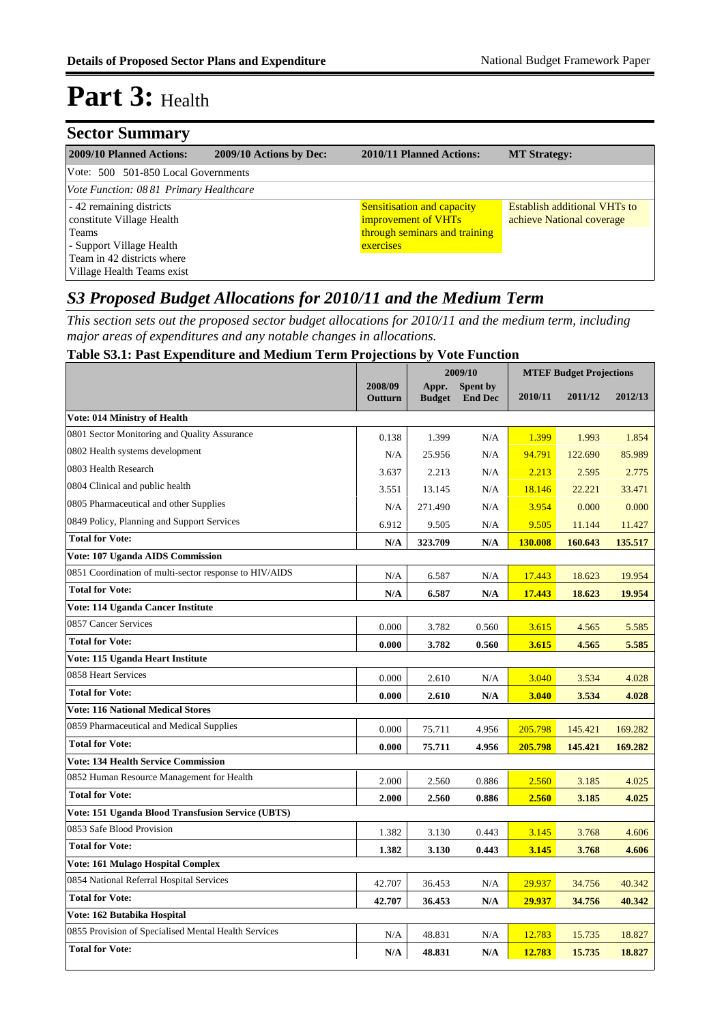| <b>Sector Summary</b>                                |                         |                                                          |                                                                  |  |  |  |  |  |
|------------------------------------------------------|-------------------------|----------------------------------------------------------|------------------------------------------------------------------|--|--|--|--|--|
| 2009/10 Planned Actions:                             | 2009/10 Actions by Dec: | 2010/11 Planned Actions:                                 | <b>MT Strategy:</b>                                              |  |  |  |  |  |
| Vote: 500 501-850 Local Governments                  |                         |                                                          |                                                                  |  |  |  |  |  |
| Vote Function: 0881 Primary Healthcare               |                         |                                                          |                                                                  |  |  |  |  |  |
| -42 remaining districts<br>constitute Village Health |                         | <b>Sensitisation and capacity</b><br>improvement of VHTs | <b>Establish additional VHTs to</b><br>achieve National coverage |  |  |  |  |  |
| Teams                                                |                         | through seminars and training                            |                                                                  |  |  |  |  |  |
| - Support Village Health<br>exercises                |                         |                                                          |                                                                  |  |  |  |  |  |
| Team in 42 districts where                           |                         |                                                          |                                                                  |  |  |  |  |  |
| Village Health Teams exist                           |                         |                                                          |                                                                  |  |  |  |  |  |

### *S3 Proposed Budget Allocations for 2010/11 and the Medium Term*

*This section sets out the proposed sector budget allocations for 2010/11 and the medium term, including major areas of expenditures and any notable changes in allocations.* 

#### **Table S3.1: Past Expenditure and Medium Term Projections by Vote Function**

|                                                        |                    | 2009/10                |                            | <b>MTEF Budget Projections</b> |         |         |  |
|--------------------------------------------------------|--------------------|------------------------|----------------------------|--------------------------------|---------|---------|--|
|                                                        | 2008/09<br>Outturn | Appr.<br><b>Budget</b> | Spent by<br><b>End Dec</b> | 2010/11                        | 2011/12 | 2012/13 |  |
| <b>Vote: 014 Ministry of Health</b>                    |                    |                        |                            |                                |         |         |  |
| 0801 Sector Monitoring and Quality Assurance           | 0.138              | 1.399                  | N/A                        | 1.399                          | 1.993   | 1.854   |  |
| 0802 Health systems development                        | N/A                | 25.956                 | N/A                        | 94.791                         | 122.690 | 85.989  |  |
| 0803 Health Research                                   | 3.637              | 2.213                  | N/A                        | 2.213                          | 2.595   | 2.775   |  |
| 0804 Clinical and public health                        | 3.551              | 13.145                 | N/A                        | 18.146                         | 22.221  | 33.471  |  |
| 0805 Pharmaceutical and other Supplies                 | N/A                | 271.490                | N/A                        | 3.954                          | 0.000   | 0.000   |  |
| 0849 Policy, Planning and Support Services             | 6.912              | 9.505                  | N/A                        | 9.505                          | 11.144  | 11.427  |  |
| <b>Total for Vote:</b>                                 | N/A                | 323.709                | N/A                        | 130.008                        | 160.643 | 135.517 |  |
| Vote: 107 Uganda AIDS Commission                       |                    |                        |                            |                                |         |         |  |
| 0851 Coordination of multi-sector response to HIV/AIDS | N/A                | 6.587                  | N/A                        | 17.443                         | 18.623  | 19.954  |  |
| <b>Total for Vote:</b>                                 | N/A                | 6.587                  | N/A                        | 17.443                         | 18.623  | 19.954  |  |
| Vote: 114 Uganda Cancer Institute                      |                    |                        |                            |                                |         |         |  |
| 0857 Cancer Services                                   | 0.000              | 3.782                  | 0.560                      | 3.615                          | 4.565   | 5.585   |  |
| <b>Total for Vote:</b>                                 | 0.000              | 3.782                  | 0.560                      | 3.615                          | 4.565   | 5.585   |  |
| Vote: 115 Uganda Heart Institute                       |                    |                        |                            |                                |         |         |  |
| 0858 Heart Services                                    | 0.000              | 2.610                  | N/A                        | 3.040                          | 3.534   | 4.028   |  |
| <b>Total for Vote:</b>                                 | 0.000              | 2.610                  | N/A                        | 3.040                          | 3.534   | 4.028   |  |
| <b>Vote: 116 National Medical Stores</b>               |                    |                        |                            |                                |         |         |  |
| 0859 Pharmaceutical and Medical Supplies               | 0.000              | 75.711                 | 4.956                      | 205.798                        | 145.421 | 169.282 |  |
| <b>Total for Vote:</b>                                 | 0.000              | 75.711                 | 4.956                      | 205.798                        | 145.421 | 169.282 |  |
| <b>Vote: 134 Health Service Commission</b>             |                    |                        |                            |                                |         |         |  |
| 0852 Human Resource Management for Health              | 2.000              | 2.560                  | 0.886                      | 2.560                          | 3.185   | 4.025   |  |
| <b>Total for Vote:</b>                                 | 2.000              | 2.560                  | 0.886                      | 2.560                          | 3.185   | 4.025   |  |
| Vote: 151 Uganda Blood Transfusion Service (UBTS)      |                    |                        |                            |                                |         |         |  |
| 0853 Safe Blood Provision                              | 1.382              | 3.130                  | 0.443                      | 3.145                          | 3.768   | 4.606   |  |
| <b>Total for Vote:</b>                                 | 1.382              | 3.130                  | 0.443                      | 3.145                          | 3.768   | 4.606   |  |
| Vote: 161 Mulago Hospital Complex                      |                    |                        |                            |                                |         |         |  |
| 0854 National Referral Hospital Services               | 42.707             | 36.453                 | N/A                        | 29.937                         | 34.756  | 40.342  |  |
| <b>Total for Vote:</b>                                 | 42.707             | 36.453                 | N/A                        | 29.937                         | 34.756  | 40.342  |  |
| Vote: 162 Butabika Hospital                            |                    |                        |                            |                                |         |         |  |
| 0855 Provision of Specialised Mental Health Services   | N/A                | 48.831                 | N/A                        | 12.783                         | 15.735  | 18.827  |  |
| <b>Total for Vote:</b>                                 | N/A                | 48.831                 | N/A                        | 12.783                         | 15.735  | 18.827  |  |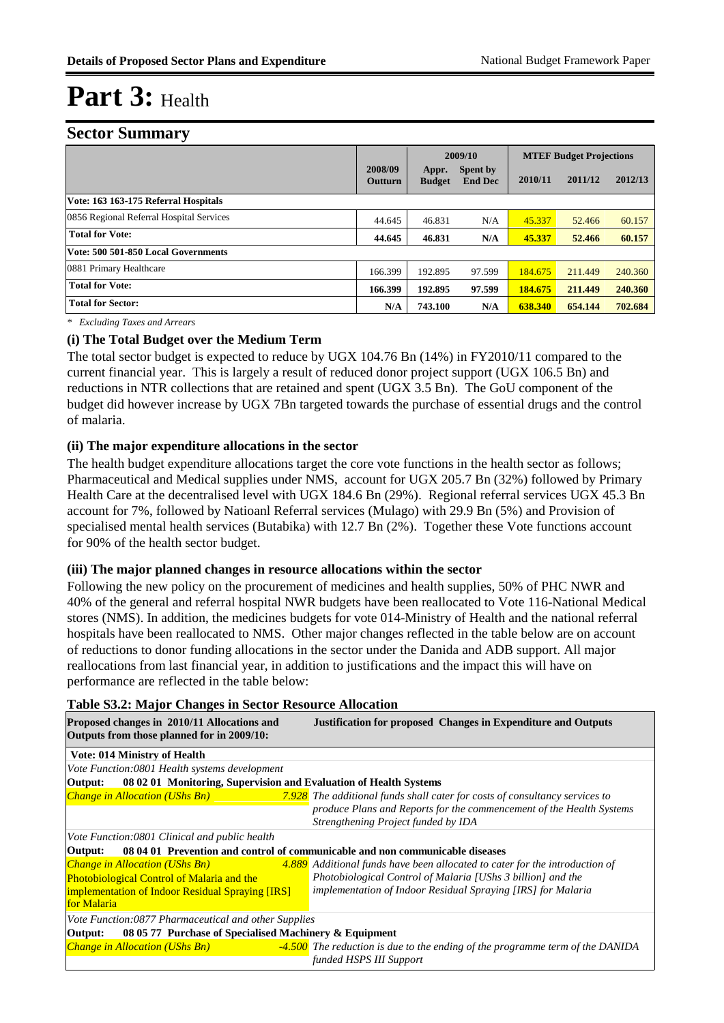#### **Sector Summary**

|                                          |                    |                        | 2009/10                    |         | <b>MTEF Budget Projections</b> |         |
|------------------------------------------|--------------------|------------------------|----------------------------|---------|--------------------------------|---------|
|                                          | 2008/09<br>Outturn | Appr.<br><b>Budget</b> | Spent by<br><b>End Dec</b> | 2010/11 | 2011/12                        | 2012/13 |
| Vote: 163 163-175 Referral Hospitals     |                    |                        |                            |         |                                |         |
| 0856 Regional Referral Hospital Services | 44.645             | 46.831                 | N/A                        | 45.337  | 52.466                         | 60.157  |
| <b>Total for Vote:</b>                   | 44.645             | 46.831                 | N/A                        | 45.337  | 52.466                         | 60.157  |
| Vote: 500 501-850 Local Governments      |                    |                        |                            |         |                                |         |
| 0881 Primary Healthcare                  | 166.399            | 192.895                | 97.599                     | 184.675 | 211.449                        | 240.360 |
| <b>Total for Vote:</b>                   | 166.399            | 192.895                | 97.599                     | 184.675 | 211.449                        | 240.360 |
| <b>Total for Sector:</b>                 | N/A                | 743.100                | N/A                        | 638.340 | 654.144                        | 702.684 |

*\* Excluding Taxes and Arrears*

#### **(i) The Total Budget over the Medium Term**

The total sector budget is expected to reduce by UGX 104.76 Bn (14%) in FY2010/11 compared to the current financial year. This is largely a result of reduced donor project support (UGX 106.5 Bn) and reductions in NTR collections that are retained and spent (UGX 3.5 Bn). The GoU component of the budget did however increase by UGX 7Bn targeted towards the purchase of essential drugs and the control of malaria.

#### **(ii) The major expenditure allocations in the sector**

The health budget expenditure allocations target the core vote functions in the health sector as follows; Pharmaceutical and Medical supplies under NMS, account for UGX 205.7 Bn (32%) followed by Primary Health Care at the decentralised level with UGX 184.6 Bn (29%). Regional referral services UGX 45.3 Bn account for 7%, followed by Natioanl Referral services (Mulago) with 29.9 Bn (5%) and Provision of specialised mental health services (Butabika) with 12.7 Bn (2%). Together these Vote functions account for 90% of the health sector budget.

#### **(iii) The major planned changes in resource allocations within the sector**

Following the new policy on the procurement of medicines and health supplies, 50% of PHC NWR and 40% of the general and referral hospital NWR budgets have been reallocated to Vote 116-National Medical stores (NMS). In addition, the medicines budgets for vote 014-Ministry of Health and the national referral hospitals have been reallocated to NMS. Other major changes reflected in the table below are on account of reductions to donor funding allocations in the sector under the Danida and ADB support. All major reallocations from last financial year, in addition to justifications and the impact this will have on performance are reflected in the table below:

| Table Bolz, major Changes in Sector Resource Anocation                                    |                                                                                    |  |  |  |  |  |  |
|-------------------------------------------------------------------------------------------|------------------------------------------------------------------------------------|--|--|--|--|--|--|
| Proposed changes in 2010/11 Allocations and<br>Outputs from those planned for in 2009/10: | <b>Justification for proposed Changes in Expenditure and Outputs</b>               |  |  |  |  |  |  |
| <b>Vote: 014 Ministry of Health</b>                                                       |                                                                                    |  |  |  |  |  |  |
| Vote Function:0801 Health systems development                                             |                                                                                    |  |  |  |  |  |  |
| 08 02 01 Monitoring, Supervision and Evaluation of Health Systems<br>Output:              |                                                                                    |  |  |  |  |  |  |
| <b>Change in Allocation (UShs Bn)</b>                                                     | <b>7.928</b> The additional funds shall cater for costs of consultancy services to |  |  |  |  |  |  |
|                                                                                           | produce Plans and Reports for the commencement of the Health Systems               |  |  |  |  |  |  |
|                                                                                           | Strengthening Project funded by IDA                                                |  |  |  |  |  |  |
| Vote Function:0801 Clinical and public health                                             |                                                                                    |  |  |  |  |  |  |
| Output:                                                                                   | 08 04 01 Prevention and control of communicable and non communicable diseases      |  |  |  |  |  |  |
| <b>Change in Allocation (UShs Bn)</b>                                                     | 4.889 Additional funds have been allocated to cater for the introduction of        |  |  |  |  |  |  |
| Photobiological Control of Malaria and the                                                | Photobiological Control of Malaria [UShs 3 billion] and the                        |  |  |  |  |  |  |
| <b>implementation of Indoor Residual Spraying [IRS]</b>                                   | <i>implementation of Indoor Residual Spraying [IRS] for Malaria</i>                |  |  |  |  |  |  |
| for Malaria                                                                               |                                                                                    |  |  |  |  |  |  |
| Vote Function:0877 Pharmaceutical and other Supplies                                      |                                                                                    |  |  |  |  |  |  |
| Output:                                                                                   | 08 05 77 Purchase of Specialised Machinery & Equipment                             |  |  |  |  |  |  |
| <b>Change in Allocation (UShs Bn)</b>                                                     | -4.500 The reduction is due to the ending of the programme term of the DANIDA      |  |  |  |  |  |  |
|                                                                                           | funded HSPS III Support                                                            |  |  |  |  |  |  |

#### **Table S3.2: Major Changes in Sector Resource Allocation**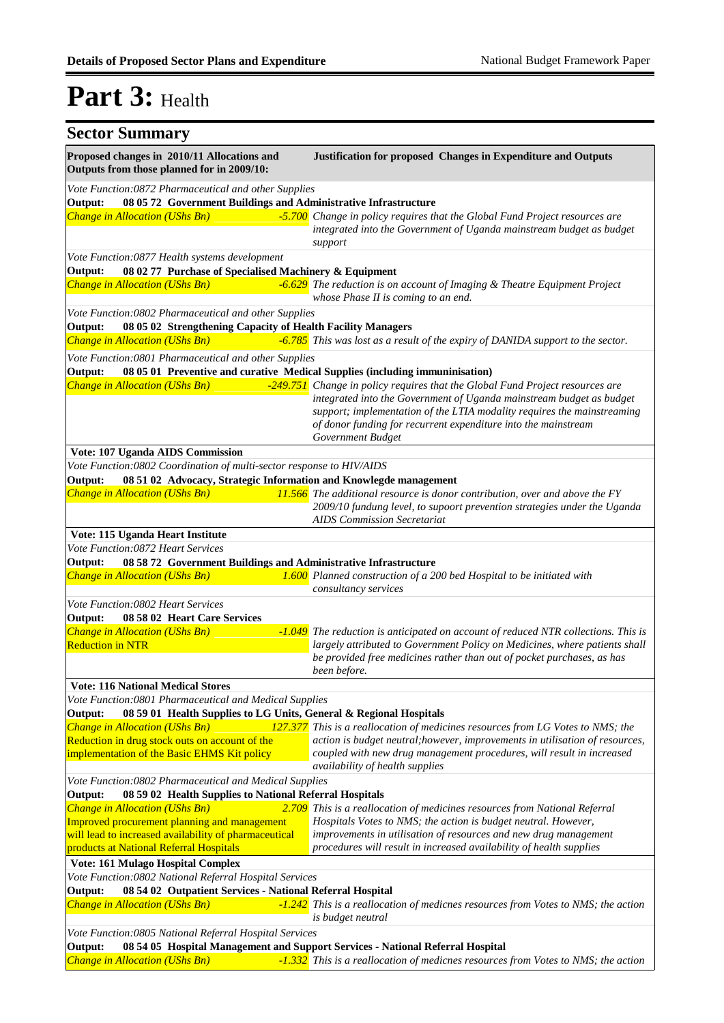#### **Sector Summary Proposed changes in 2010/11 Allocations and Justification for proposed Changes in Expenditure and Outputs Outputs from those planned for in 2009/10:** *Change in Allocation (UShs Bn) -5.700 Change in policy requires that the Global Fund Project resources are integrated into the Government of Uganda mainstream budget as budget support* **Output: 08 05 72 Government Buildings and Administrative Infrastructure** *Vote Function:0872 Pharmaceutical and other Supplies Change in Allocation (UShs Bn) -6.629 The reduction is on account of Imaging & Theatre Equipment Project whose Phase II is coming to an end.* **Output: 08 02 77 Purchase of Specialised Machinery & Equipment** *Vote Function:0877 Health systems development Change in Allocation (UShs Bn) -6.785 This was lost as a result of the expiry of DANIDA support to the sector.* **Output: 08 05 02 Strengthening Capacity of Health Facility Managers** *Vote Function:0802 Pharmaceutical and other Supplies Change in Allocation (UShs Bn) -249.751 Change in policy requires that the Global Fund Project resources are integrated into the Government of Uganda mainstream budget as budget support; implementation of the LTIA modality requires the mainstreaming of donor funding for recurrent expenditure into the mainstream Government Budget* **Output: 08 05 01 Preventive and curative Medical Supplies (including immuninisation)** *Vote Function:0801 Pharmaceutical and other Supplies* **Vote: 107 Uganda AIDS Commission** *Change in Allocation (UShs Bn) 11.566 The additional resource is donor contribution, over and above the FY 2009/10 fundung level, to supoort prevention strategies under the Uganda AIDS Commission Secretariat* **Output: 08 51 02 Advocacy, Strategic Information and Knowlegde management** *Vote Function:0802 Coordination of multi-sector response to HIV/AIDS* **Vote: 115 Uganda Heart Institute** *Change in Allocation (UShs Bn) 1.600 Planned construction of a 200 bed Hospital to be initiated with consultancy services* **Output: 08 58 72 Government Buildings and Administrative Infrastructure** *Vote Function:0872 Heart Services Change in Allocation (UShs Bn)* Reduction in NTR *The reduction is anticipated on account of reduced NTR collections. This is largely attributed to Government Policy on Medicines, where patients shall be provided free medicines rather than out of pocket purchases, as has been before.* **Output: 08 58 02 Heart Care Services** *Vote Function:0802 Heart Services* **Vote: 116 National Medical Stores** *<i>Change in Allocation (UShs Bn)* Reduction in drug stock outs on account of the implementation of the Basic EHMS Kit policy *This is a reallocation of medicines resources from LG Votes to NMS; the action is budget neutral;however, improvements in utilisation of resources, coupled with new drug management procedures, will result in increased availability of health supplies* **Output: 08 59 01 Health Supplies to LG Units, General & Regional Hospitals** *Vote Function:0801 Pharmaceutical and Medical Supplies <i>Change in Allocation (UShs Bn)* Improved procurement planning and management will lead to increased availability of pharmaceutical products at National Referral Hospitals *This is a reallocation of medicines resources from National Referral Hospitals Votes to NMS; the action is budget neutral. However, improvements in utilisation of resources and new drug management procedures will result in increased availability of health supplies* **Output: 08 59 02 Health Supplies to National Referral Hospitals** *Vote Function:0802 Pharmaceutical and Medical Supplies* **Vote: 161 Mulago Hospital Complex** *Change in Allocation (UShs Bn) -1.242 This is a reallocation of medicnes resources from Votes to NMS; the action is budget neutral* **Output: 08 54 02 Outpatient Services - National Referral Hospital** *Vote Function:0802 National Referral Hospital Services Change in Allocation (UShs Bn) -1.332 This is a reallocation of medicnes resources from Votes to NMS; the action*  **Output: 08 54 05 Hospital Management and Support Services - National Referral Hospital** *Vote Function:0805 National Referral Hospital Services*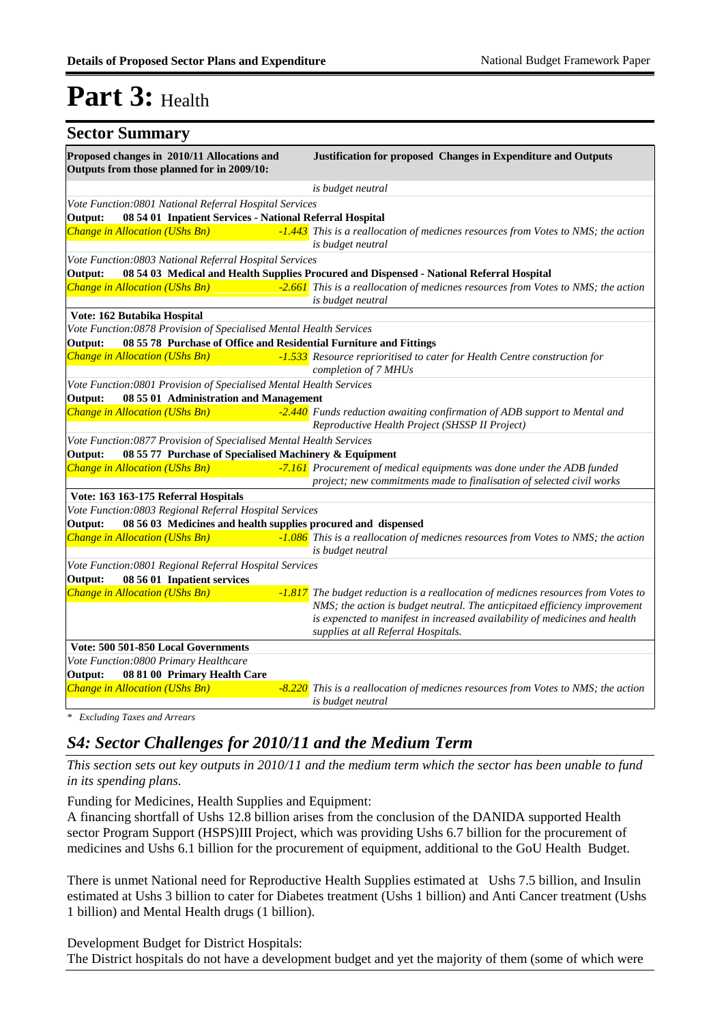| <b>Sector Summary</b>                                                                     |                                                                                                                                                                |
|-------------------------------------------------------------------------------------------|----------------------------------------------------------------------------------------------------------------------------------------------------------------|
| Proposed changes in 2010/11 Allocations and<br>Outputs from those planned for in 2009/10: | <b>Justification for proposed Changes in Expenditure and Outputs</b>                                                                                           |
|                                                                                           | is budget neutral                                                                                                                                              |
| Vote Function: 0801 National Referral Hospital Services                                   |                                                                                                                                                                |
| 08 54 01 Inpatient Services - National Referral Hospital<br>Output:                       |                                                                                                                                                                |
| Change in Allocation (UShs Bn)                                                            | -1.443 This is a reallocation of medicnes resources from Votes to NMS; the action<br>is budget neutral                                                         |
| Vote Function:0803 National Referral Hospital Services                                    |                                                                                                                                                                |
| Output:                                                                                   | 08 54 03 Medical and Health Supplies Procured and Dispensed - National Referral Hospital                                                                       |
| <b>Change in Allocation (UShs Bn)</b>                                                     | -2.661 This is a reallocation of medicnes resources from Votes to NMS; the action<br>is budget neutral                                                         |
| Vote: 162 Butabika Hospital                                                               |                                                                                                                                                                |
| Vote Function:0878 Provision of Specialised Mental Health Services                        |                                                                                                                                                                |
| 08 55 78 Purchase of Office and Residential Furniture and Fittings<br>Output:             |                                                                                                                                                                |
| Change in Allocation (UShs Bn)                                                            | -1.533 Resource reprioritised to cater for Health Centre construction for<br>completion of 7 MHUs                                                              |
| Vote Function: 0801 Provision of Specialised Mental Health Services                       |                                                                                                                                                                |
| 08 55 01 Administration and Management<br>Output:                                         |                                                                                                                                                                |
| <b>Change in Allocation (UShs Bn)</b>                                                     | -2.440 Funds reduction awaiting confirmation of ADB support to Mental and<br>Reproductive Health Project (SHSSP II Project)                                    |
| Vote Function:0877 Provision of Specialised Mental Health Services                        |                                                                                                                                                                |
| Output:<br>08 55 77 Purchase of Specialised Machinery & Equipment                         |                                                                                                                                                                |
| <b>Change in Allocation (UShs Bn)</b>                                                     | -7.161 Procurement of medical equipments was done under the ADB funded<br>project; new commitments made to finalisation of selected civil works                |
| Vote: 163 163-175 Referral Hospitals                                                      |                                                                                                                                                                |
| Vote Function:0803 Regional Referral Hospital Services                                    |                                                                                                                                                                |
| 08 56 03 Medicines and health supplies procured and dispensed<br>Output:                  |                                                                                                                                                                |
| <b>Change in Allocation (UShs Bn)</b>                                                     | -1.086 This is a reallocation of medicnes resources from Votes to NMS; the action<br>is budget neutral                                                         |
| Vote Function:0801 Regional Referral Hospital Services                                    |                                                                                                                                                                |
| Output:<br>08 56 01 Inpatient services                                                    |                                                                                                                                                                |
| <b>Change in Allocation (UShs Bn)</b>                                                     | -1.817 The budget reduction is a reallocation of medicnes resources from Votes to<br>NMS; the action is budget neutral. The anticpitaed efficiency improvement |
|                                                                                           | is expencted to manifest in increased availability of medicines and health<br>supplies at all Referral Hospitals.                                              |
| Vote: 500 501-850 Local Governments                                                       |                                                                                                                                                                |
| Vote Function:0800 Primary Healthcare                                                     |                                                                                                                                                                |
| Output:<br>08 81 00 Primary Health Care                                                   |                                                                                                                                                                |
| <b>Change in Allocation (UShs Bn)</b>                                                     | -8.220 This is a reallocation of medicnes resources from Votes to NMS; the action<br>is budget neutral                                                         |

*\* Excluding Taxes and Arrears*

### *S4: Sector Challenges for 2010/11 and the Medium Term*

*This section sets out key outputs in 2010/11 and the medium term which the sector has been unable to fund in its spending plans.*

Funding for Medicines, Health Supplies and Equipment:

A financing shortfall of Ushs 12.8 billion arises from the conclusion of the DANIDA supported Health sector Program Support (HSPS)III Project, which was providing Ushs 6.7 billion for the procurement of medicines and Ushs 6.1 billion for the procurement of equipment, additional to the GoU Health Budget.

There is unmet National need for Reproductive Health Supplies estimated at Ushs 7.5 billion, and Insulin estimated at Ushs 3 billion to cater for Diabetes treatment (Ushs 1 billion) and Anti Cancer treatment (Ushs 1 billion) and Mental Health drugs (1 billion).

Development Budget for District Hospitals: The District hospitals do not have a development budget and yet the majority of them (some of which were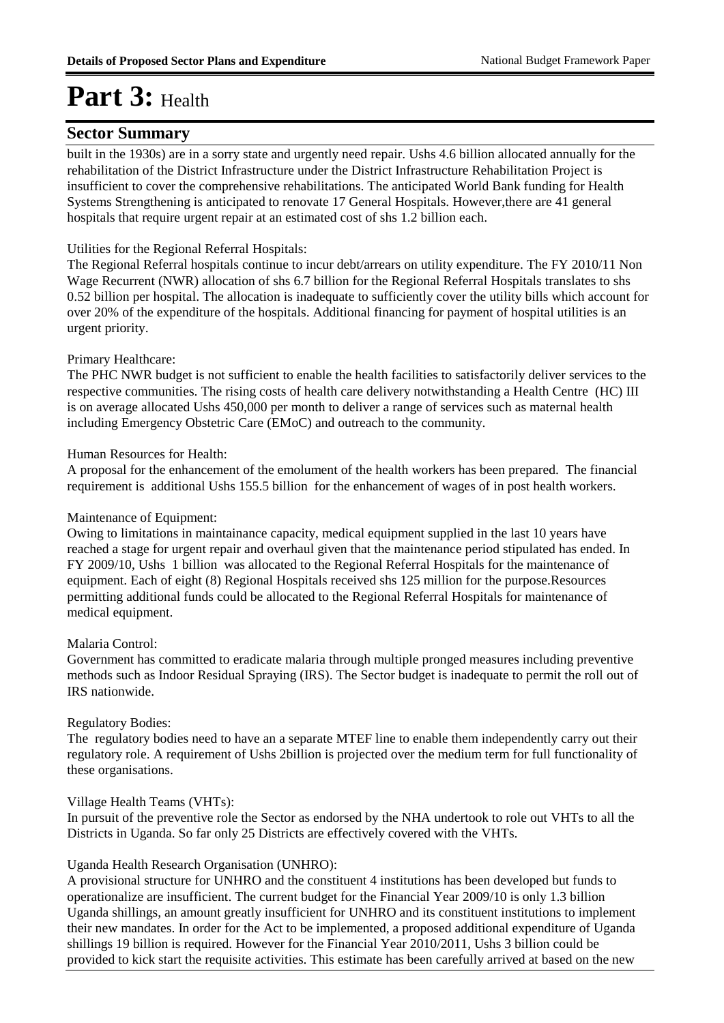### **Sector Summary**

built in the 1930s) are in a sorry state and urgently need repair. Ushs 4.6 billion allocated annually for the rehabilitation of the District Infrastructure under the District Infrastructure Rehabilitation Project is insufficient to cover the comprehensive rehabilitations. The anticipated World Bank funding for Health Systems Strengthening is anticipated to renovate 17 General Hospitals. However,there are 41 general hospitals that require urgent repair at an estimated cost of shs 1.2 billion each.

#### Utilities for the Regional Referral Hospitals:

The Regional Referral hospitals continue to incur debt/arrears on utility expenditure. The FY 2010/11 Non Wage Recurrent (NWR) allocation of shs 6.7 billion for the Regional Referral Hospitals translates to shs 0.52 billion per hospital. The allocation is inadequate to sufficiently cover the utility bills which account for over 20% of the expenditure of the hospitals. Additional financing for payment of hospital utilities is an urgent priority.

#### Primary Healthcare:

The PHC NWR budget is not sufficient to enable the health facilities to satisfactorily deliver services to the respective communities. The rising costs of health care delivery notwithstanding a Health Centre (HC) III is on average allocated Ushs 450,000 per month to deliver a range of services such as maternal health including Emergency Obstetric Care (EMoC) and outreach to the community.

#### Human Resources for Health:

A proposal for the enhancement of the emolument of the health workers has been prepared. The financial requirement is additional Ushs 155.5 billion for the enhancement of wages of in post health workers.

#### Maintenance of Equipment:

Owing to limitations in maintainance capacity, medical equipment supplied in the last 10 years have reached a stage for urgent repair and overhaul given that the maintenance period stipulated has ended. In FY 2009/10, Ushs 1 billion was allocated to the Regional Referral Hospitals for the maintenance of equipment. Each of eight (8) Regional Hospitals received shs 125 million for the purpose.Resources permitting additional funds could be allocated to the Regional Referral Hospitals for maintenance of medical equipment.

#### Malaria Control:

Government has committed to eradicate malaria through multiple pronged measures including preventive methods such as Indoor Residual Spraying (IRS). The Sector budget is inadequate to permit the roll out of IRS nationwide.

#### Regulatory Bodies:

The regulatory bodies need to have an a separate MTEF line to enable them independently carry out their regulatory role. A requirement of Ushs 2billion is projected over the medium term for full functionality of these organisations.

#### Village Health Teams (VHTs):

In pursuit of the preventive role the Sector as endorsed by the NHA undertook to role out VHTs to all the Districts in Uganda. So far only 25 Districts are effectively covered with the VHTs.

#### Uganda Health Research Organisation (UNHRO):

A provisional structure for UNHRO and the constituent 4 institutions has been developed but funds to operationalize are insufficient. The current budget for the Financial Year 2009/10 is only 1.3 billion Uganda shillings, an amount greatly insufficient for UNHRO and its constituent institutions to implement their new mandates. In order for the Act to be implemented, a proposed additional expenditure of Uganda shillings 19 billion is required. However for the Financial Year 2010/2011, Ushs 3 billion could be provided to kick start the requisite activities. This estimate has been carefully arrived at based on the new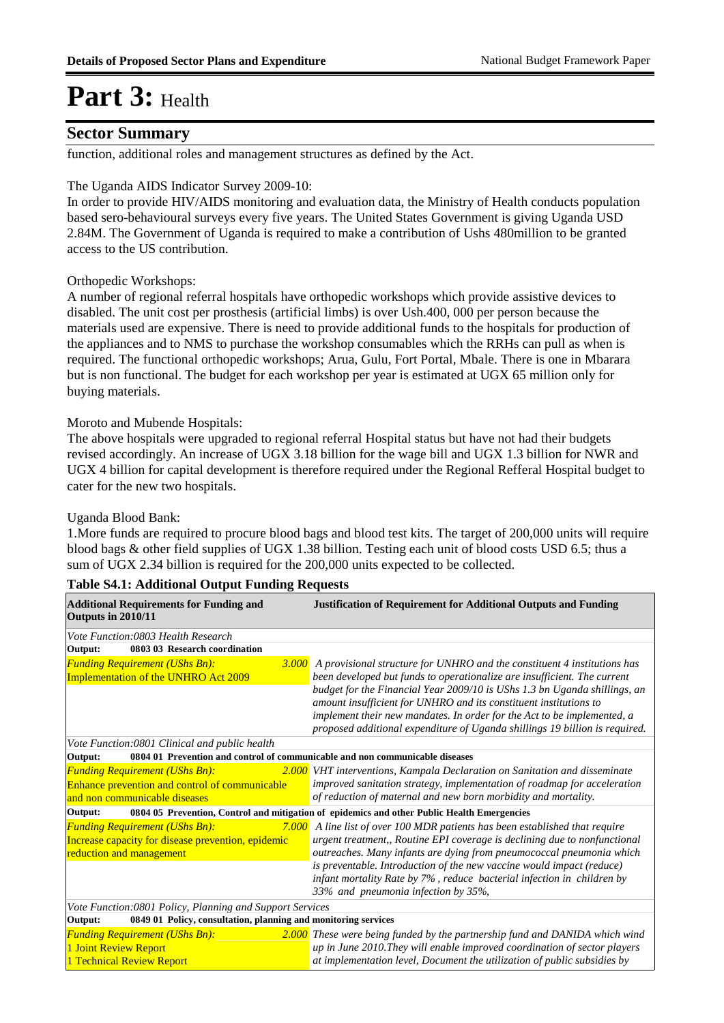### **Sector Summary**

function, additional roles and management structures as defined by the Act.

#### The Uganda AIDS Indicator Survey 2009-10:

In order to provide HIV/AIDS monitoring and evaluation data, the Ministry of Health conducts population based sero-behavioural surveys every five years. The United States Government is giving Uganda USD 2.84M. The Government of Uganda is required to make a contribution of Ushs 480million to be granted access to the US contribution.

#### Orthopedic Workshops:

A number of regional referral hospitals have orthopedic workshops which provide assistive devices to disabled. The unit cost per prosthesis (artificial limbs) is over Ush.400, 000 per person because the materials used are expensive. There is need to provide additional funds to the hospitals for production of the appliances and to NMS to purchase the workshop consumables which the RRHs can pull as when is required. The functional orthopedic workshops; Arua, Gulu, Fort Portal, Mbale. There is one in Mbarara but is non functional. The budget for each workshop per year is estimated at UGX 65 million only for buying materials.

#### Moroto and Mubende Hospitals:

The above hospitals were upgraded to regional referral Hospital status but have not had their budgets revised accordingly. An increase of UGX 3.18 billion for the wage bill and UGX 1.3 billion for NWR and UGX 4 billion for capital development is therefore required under the Regional Refferal Hospital budget to cater for the new two hospitals.

#### Uganda Blood Bank:

1.More funds are required to procure blood bags and blood test kits. The target of 200,000 units will require blood bags & other field supplies of UGX 1.38 billion. Testing each unit of blood costs USD 6.5; thus a sum of UGX 2.34 billion is required for the 200,000 units expected to be collected.

| <b>Additional Requirements for Funding and</b><br>Outputs in 2010/11                    | <b>Justification of Requirement for Additional Outputs and Funding</b>                                                                                 |  |  |  |  |  |
|-----------------------------------------------------------------------------------------|--------------------------------------------------------------------------------------------------------------------------------------------------------|--|--|--|--|--|
| Vote Function:0803 Health Research                                                      |                                                                                                                                                        |  |  |  |  |  |
| 0803 03 Research coordination<br>Output:                                                |                                                                                                                                                        |  |  |  |  |  |
| <b>Funding Requirement (UShs Bn):</b>                                                   | 3.000 A provisional structure for UNHRO and the constituent 4 institutions has                                                                         |  |  |  |  |  |
| Implementation of the UNHRO Act 2009                                                    | been developed but funds to operationalize are insufficient. The current                                                                               |  |  |  |  |  |
|                                                                                         | budget for the Financial Year 2009/10 is UShs 1.3 bn Uganda shillings, an                                                                              |  |  |  |  |  |
|                                                                                         | amount insufficient for UNHRO and its constituent institutions to                                                                                      |  |  |  |  |  |
|                                                                                         | implement their new mandates. In order for the Act to be implemented, a<br>proposed additional expenditure of Uganda shillings 19 billion is required. |  |  |  |  |  |
| Vote Function:0801 Clinical and public health                                           |                                                                                                                                                        |  |  |  |  |  |
| 0804 01 Prevention and control of communicable and non communicable diseases<br>Output: |                                                                                                                                                        |  |  |  |  |  |
| <b>Funding Requirement (UShs Bn):</b>                                                   | 2.000 VHT interventions, Kampala Declaration on Sanitation and disseminate                                                                             |  |  |  |  |  |
| Enhance prevention and control of communicable                                          | improved sanitation strategy, implementation of roadmap for acceleration                                                                               |  |  |  |  |  |
| and non communicable diseases                                                           | of reduction of maternal and new born morbidity and mortality.                                                                                         |  |  |  |  |  |
| Output:                                                                                 | 0804 05 Prevention, Control and mitigation of epidemics and other Public Health Emergencies                                                            |  |  |  |  |  |
| <b>Funding Requirement (UShs Bn):</b><br>7.000                                          | A line list of over 100 MDR patients has been established that require                                                                                 |  |  |  |  |  |
| Increase capacity for disease prevention, epidemic                                      | urgent treatment,, Routine EPI coverage is declining due to nonfunctional                                                                              |  |  |  |  |  |
| reduction and management                                                                | outreaches. Many infants are dying from pneumococcal pneumonia which                                                                                   |  |  |  |  |  |
|                                                                                         | is preventable. Introduction of the new vaccine would impact (reduce)                                                                                  |  |  |  |  |  |
|                                                                                         | infant mortality Rate by 7%, reduce bacterial infection in children by                                                                                 |  |  |  |  |  |
|                                                                                         | 33% and pneumonia infection by 35%,                                                                                                                    |  |  |  |  |  |
| Vote Function:0801 Policy, Planning and Support Services                                |                                                                                                                                                        |  |  |  |  |  |
| 0849 01 Policy, consultation, planning and monitoring services<br>Output:               |                                                                                                                                                        |  |  |  |  |  |
| <b>Funding Requirement (UShs Bn):</b>                                                   | <b>2.000</b> These were being funded by the partnership fund and DANIDA which wind                                                                     |  |  |  |  |  |
| 1 Joint Review Report                                                                   | up in June 2010. They will enable improved coordination of sector players                                                                              |  |  |  |  |  |
| 1 Technical Review Report                                                               | at implementation level, Document the utilization of public subsidies by                                                                               |  |  |  |  |  |

#### **Table S4.1: Additional Output Funding Requests**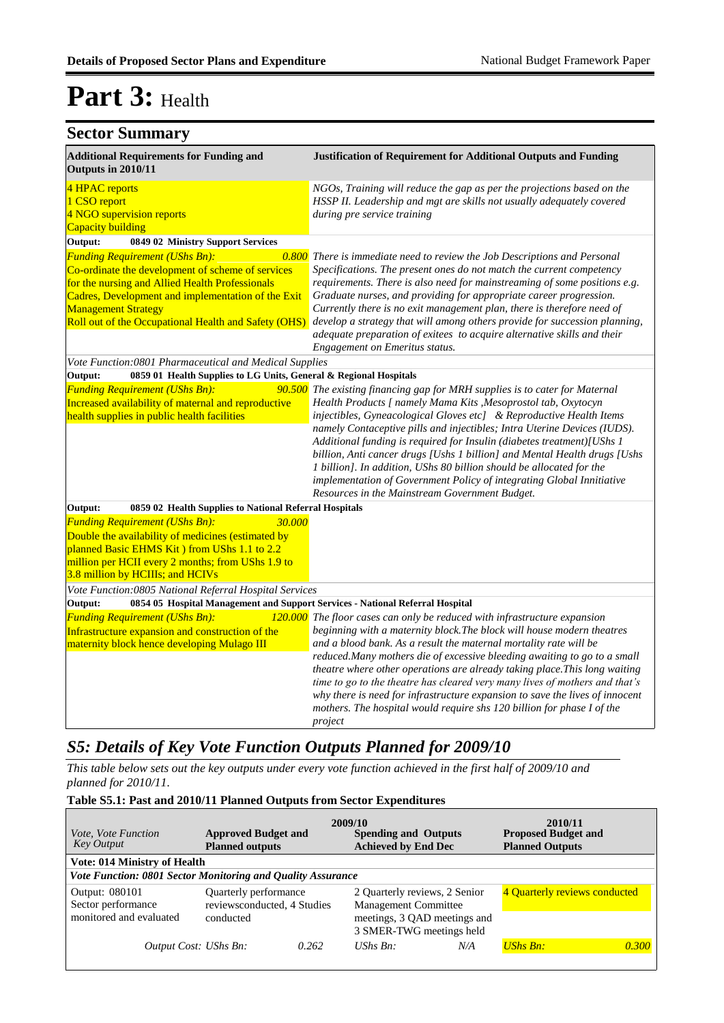### **Sector Summary**

| <b>Additional Requirements for Funding and</b><br>Outputs in 2010/11                                                                                                                                                                                                                      | <b>Justification of Requirement for Additional Outputs and Funding</b>                                                                                                                                                                                                                                                                                                                                                                                                                                                                                                                                                                                     |
|-------------------------------------------------------------------------------------------------------------------------------------------------------------------------------------------------------------------------------------------------------------------------------------------|------------------------------------------------------------------------------------------------------------------------------------------------------------------------------------------------------------------------------------------------------------------------------------------------------------------------------------------------------------------------------------------------------------------------------------------------------------------------------------------------------------------------------------------------------------------------------------------------------------------------------------------------------------|
| 4 HPAC reports<br>1 CSO report<br>4 NGO supervision reports<br>Capacity building                                                                                                                                                                                                          | NGOs, Training will reduce the gap as per the projections based on the<br>HSSP II. Leadership and mgt are skills not usually adequately covered<br>during pre service training                                                                                                                                                                                                                                                                                                                                                                                                                                                                             |
| Output:<br>0849 02 Ministry Support Services                                                                                                                                                                                                                                              |                                                                                                                                                                                                                                                                                                                                                                                                                                                                                                                                                                                                                                                            |
| <b>Funding Requirement (UShs Bn):</b><br>Co-ordinate the development of scheme of services<br>for the nursing and Allied Health Professionals<br>Cadres, Development and implementation of the Exit<br><b>Management Strategy</b><br>Roll out of the Occupational Health and Safety (OHS) | 0.800 There is immediate need to review the Job Descriptions and Personal<br>Specifications. The present ones do not match the current competency<br>requirements. There is also need for mainstreaming of some positions e.g.<br>Graduate nurses, and providing for appropriate career progression.<br>Currently there is no exit management plan, there is therefore need of<br>develop a strategy that will among others provide for succession planning,<br>adequate preparation of exitees to acquire alternative skills and their<br><b>Engagement on Emeritus status.</b>                                                                           |
| Vote Function:0801 Pharmaceutical and Medical Supplies                                                                                                                                                                                                                                    |                                                                                                                                                                                                                                                                                                                                                                                                                                                                                                                                                                                                                                                            |
| Output:<br>0859 01 Health Supplies to LG Units, General & Regional Hospitals                                                                                                                                                                                                              |                                                                                                                                                                                                                                                                                                                                                                                                                                                                                                                                                                                                                                                            |
| <b>Funding Requirement (UShs Bn):</b><br>Increased availability of maternal and reproductive<br>health supplies in public health facilities                                                                                                                                               | 90.500 The existing financing gap for MRH supplies is to cater for Maternal<br>Health Products [ namely Mama Kits , Mesoprostol tab, Oxytocyn<br>injectibles, Gyneacological Gloves etc] & Reproductive Health Items<br>namely Contaceptive pills and injectibles; Intra Uterine Devices (IUDS).<br>Additional funding is required for Insulin (diabetes treatment)[UShs 1<br>billion, Anti cancer drugs [Ushs 1 billion] and Mental Health drugs [Ushs<br>1 billion]. In addition, UShs 80 billion should be allocated for the<br>implementation of Government Policy of integrating Global Innitiative<br>Resources in the Mainstream Government Budget. |
| 0859 02 Health Supplies to National Referral Hospitals<br>Output:                                                                                                                                                                                                                         |                                                                                                                                                                                                                                                                                                                                                                                                                                                                                                                                                                                                                                                            |
| <b>Funding Requirement (UShs Bn):</b><br>30.000<br>Double the availability of medicines (estimated by<br>planned Basic EHMS Kit) from UShs 1.1 to 2.2<br>million per HCII every 2 months; from UShs 1.9 to<br>3.8 million by HCIIIs; and HCIVs                                            |                                                                                                                                                                                                                                                                                                                                                                                                                                                                                                                                                                                                                                                            |
| Vote Function: 0805 National Referral Hospital Services                                                                                                                                                                                                                                   |                                                                                                                                                                                                                                                                                                                                                                                                                                                                                                                                                                                                                                                            |
| Output:<br>0854 05 Hospital Management and Support Services - National Referral Hospital                                                                                                                                                                                                  |                                                                                                                                                                                                                                                                                                                                                                                                                                                                                                                                                                                                                                                            |
| <b>Funding Requirement (UShs Bn):</b><br>Infrastructure expansion and construction of the<br>maternity block hence developing Mulago III                                                                                                                                                  | 120.000 The floor cases can only be reduced with infrastructure expansion<br>beginning with a maternity block. The block will house modern theatres<br>and a blood bank. As a result the maternal mortality rate will be<br>reduced.Many mothers die of excessive bleeding awaiting to go to a small<br>theatre where other operations are already taking place. This long waiting<br>time to go to the theatre has cleared very many lives of mothers and that's<br>why there is need for infrastructure expansion to save the lives of innocent<br>mothers. The hospital would require shs 120 billion for phase I of the<br>project                     |

### *S5: Details of Key Vote Function Outputs Planned for 2009/10*

*This table below sets out the key outputs under every vote function achieved in the first half of 2009/10 and planned for 2010/11.*

#### **Table S5.1: Past and 2010/11 Planned Outputs from Sector Expenditures**

| <i>Vote, Vote Function</i><br><b>Key Output</b> |                                                             | 2009/10<br><b>Approved Budget and</b><br><b>Spending and Outputs</b><br><b>Achieved by End Dec</b><br><b>Planned outputs</b> |                                                              |     | 2010/11<br><b>Proposed Budget and</b><br><b>Planned Outputs</b> |       |  |
|-------------------------------------------------|-------------------------------------------------------------|------------------------------------------------------------------------------------------------------------------------------|--------------------------------------------------------------|-----|-----------------------------------------------------------------|-------|--|
| <b>Vote: 014 Ministry of Health</b>             |                                                             |                                                                                                                              |                                                              |     |                                                                 |       |  |
|                                                 | Vote Function: 0801 Sector Monitoring and Quality Assurance |                                                                                                                              |                                                              |     |                                                                 |       |  |
| Output: 080101<br>Sector performance            | Quarterly performance<br>reviewsconducted, 4 Studies        |                                                                                                                              | 2 Quarterly reviews, 2 Senior<br><b>Management Committee</b> |     | 4 Ouarterly reviews conducted                                   |       |  |
| monitored and evaluated                         | conducted                                                   |                                                                                                                              | meetings, 3 QAD meetings and<br>3 SMER-TWG meetings held     |     |                                                                 |       |  |
| Output Cost: UShs Bn:                           |                                                             | 0.262                                                                                                                        | $UShs Bn$ :                                                  | N/A | <b>UShs Bn:</b>                                                 | 0.300 |  |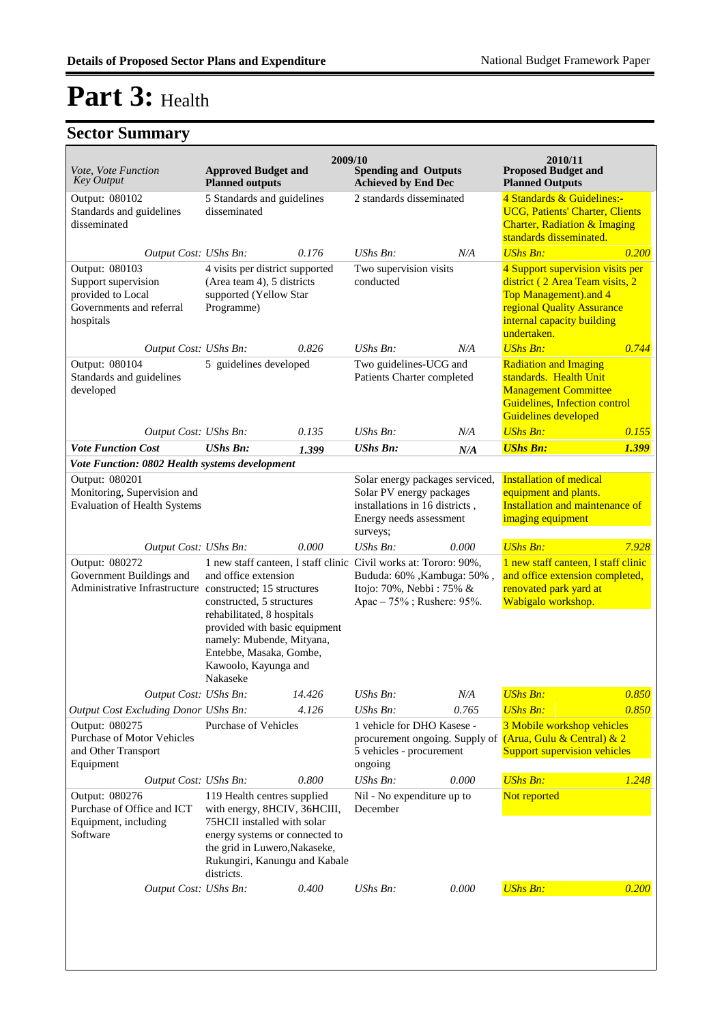| <i>Vote, Vote Function</i><br><b>Key Output</b>                                                                                        | 2009/10<br><b>Approved Budget and</b><br><b>Planned outputs</b>                                                                                                                                                                                                      |                                                                                                                                                                                                | <b>Spending and Outputs</b><br><b>Achieved by End Dec</b>                                                                            |                            | 2010/11<br><b>Proposed Budget and</b><br><b>Planned Outputs</b>                                                                                                         |       |
|----------------------------------------------------------------------------------------------------------------------------------------|----------------------------------------------------------------------------------------------------------------------------------------------------------------------------------------------------------------------------------------------------------------------|------------------------------------------------------------------------------------------------------------------------------------------------------------------------------------------------|--------------------------------------------------------------------------------------------------------------------------------------|----------------------------|-------------------------------------------------------------------------------------------------------------------------------------------------------------------------|-------|
| Output: 080102<br>Standards and guidelines<br>disseminated                                                                             | 5 Standards and guidelines<br>disseminated                                                                                                                                                                                                                           |                                                                                                                                                                                                | 2 standards disseminated                                                                                                             |                            | 4 Standards & Guidelines:-<br><b>UCG, Patients' Charter, Clients</b><br><b>Charter, Radiation &amp; Imaging</b><br>standards disseminated.                              |       |
| Output Cost: UShs Bn:                                                                                                                  |                                                                                                                                                                                                                                                                      | 0.176                                                                                                                                                                                          | $UShs Bn$ :                                                                                                                          | N/A                        | <b>UShs Bn:</b>                                                                                                                                                         | 0.200 |
| Output: 080103<br>Support supervision<br>provided to Local<br>Governments and referral<br>hospitals                                    | 4 visits per district supported<br>(Area team 4), 5 districts<br>supported (Yellow Star<br>Programme)                                                                                                                                                                |                                                                                                                                                                                                | Two supervision visits<br>conducted                                                                                                  |                            | 4 Support supervision visits per<br>district (2 Area Team visits, 2<br>Top Management).and 4<br>regional Quality Assurance<br>internal capacity building<br>undertaken. |       |
| Output Cost: UShs Bn:                                                                                                                  |                                                                                                                                                                                                                                                                      | 0.826                                                                                                                                                                                          | $UShs Bn$ :                                                                                                                          | N/A                        | <b>UShs Bn:</b>                                                                                                                                                         | 0.744 |
| Output: 080104<br>Standards and guidelines<br>developed                                                                                | 5 guidelines developed                                                                                                                                                                                                                                               |                                                                                                                                                                                                | Two guidelines-UCG and<br>Patients Charter completed                                                                                 |                            | <b>Radiation and Imaging</b><br>standards. Health Unit<br><b>Management Committee</b><br>Guidelines, Infection control<br><b>Guidelines developed</b>                   |       |
| Output Cost: UShs Bn:                                                                                                                  |                                                                                                                                                                                                                                                                      | 0.135                                                                                                                                                                                          | $UShs Bn$ :                                                                                                                          | N/A                        | <b>UShs Bn:</b>                                                                                                                                                         | 0.155 |
| <b>Vote Function Cost</b>                                                                                                              | <b>UShs Bn:</b>                                                                                                                                                                                                                                                      | 1.399                                                                                                                                                                                          | <b>UShs Bn:</b>                                                                                                                      | N/A                        | <b>UShs Bn:</b>                                                                                                                                                         | 1.399 |
| Vote Function: 0802 Health systems development<br>Output: 080201<br>Monitoring, Supervision and<br><b>Evaluation of Health Systems</b> |                                                                                                                                                                                                                                                                      |                                                                                                                                                                                                | Solar energy packages serviced,<br>Solar PV energy packages<br>installations in 16 districts,<br>Energy needs assessment<br>surveys; |                            | <b>Installation of medical</b><br>equipment and plants.<br>Installation and maintenance of<br>imaging equipment                                                         |       |
| Output Cost: UShs Bn:                                                                                                                  |                                                                                                                                                                                                                                                                      | 0.000                                                                                                                                                                                          | $UShs Bn$ :                                                                                                                          | 0.000                      | <b>UShs Bn:</b>                                                                                                                                                         | 7.928 |
| Output: 080272<br>Government Buildings and<br>Administrative Infrastructure constructed; 15 structures                                 | 1 new staff canteen, I staff clinic Civil works at: Tororo: 90%,<br>and office extension<br>constructed, 5 structures<br>rehabilitated, 8 hospitals<br>provided with basic equipment<br>namely: Mubende, Mityana,<br>Entebbe, Masaka, Gombe,<br>Kawoolo, Kayunga and |                                                                                                                                                                                                | Bududa: 60% , Kambuga: 50%,<br>Itojo: 70%, Nebbi : 75% &<br>Apac - 75%; Rushere: 95%.                                                |                            | 1 new staff canteen, I staff clinic<br>and office extension completed,<br>renovated park yard at<br>Wabigalo workshop.                                                  |       |
| Output Cost: UShs Bn:                                                                                                                  |                                                                                                                                                                                                                                                                      | 14.426                                                                                                                                                                                         | UShs Bn:                                                                                                                             | N/A                        | <b>UShs Bn:</b>                                                                                                                                                         | 0.850 |
| Output Cost Excluding Donor UShs Bn:                                                                                                   |                                                                                                                                                                                                                                                                      | 4.126                                                                                                                                                                                          | UShs Bn:                                                                                                                             | 0.765                      | <b>UShs Bn:</b>                                                                                                                                                         | 0.850 |
| Output: 080275<br>Purchase of Motor Vehicles<br>and Other Transport<br>Equipment                                                       | <b>Purchase of Vehicles</b>                                                                                                                                                                                                                                          |                                                                                                                                                                                                | 1 vehicle for DHO Kasese -<br>5 vehicles - procurement<br>ongoing                                                                    |                            | 3 Mobile workshop vehicles<br>procurement ongoing. Supply of (Arua, Gulu & Central) & 2<br><b>Support supervision vehicles</b>                                          |       |
| Output Cost: UShs Bn:                                                                                                                  |                                                                                                                                                                                                                                                                      | 0.800                                                                                                                                                                                          | UShs Bn:                                                                                                                             | 0.000                      | <b>UShs Bn:</b>                                                                                                                                                         | 1.248 |
| Output: 080276<br>Purchase of Office and ICT<br>Equipment, including<br>Software                                                       | districts.                                                                                                                                                                                                                                                           | 119 Health centres supplied<br>with energy, 8HCIV, 36HCIII,<br>75HCII installed with solar<br>energy systems or connected to<br>the grid in Luwero, Nakaseke,<br>Rukungiri, Kanungu and Kabale |                                                                                                                                      | Nil - No expenditure up to | Not reported                                                                                                                                                            |       |
| Output Cost: UShs Bn:                                                                                                                  |                                                                                                                                                                                                                                                                      | 0.400                                                                                                                                                                                          | UShs Bn:                                                                                                                             | 0.000                      | <b>UShs Bn:</b>                                                                                                                                                         | 0.200 |
|                                                                                                                                        |                                                                                                                                                                                                                                                                      |                                                                                                                                                                                                |                                                                                                                                      |                            |                                                                                                                                                                         |       |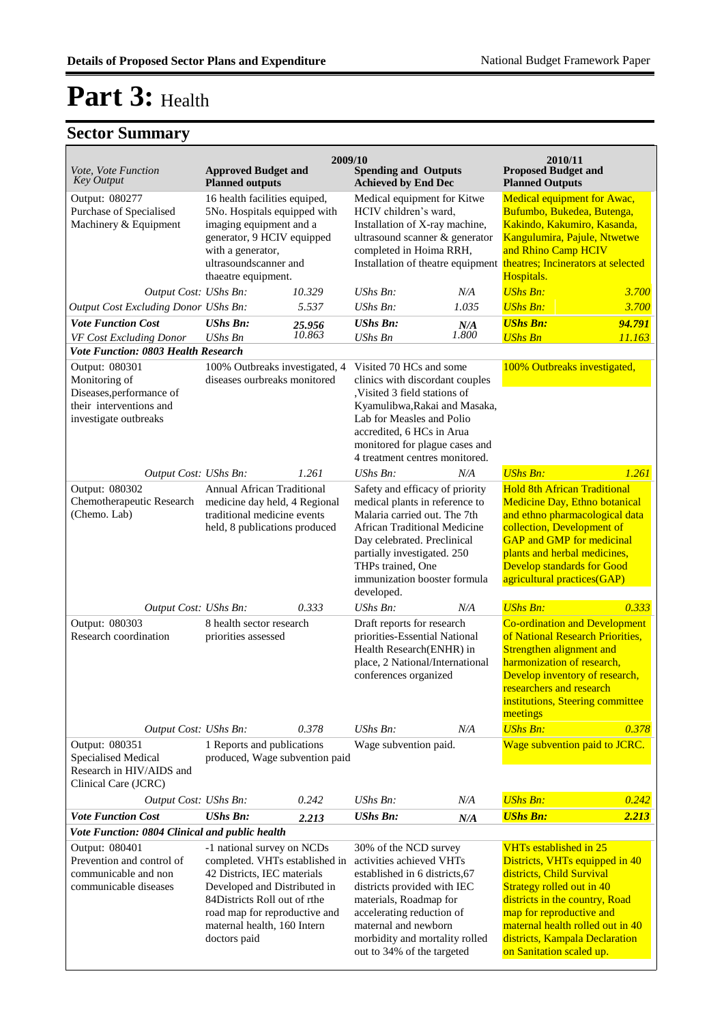| Vote, Vote Function<br><b>Key Output</b>                                                                                                                                                                                                                                                                                                                                                      | <b>Approved Budget and</b><br><b>Planned outputs</b>                                                                                                                                        | 2009/10                                                                                                                                                                                                                                                           | <b>Spending and Outputs</b><br><b>Achieved by End Dec</b>                                                                                                                                                                                                          |                                                                                                                                                                                                                                                                                           | 2010/11<br><b>Proposed Budget and</b><br><b>Planned Outputs</b>                                                                                                                                                                                                                     |                  |
|-----------------------------------------------------------------------------------------------------------------------------------------------------------------------------------------------------------------------------------------------------------------------------------------------------------------------------------------------------------------------------------------------|---------------------------------------------------------------------------------------------------------------------------------------------------------------------------------------------|-------------------------------------------------------------------------------------------------------------------------------------------------------------------------------------------------------------------------------------------------------------------|--------------------------------------------------------------------------------------------------------------------------------------------------------------------------------------------------------------------------------------------------------------------|-------------------------------------------------------------------------------------------------------------------------------------------------------------------------------------------------------------------------------------------------------------------------------------------|-------------------------------------------------------------------------------------------------------------------------------------------------------------------------------------------------------------------------------------------------------------------------------------|------------------|
| Output: 080277<br>Purchase of Specialised<br>Machinery & Equipment                                                                                                                                                                                                                                                                                                                            | 16 health facilities equiped,<br>5No. Hospitals equipped with<br>imaging equipment and a<br>generator, 9 HCIV equipped<br>with a generator,<br>ultrasoundscanner and<br>thaeatre equipment. |                                                                                                                                                                                                                                                                   | Medical equipment for Kitwe<br>HCIV children's ward,<br>Installation of X-ray machine,<br>ultrasound scanner & generator<br>completed in Hoima RRH,                                                                                                                |                                                                                                                                                                                                                                                                                           | Medical equipment for Awac,<br>Bufumbo, Bukedea, Butenga,<br>Kakindo, Kakumiro, Kasanda,<br>Kangulumira, Pajule, Ntwetwe<br>and Rhino Camp HCIV<br>Installation of theatre equipment theatres; Incinerators at selected<br>Hospitals.                                               |                  |
| Output Cost: UShs Bn:                                                                                                                                                                                                                                                                                                                                                                         |                                                                                                                                                                                             | 10.329                                                                                                                                                                                                                                                            | UShs Bn:                                                                                                                                                                                                                                                           | N/A                                                                                                                                                                                                                                                                                       | <b>UShs Bn:</b>                                                                                                                                                                                                                                                                     | 3.700            |
| Output Cost Excluding Donor UShs Bn:                                                                                                                                                                                                                                                                                                                                                          |                                                                                                                                                                                             | 5.537                                                                                                                                                                                                                                                             | UShs Bn:                                                                                                                                                                                                                                                           | 1.035                                                                                                                                                                                                                                                                                     | <b>UShs Bn:</b>                                                                                                                                                                                                                                                                     | 3.700            |
| <b>Vote Function Cost</b>                                                                                                                                                                                                                                                                                                                                                                     | <b>UShs Bn:</b><br><b>UShs Bn</b>                                                                                                                                                           | 25.956<br>10.863                                                                                                                                                                                                                                                  | <b>UShs Bn:</b><br><b>UShs Bn</b>                                                                                                                                                                                                                                  | N/A<br>1.800                                                                                                                                                                                                                                                                              | <b>UShs Bn:</b><br><b>UShs Bn</b>                                                                                                                                                                                                                                                   | 94.791<br>11.163 |
| VF Cost Excluding Donor<br>Vote Function: 0803 Health Research                                                                                                                                                                                                                                                                                                                                |                                                                                                                                                                                             |                                                                                                                                                                                                                                                                   |                                                                                                                                                                                                                                                                    |                                                                                                                                                                                                                                                                                           |                                                                                                                                                                                                                                                                                     |                  |
| Output: 080301<br>Monitoring of<br>Diseases, performance of<br>their interventions and<br>investigate outbreaks                                                                                                                                                                                                                                                                               | 100% Outbreaks investigated, 4<br>diseases ourbreaks monitored                                                                                                                              |                                                                                                                                                                                                                                                                   | Visited 70 HCs and some<br>clinics with discordant couples<br>Visited 3 field stations of<br>Kyamulibwa, Rakai and Masaka,<br>Lab for Measles and Polio<br>accredited, 6 HCs in Arua<br>monitored for plague cases and<br>4 treatment centres monitored.           |                                                                                                                                                                                                                                                                                           | 100% Outbreaks investigated,                                                                                                                                                                                                                                                        |                  |
| Output Cost: UShs Bn:                                                                                                                                                                                                                                                                                                                                                                         |                                                                                                                                                                                             | 1.261                                                                                                                                                                                                                                                             | UShs Bn:                                                                                                                                                                                                                                                           | N/A                                                                                                                                                                                                                                                                                       | <b>UShs Bn:</b>                                                                                                                                                                                                                                                                     | 1.261            |
| Output: 080302<br>Chemotherapeutic Research<br>(Chemo. Lab)                                                                                                                                                                                                                                                                                                                                   | <b>Annual African Traditional</b><br>medicine day held, 4 Regional<br>traditional medicine events<br>held, 8 publications produced                                                          |                                                                                                                                                                                                                                                                   | Safety and efficacy of priority<br>medical plants in reference to<br>Malaria carried out. The 7th<br>African Traditional Medicine<br>Day celebrated. Preclinical<br>partially investigated. 250<br>THPs trained, One<br>immunization booster formula<br>developed. |                                                                                                                                                                                                                                                                                           | <b>Hold 8th African Traditional</b><br>Medicine Day, Ethno botanical<br>and ethno pharmacological data<br>collection, Development of<br><b>GAP</b> and <b>GMP</b> for medicinal<br>plants and herbal medicines,<br><b>Develop standards for Good</b><br>agricultural practices(GAP) |                  |
| Output Cost: UShs Bn:                                                                                                                                                                                                                                                                                                                                                                         |                                                                                                                                                                                             | 0.333                                                                                                                                                                                                                                                             | UShs Bn:                                                                                                                                                                                                                                                           | N/A                                                                                                                                                                                                                                                                                       | <b>UShs Bn:</b>                                                                                                                                                                                                                                                                     | 0.333            |
| Output: 080303<br>Research coordination                                                                                                                                                                                                                                                                                                                                                       | 8 health sector research<br>priorities assessed                                                                                                                                             |                                                                                                                                                                                                                                                                   | Draft reports for research<br>priorities-Essential National<br>Health Research(ENHR) in<br>place, 2 National/International<br>conferences organized                                                                                                                |                                                                                                                                                                                                                                                                                           | <b>Co-ordination and Development</b><br>of National Research Priorities,<br>Strengthen alignment and<br>harmonization of research,<br>Develop inventory of research,<br>researchers and research<br>institutions, Steering committee<br>meetings                                    |                  |
| Output Cost: UShs Bn:                                                                                                                                                                                                                                                                                                                                                                         |                                                                                                                                                                                             | 0.378                                                                                                                                                                                                                                                             | UShs Bn:                                                                                                                                                                                                                                                           | N/A                                                                                                                                                                                                                                                                                       | <b>UShs Bn:</b>                                                                                                                                                                                                                                                                     | 0.378            |
| Output: 080351<br>Specialised Medical<br>Research in HIV/AIDS and<br>Clinical Care (JCRC)                                                                                                                                                                                                                                                                                                     | 1 Reports and publications<br>produced, Wage subvention paid                                                                                                                                |                                                                                                                                                                                                                                                                   | Wage subvention paid.                                                                                                                                                                                                                                              |                                                                                                                                                                                                                                                                                           | Wage subvention paid to JCRC.                                                                                                                                                                                                                                                       |                  |
| Output Cost: UShs Bn:                                                                                                                                                                                                                                                                                                                                                                         |                                                                                                                                                                                             | 0.242                                                                                                                                                                                                                                                             | UShs Bn:                                                                                                                                                                                                                                                           | N/A                                                                                                                                                                                                                                                                                       | <b>UShs Bn:</b>                                                                                                                                                                                                                                                                     | 0.242            |
| <b>Vote Function Cost</b>                                                                                                                                                                                                                                                                                                                                                                     | <b>UShs Bn:</b>                                                                                                                                                                             | 2.213                                                                                                                                                                                                                                                             | <b>UShs Bn:</b>                                                                                                                                                                                                                                                    | N/A                                                                                                                                                                                                                                                                                       | <b>UShs Bn:</b>                                                                                                                                                                                                                                                                     | 2.213            |
| Vote Function: 0804 Clinical and public health<br>Output: 080401<br>-1 national survey on NCDs<br>Prevention and control of<br>completed. VHTs established in<br>communicable and non<br>42 Districts, IEC materials<br>communicable diseases<br>Developed and Distributed in<br>84Districts Roll out of rthe<br>road map for reproductive and<br>maternal health, 160 Intern<br>doctors paid |                                                                                                                                                                                             | 30% of the NCD survey<br>activities achieved VHTs<br>established in 6 districts, 67<br>districts provided with IEC<br>materials, Roadmap for<br>accelerating reduction of<br>maternal and newborn<br>morbidity and mortality rolled<br>out to 34% of the targeted |                                                                                                                                                                                                                                                                    | <b>VHTs established in 25</b><br>Districts, VHTs equipped in 40<br>districts, Child Survival<br>Strategy rolled out in 40<br>districts in the country, Road<br>map for reproductive and<br>maternal health rolled out in 40<br>districts, Kampala Declaration<br>on Sanitation scaled up. |                                                                                                                                                                                                                                                                                     |                  |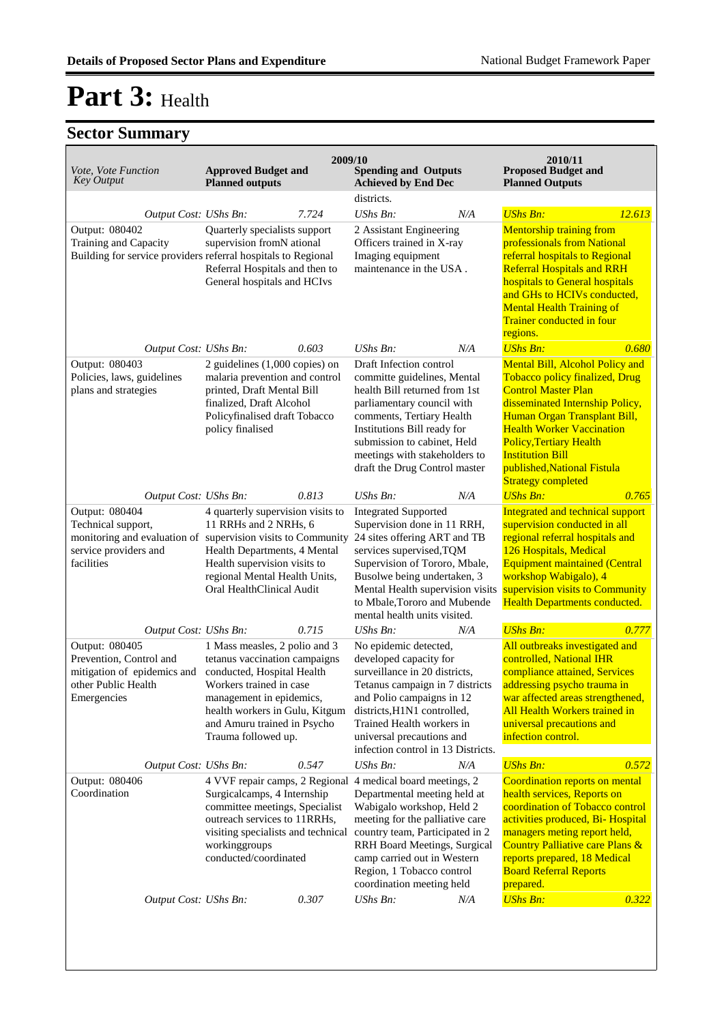| Vote, Vote Function<br><b>Key Output</b>                                                                       | <b>Approved Budget and</b><br><b>Planned outputs</b>                                                                                                                                                                                                                                       | 2009/10 | <b>Spending and Outputs</b><br><b>Achieved by End Dec</b>                                                                                                                                                                                                                                  |     | 2010/11<br><b>Proposed Budget and</b><br><b>Planned Outputs</b>                                                                                                                                                                                                                                                                 |        |
|----------------------------------------------------------------------------------------------------------------|--------------------------------------------------------------------------------------------------------------------------------------------------------------------------------------------------------------------------------------------------------------------------------------------|---------|--------------------------------------------------------------------------------------------------------------------------------------------------------------------------------------------------------------------------------------------------------------------------------------------|-----|---------------------------------------------------------------------------------------------------------------------------------------------------------------------------------------------------------------------------------------------------------------------------------------------------------------------------------|--------|
|                                                                                                                |                                                                                                                                                                                                                                                                                            |         | districts.                                                                                                                                                                                                                                                                                 |     |                                                                                                                                                                                                                                                                                                                                 |        |
| Output Cost: UShs Bn:                                                                                          |                                                                                                                                                                                                                                                                                            | 7.724   | UShs Bn:                                                                                                                                                                                                                                                                                   | N/A | <b>UShs Bn:</b>                                                                                                                                                                                                                                                                                                                 | 12.613 |
| Output: 080402<br>Training and Capacity<br>Building for service providers referral hospitals to Regional       | Quarterly specialists support<br>supervision fromN ational<br>Referral Hospitals and then to<br>General hospitals and HCIvs                                                                                                                                                                |         | 2 Assistant Engineering<br>Officers trained in X-ray<br>Imaging equipment<br>maintenance in the USA.                                                                                                                                                                                       |     | <b>Mentorship training from</b><br>professionals from National<br>referral hospitals to Regional<br><b>Referral Hospitals and RRH</b><br>hospitals to General hospitals<br>and GHs to HCIVs conducted,<br><b>Mental Health Training of</b><br>Trainer conducted in four<br>regions.                                             |        |
| Output Cost: UShs Bn:                                                                                          |                                                                                                                                                                                                                                                                                            | 0.603   | UShs Bn:                                                                                                                                                                                                                                                                                   | N/A | <b>UShs Bn:</b>                                                                                                                                                                                                                                                                                                                 | 0.680  |
| Output: 080403<br>Policies, laws, guidelines<br>plans and strategies                                           | 2 guidelines $(1,000$ copies) on<br>malaria prevention and control<br>printed, Draft Mental Bill<br>finalized, Draft Alcohol<br>Policyfinalised draft Tobacco<br>policy finalised                                                                                                          |         | Draft Infection control<br>committe guidelines, Mental<br>health Bill returned from 1st<br>parliamentary council with<br>comments, Tertiary Health<br>Institutions Bill ready for<br>submission to cabinet, Held<br>meetings with stakeholders to<br>draft the Drug Control master         |     | Mental Bill, Alcohol Policy and<br>Tobacco policy finalized, Drug<br><b>Control Master Plan</b><br>disseminated Internship Policy,<br>Human Organ Transplant Bill,<br><b>Health Worker Vaccination</b><br><b>Policy, Tertiary Health</b><br><b>Institution Bill</b><br>published, National Fistula<br><b>Strategy completed</b> |        |
|                                                                                                                |                                                                                                                                                                                                                                                                                            |         | UShs Bn:                                                                                                                                                                                                                                                                                   | N/A | <b>UShs Bn:</b>                                                                                                                                                                                                                                                                                                                 | 0.765  |
| Output: 080404<br>Technical support,<br>service providers and<br>facilities                                    | 0.813<br>Output Cost: UShs Bn:<br>4 quarterly supervision visits to<br>11 RRHs and 2 NRHs, 6<br>monitoring and evaluation of supervision visits to Community<br>Health Departments, 4 Mental<br>Health supervision visits to<br>regional Mental Health Units,<br>Oral HealthClinical Audit |         | <b>Integrated Supported</b><br>Supervision done in 11 RRH,<br>24 sites offering ART and TB<br>services supervised, TQM<br>Supervision of Tororo, Mbale,<br>Busolwe being undertaken, 3<br>Mental Health supervision visits<br>to Mbale, Tororo and Mubende<br>mental health units visited. |     | Integrated and technical support<br>supervision conducted in all<br>regional referral hospitals and<br>126 Hospitals, Medical<br><b>Equipment maintained (Central</b><br>workshop Wabigalo), 4<br>supervision visits to Community<br>Health Departments conducted.                                                              |        |
| Output Cost: UShs Bn:                                                                                          |                                                                                                                                                                                                                                                                                            | 0.715   | UShs Bn:                                                                                                                                                                                                                                                                                   | N/A | <b>UShs Bn:</b>                                                                                                                                                                                                                                                                                                                 | 0.777  |
| Output: 080405<br>Prevention, Control and<br>mitigation of epidemics and<br>other Public Health<br>Emergencies | 1 Mass measles, 2 polio and 3<br>tetanus vaccination campaigns<br>conducted, Hospital Health<br>Workers trained in case<br>management in epidemics,<br>health workers in Gulu, Kitgum<br>and Amuru trained in Psycho<br>Trauma followed up.                                                |         | No epidemic detected,<br>developed capacity for<br>surveillance in 20 districts,<br>Tetanus campaign in 7 districts<br>and Polio campaigns in 12<br>districts, H1N1 controlled,<br>Trained Health workers in<br>universal precautions and<br>infection control in 13 Districts.            |     | All outbreaks investigated and<br>controlled, National IHR<br>compliance attained, Services<br>addressing psycho trauma in<br>war affected areas strengthened,<br>All Health Workers trained in<br>universal precautions and<br>infection control.                                                                              |        |
| Output Cost: UShs Bn:                                                                                          |                                                                                                                                                                                                                                                                                            | 0.547   | UShs Bn:                                                                                                                                                                                                                                                                                   | N/A | <b>UShs Bn:</b>                                                                                                                                                                                                                                                                                                                 | 0.572  |
| Output: 080406<br>Coordination                                                                                 | 4 VVF repair camps, 2 Regional<br>Surgicalcamps, 4 Internship<br>committee meetings, Specialist<br>outreach services to 11RRHs,<br>visiting specialists and technical<br>workinggroups<br>conducted/coordinated                                                                            |         | 4 medical board meetings, 2<br>Departmental meeting held at<br>Wabigalo workshop, Held 2<br>meeting for the palliative care<br>country team, Participated in 2<br>RRH Board Meetings, Surgical<br>camp carried out in Western<br>Region, 1 Tobacco control<br>coordination meeting held    |     | Coordination reports on mental<br>health services, Reports on<br>coordination of Tobacco control<br>activities produced, Bi- Hospital<br>managers meting report held,<br>Country Palliative care Plans &<br>reports prepared, 18 Medical<br><b>Board Referral Reports</b><br>prepared.                                          |        |
| Output Cost: UShs Bn:                                                                                          |                                                                                                                                                                                                                                                                                            | 0.307   | <b>UShs Bn:</b>                                                                                                                                                                                                                                                                            | N/A | <b>UShs Bn:</b>                                                                                                                                                                                                                                                                                                                 | 0.322  |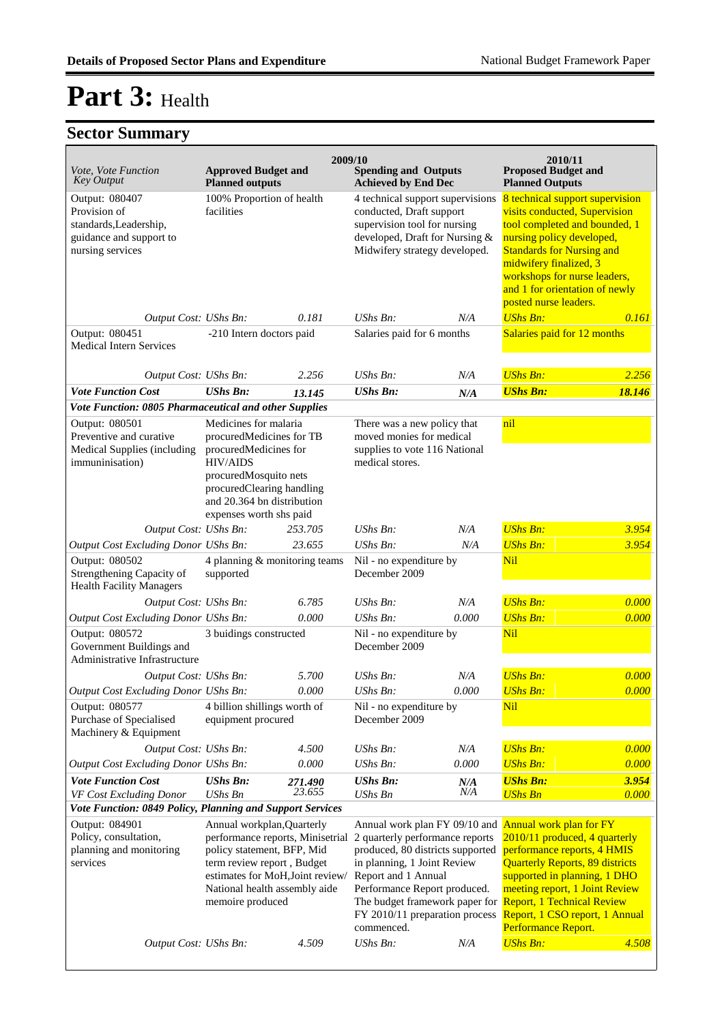| Vote, Vote Function<br><b>Key Output</b>                                                                | <b>Approved Budget and</b><br><b>Planned outputs</b>                                                                                                                                                                | 2009/10           | <b>Spending and Outputs</b><br><b>Achieved by End Dec</b>                                                                                                                                                                                                                    |            | 2010/11<br><b>Proposed Budget and</b><br><b>Planned Outputs</b>                                                                                                                                                                                                                                          |                |
|---------------------------------------------------------------------------------------------------------|---------------------------------------------------------------------------------------------------------------------------------------------------------------------------------------------------------------------|-------------------|------------------------------------------------------------------------------------------------------------------------------------------------------------------------------------------------------------------------------------------------------------------------------|------------|----------------------------------------------------------------------------------------------------------------------------------------------------------------------------------------------------------------------------------------------------------------------------------------------------------|----------------|
| Output: 080407<br>Provision of<br>standards, Leadership,<br>guidance and support to<br>nursing services | 100% Proportion of health<br>facilities                                                                                                                                                                             |                   | 4 technical support supervisions<br>conducted, Draft support<br>supervision tool for nursing<br>developed, Draft for Nursing &<br>Midwifery strategy developed.                                                                                                              |            | 8 technical support supervision<br>visits conducted, Supervision<br>tool completed and bounded, 1<br>nursing policy developed,<br><b>Standards for Nursing and</b><br>midwifery finalized, 3<br>workshops for nurse leaders,<br>and 1 for orientation of newly<br>posted nurse leaders.                  |                |
| Output Cost: UShs Bn:                                                                                   |                                                                                                                                                                                                                     | 0.181             | $\mathit{UShs}\, \mathit{Bn}$ :                                                                                                                                                                                                                                              | N/A        | <b>UShs Bn:</b>                                                                                                                                                                                                                                                                                          | 0.161          |
| Output: 080451<br><b>Medical Intern Services</b>                                                        | -210 Intern doctors paid                                                                                                                                                                                            |                   | Salaries paid for 6 months                                                                                                                                                                                                                                                   |            | Salaries paid for 12 months                                                                                                                                                                                                                                                                              |                |
| Output Cost: UShs Bn:                                                                                   |                                                                                                                                                                                                                     | 2.256             | UShs Bn:                                                                                                                                                                                                                                                                     | N/A        | <b>UShs Bn:</b>                                                                                                                                                                                                                                                                                          | 2.256          |
| <b>Vote Function Cost</b>                                                                               | <b>UShs Bn:</b>                                                                                                                                                                                                     | 13.145            | <b>UShs Bn:</b>                                                                                                                                                                                                                                                              | N/A        | <b>UShs Bn:</b>                                                                                                                                                                                                                                                                                          | 18.146         |
| Vote Function: 0805 Pharmaceutical and other Supplies                                                   |                                                                                                                                                                                                                     |                   |                                                                                                                                                                                                                                                                              |            |                                                                                                                                                                                                                                                                                                          |                |
| Output: 080501<br>Preventive and curative<br>Medical Supplies (including<br>immuninisation)             | Medicines for malaria<br>procuredMedicines for TB<br>procuredMedicines for<br><b>HIV/AIDS</b><br>procuredMosquito nets<br>procuredClearing handling<br>and 20.364 bn distribution<br>expenses worth shs paid        |                   | There was a new policy that<br>moved monies for medical<br>supplies to vote 116 National<br>medical stores.                                                                                                                                                                  |            | nil                                                                                                                                                                                                                                                                                                      |                |
| Output Cost: UShs Bn:                                                                                   |                                                                                                                                                                                                                     | 253.705           | <b>UShs Bn:</b>                                                                                                                                                                                                                                                              | N/A        | <b>UShs Bn:</b>                                                                                                                                                                                                                                                                                          | 3.954          |
| Output Cost Excluding Donor UShs Bn:                                                                    |                                                                                                                                                                                                                     | 23.655            | <b>UShs Bn:</b>                                                                                                                                                                                                                                                              | N/A        | <b>UShs Bn:</b>                                                                                                                                                                                                                                                                                          | 3.954          |
| Output: 080502<br>Strengthening Capacity of<br><b>Health Facility Managers</b>                          | 4 planning & monitoring teams<br>supported                                                                                                                                                                          |                   | Nil - no expenditure by<br>December 2009                                                                                                                                                                                                                                     |            | Nil                                                                                                                                                                                                                                                                                                      |                |
| Output Cost: UShs Bn:                                                                                   |                                                                                                                                                                                                                     | 6.785             | UShs Bn:                                                                                                                                                                                                                                                                     | N/A        | <b>UShs Bn:</b>                                                                                                                                                                                                                                                                                          | 0.000          |
| Output Cost Excluding Donor UShs Bn:                                                                    |                                                                                                                                                                                                                     | 0.000             | $UShs Bn$ :                                                                                                                                                                                                                                                                  | 0.000      | <b>UShs Bn:</b>                                                                                                                                                                                                                                                                                          | 0.000          |
| Output: 080572<br>Government Buildings and<br>Administrative Infrastructure                             | 3 buidings constructed                                                                                                                                                                                              |                   | Nil - no expenditure by<br>December 2009                                                                                                                                                                                                                                     |            | Nil                                                                                                                                                                                                                                                                                                      |                |
| Output Cost: UShs Bn:                                                                                   |                                                                                                                                                                                                                     | 5.700             | UShs Bn:                                                                                                                                                                                                                                                                     | N/A        | <b>UShs Bn:</b>                                                                                                                                                                                                                                                                                          | 0.000          |
| Output Cost Excluding Donor UShs Bn:                                                                    |                                                                                                                                                                                                                     | 0.000             | UShs Bn:                                                                                                                                                                                                                                                                     | 0.000      | <b>UShs Bn:</b>                                                                                                                                                                                                                                                                                          | 0.000          |
| Output: 080577<br>Purchase of Specialised<br>Machinery & Equipment                                      | 4 billion shillings worth of<br>equipment procured                                                                                                                                                                  |                   | Nil - no expenditure by<br>December 2009                                                                                                                                                                                                                                     |            | Nil                                                                                                                                                                                                                                                                                                      |                |
| Output Cost: UShs Bn:                                                                                   |                                                                                                                                                                                                                     | 4.500             | UShs Bn:                                                                                                                                                                                                                                                                     | N/A        | <b>UShs Bn:</b>                                                                                                                                                                                                                                                                                          | 0.000          |
| Output Cost Excluding Donor UShs Bn:                                                                    |                                                                                                                                                                                                                     | 0.000             | UShs Bn:                                                                                                                                                                                                                                                                     | 0.000      | <b>UShs Bn:</b>                                                                                                                                                                                                                                                                                          | 0.000          |
| <b>Vote Function Cost</b><br>VF Cost Excluding Donor                                                    | <b>UShs Bn:</b><br>UShs Bn                                                                                                                                                                                          | 271.490<br>23.655 | <b>UShs Bn:</b><br>UShs Bn                                                                                                                                                                                                                                                   | N/A<br>N/A | <b>UShs Bn:</b><br><b>UShs Bn</b>                                                                                                                                                                                                                                                                        | 3.954<br>0.000 |
| Vote Function: 0849 Policy, Planning and Support Services                                               |                                                                                                                                                                                                                     |                   |                                                                                                                                                                                                                                                                              |            |                                                                                                                                                                                                                                                                                                          |                |
| Output: 084901<br>Policy, consultation,<br>planning and monitoring<br>services                          | Annual workplan, Quarterly<br>performance reports, Minisetrial<br>policy statement, BFP, Mid<br>term review report, Budget<br>estimates for MoH, Joint review/<br>National health assembly aide<br>memoire produced |                   | Annual work plan FY 09/10 and<br>2 quarterly performance reports<br>produced, 80 districts supported<br>in planning, 1 Joint Review<br>Report and 1 Annual<br>Performance Report produced.<br>The budget framework paper for<br>FY 2010/11 preparation process<br>commenced. |            | <b>Annual work plan for FY</b><br>2010/11 produced, 4 quarterly<br>performance reports, 4 HMIS<br><b>Quarterly Reports, 89 districts</b><br>supported in planning, 1 DHO<br>meeting report, 1 Joint Review<br><b>Report, 1 Technical Review</b><br>Report, 1 CSO report, 1 Annual<br>Performance Report. |                |
| Output Cost: UShs Bn:                                                                                   |                                                                                                                                                                                                                     | 4.509             | UShs Bn:                                                                                                                                                                                                                                                                     | N/A        | <b>UShs Bn:</b>                                                                                                                                                                                                                                                                                          | 4.508          |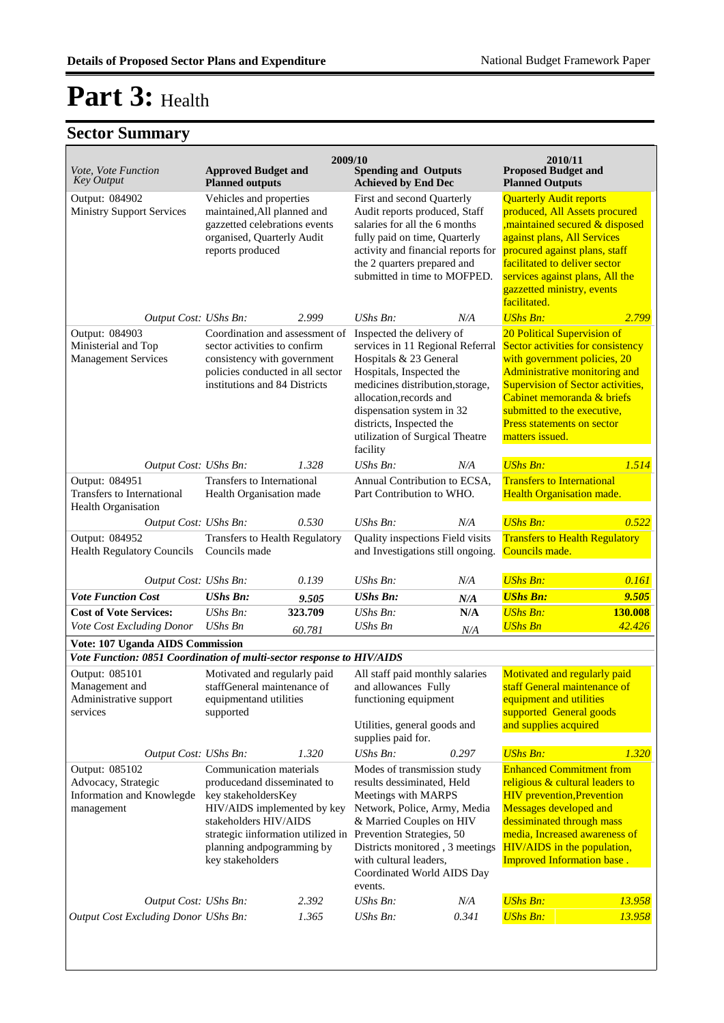|                                                                                  |                                                                                                                                                                                                                                                                                                                                                                                                                                                                  | 2009/10           |                                                                                                                                                                                                                                                                                             |            | 2010/11                                                                                                                                                                                                                                                                            |                   |
|----------------------------------------------------------------------------------|------------------------------------------------------------------------------------------------------------------------------------------------------------------------------------------------------------------------------------------------------------------------------------------------------------------------------------------------------------------------------------------------------------------------------------------------------------------|-------------------|---------------------------------------------------------------------------------------------------------------------------------------------------------------------------------------------------------------------------------------------------------------------------------------------|------------|------------------------------------------------------------------------------------------------------------------------------------------------------------------------------------------------------------------------------------------------------------------------------------|-------------------|
| Vote, Vote Function<br><b>Key Output</b>                                         | <b>Approved Budget and</b><br><b>Planned outputs</b>                                                                                                                                                                                                                                                                                                                                                                                                             |                   | <b>Spending and Outputs</b><br><b>Achieved by End Dec</b>                                                                                                                                                                                                                                   |            | <b>Proposed Budget and</b><br><b>Planned Outputs</b>                                                                                                                                                                                                                               |                   |
| Output: 084902<br><b>Ministry Support Services</b>                               | Vehicles and properties<br>maintained, All planned and<br>gazzetted celebrations events<br>organised, Quarterly Audit<br>reports produced                                                                                                                                                                                                                                                                                                                        |                   | First and second Quarterly<br>Audit reports produced, Staff<br>salaries for all the 6 months<br>fully paid on time, Quarterly<br>activity and financial reports for<br>the 2 quarters prepared and<br>submitted in time to MOFPED.                                                          |            | <b>Quarterly Audit reports</b><br>produced, All Assets procured<br>maintained secured & disposed<br>against plans, All Services<br>procured against plans, staff<br>facilitated to deliver sector<br>services against plans, All the<br>gazzetted ministry, events<br>facilitated. |                   |
| Output Cost: UShs Bn:                                                            |                                                                                                                                                                                                                                                                                                                                                                                                                                                                  | 2.999             | UShs Bn:                                                                                                                                                                                                                                                                                    | N/A        | <b>UShs Bn:</b>                                                                                                                                                                                                                                                                    | 2.799             |
| Output: 084903<br>Ministerial and Top<br><b>Management Services</b>              | Coordination and assessment of<br>Inspected the delivery of<br>sector activities to confirm<br>services in 11 Regional Referral<br>consistency with government<br>Hospitals & 23 General<br>policies conducted in all sector<br>Hospitals, Inspected the<br>institutions and 84 Districts<br>medicines distribution, storage,<br>allocation, records and<br>dispensation system in 32<br>districts, Inspected the<br>utilization of Surgical Theatre<br>facility |                   | 20 Political Supervision of<br>Sector activities for consistency<br>with government policies, 20<br>Administrative monitoring and<br><b>Supervision of Sector activities,</b><br>Cabinet memoranda & briefs<br>submitted to the executive,<br>Press statements on sector<br>matters issued. |            |                                                                                                                                                                                                                                                                                    |                   |
| Output Cost: UShs Bn:                                                            |                                                                                                                                                                                                                                                                                                                                                                                                                                                                  | 1.328             | UShs Bn:                                                                                                                                                                                                                                                                                    | N/A        | <b>UShs Bn:</b>                                                                                                                                                                                                                                                                    | 1.514             |
| Output: 084951<br>Transfers to International<br>Health Organisation              | Transfers to International<br>Health Organisation made                                                                                                                                                                                                                                                                                                                                                                                                           |                   | Annual Contribution to ECSA,<br>Part Contribution to WHO.                                                                                                                                                                                                                                   |            | <b>Transfers to International</b><br><b>Health Organisation made.</b>                                                                                                                                                                                                              |                   |
| Output Cost: UShs Bn:                                                            |                                                                                                                                                                                                                                                                                                                                                                                                                                                                  | 0.530             | UShs Bn:                                                                                                                                                                                                                                                                                    | N/A        | <b>UShs Bn:</b>                                                                                                                                                                                                                                                                    | 0.522             |
| Output: 084952<br><b>Health Regulatory Councils</b>                              | Transfers to Health Regulatory<br>Councils made                                                                                                                                                                                                                                                                                                                                                                                                                  |                   | Quality inspections Field visits<br>and Investigations still ongoing.                                                                                                                                                                                                                       |            | <b>Transfers to Health Regulatory</b><br>Councils made.                                                                                                                                                                                                                            |                   |
| Output Cost: UShs Bn:                                                            |                                                                                                                                                                                                                                                                                                                                                                                                                                                                  | 0.139             | <b>UShs Bn:</b>                                                                                                                                                                                                                                                                             | N/A        | <b>UShs Bn:</b>                                                                                                                                                                                                                                                                    | 0.161             |
| <b>Vote Function Cost</b>                                                        | <b>UShs Bn:</b>                                                                                                                                                                                                                                                                                                                                                                                                                                                  | 9.505             | <b>UShs Bn:</b>                                                                                                                                                                                                                                                                             | N/A        | <b>UShs Bn:</b>                                                                                                                                                                                                                                                                    | 9.505             |
| <b>Cost of Vote Services:</b><br>Vote Cost Excluding Donor                       | UShs Bn:<br>UShs Bn                                                                                                                                                                                                                                                                                                                                                                                                                                              | 323.709<br>60.781 | <b>UShs Bn:</b><br>UShs Bn                                                                                                                                                                                                                                                                  | N/A<br>N/A | <b>UShs Bn:</b><br><b>UShs Bn</b>                                                                                                                                                                                                                                                  | 130.008<br>42.426 |
| Vote: 107 Uganda AIDS Commission                                                 |                                                                                                                                                                                                                                                                                                                                                                                                                                                                  |                   |                                                                                                                                                                                                                                                                                             |            |                                                                                                                                                                                                                                                                                    |                   |
| Vote Function: 0851 Coordination of multi-sector response to HIV/AIDS            |                                                                                                                                                                                                                                                                                                                                                                                                                                                                  |                   |                                                                                                                                                                                                                                                                                             |            |                                                                                                                                                                                                                                                                                    |                   |
| Output: 085101<br>Management and<br>Administrative support<br>services           | Motivated and regularly paid<br>staffGeneral maintenance of<br>equipmentand utilities<br>supported                                                                                                                                                                                                                                                                                                                                                               |                   | All staff paid monthly salaries<br>and allowances Fully<br>functioning equipment<br>Utilities, general goods and<br>supplies paid for.                                                                                                                                                      |            | Motivated and regularly paid<br>staff General maintenance of<br>equipment and utilities<br>supported General goods<br>and supplies acquired                                                                                                                                        |                   |
| Output Cost: UShs Bn:                                                            |                                                                                                                                                                                                                                                                                                                                                                                                                                                                  | 1.320             | UShs Bn:                                                                                                                                                                                                                                                                                    | 0.297      | <b>UShs Bn:</b>                                                                                                                                                                                                                                                                    | 1.320             |
| Output: 085102<br>Advocacy, Strategic<br>Information and Knowlegde<br>management | Communication materials<br>producedand disseminated to<br>key stakeholdersKey<br>HIV/AIDS implemented by key<br>stakeholders HIV/AIDS<br>strategic iinformation utilized in<br>planning and pogramming by<br>key stakeholders                                                                                                                                                                                                                                    |                   | Modes of transmission study<br>results dessiminated, Held<br>Meetings with MARPS<br>Network, Police, Army, Media<br>& Married Couples on HIV<br>Prevention Strategies, 50<br>Districts monitored, 3 meetings<br>with cultural leaders,<br>Coordinated World AIDS Day<br>events.             |            | <b>Enhanced Commitment from</b><br>religious & cultural leaders to<br><b>HIV</b> prevention, Prevention<br>Messages developed and<br>dessiminated through mass<br>media, Increased awareness of<br>HIV/AIDS in the population,<br><b>Improved Information base.</b>                |                   |
| Output Cost: UShs Bn:                                                            |                                                                                                                                                                                                                                                                                                                                                                                                                                                                  | 2.392             | <b>UShs Bn:</b>                                                                                                                                                                                                                                                                             | N/A        | <b>UShs Bn:</b>                                                                                                                                                                                                                                                                    | 13.958            |
| Output Cost Excluding Donor UShs Bn:                                             |                                                                                                                                                                                                                                                                                                                                                                                                                                                                  | 1.365             | UShs Bn:                                                                                                                                                                                                                                                                                    | 0.341      | <b>UShs Bn:</b>                                                                                                                                                                                                                                                                    | 13.958            |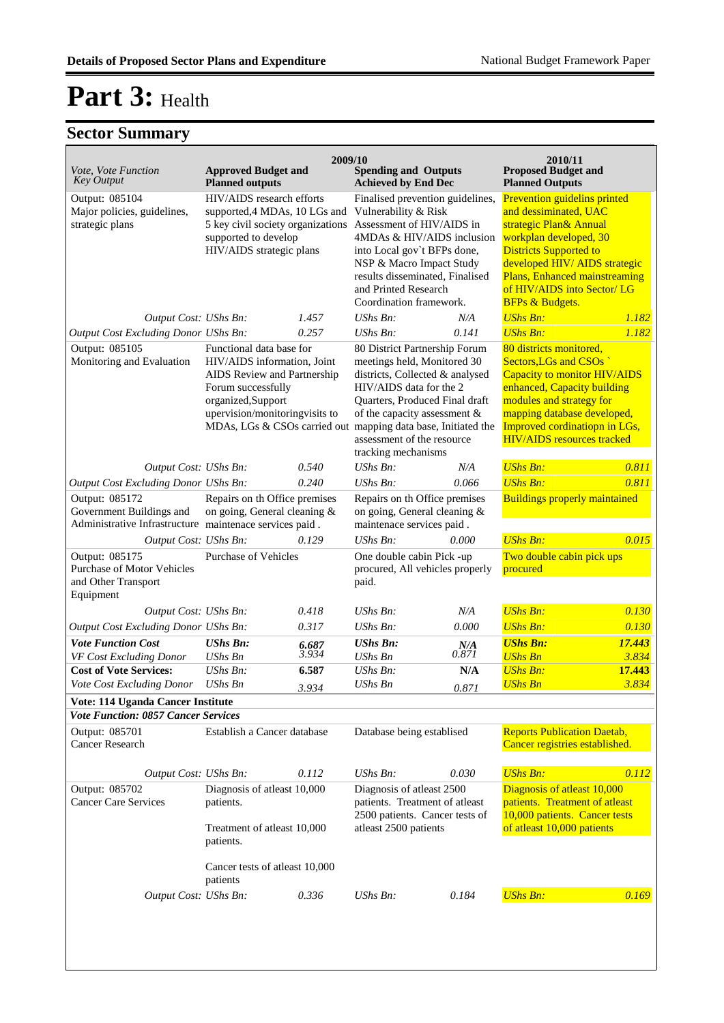|                                                                                     |                                                                    | 2009/10 |                                                                                            |       | 2010/11                                                            |        |
|-------------------------------------------------------------------------------------|--------------------------------------------------------------------|---------|--------------------------------------------------------------------------------------------|-------|--------------------------------------------------------------------|--------|
| Vote, Vote Function<br><b>Key Output</b>                                            | <b>Approved Budget and</b><br><b>Planned outputs</b>               |         | <b>Spending and Outputs</b><br><b>Achieved by End Dec</b>                                  |       | <b>Proposed Budget and</b><br><b>Planned Outputs</b>               |        |
| Output: 085104                                                                      | HIV/AIDS research efforts                                          |         | Finalised prevention guidelines,                                                           |       | Prevention guidelins printed                                       |        |
| Major policies, guidelines,<br>strategic plans                                      | supported, 4 MDAs, 10 LGs and<br>5 key civil society organizations |         | Vulnerability & Risk<br>Assessment of HIV/AIDS in                                          |       | and dessiminated, UAC<br>strategic Plan& Annual                    |        |
|                                                                                     | supported to develop                                               |         | 4MDAs & HIV/AIDS inclusion                                                                 |       | workplan developed, 30                                             |        |
|                                                                                     | HIV/AIDS strategic plans                                           |         | into Local gov't BFPs done,                                                                |       | <b>Districts Supported to</b>                                      |        |
|                                                                                     |                                                                    |         | NSP & Macro Impact Study                                                                   |       | developed HIV/ AIDS strategic                                      |        |
|                                                                                     |                                                                    |         | results disseminated, Finalised                                                            |       | Plans, Enhanced mainstreaming                                      |        |
|                                                                                     |                                                                    |         | and Printed Research                                                                       |       | of HIV/AIDS into Sector/ LG                                        |        |
|                                                                                     |                                                                    |         | Coordination framework.                                                                    |       | <b>BFPs &amp; Budgets.</b>                                         |        |
| Output Cost: UShs Bn:                                                               |                                                                    | 1.457   | UShs Bn:                                                                                   | N/A   | <b>UShs Bn:</b>                                                    | 1.182  |
| Output Cost Excluding Donor UShs Bn:                                                |                                                                    | 0.257   | <b>UShs Bn:</b>                                                                            | 0.141 | <b>UShs Bn:</b>                                                    | 1.182  |
| Output: 085105                                                                      | Functional data base for                                           |         | 80 District Partnership Forum                                                              |       | 80 districts monitored,                                            |        |
| Monitoring and Evaluation                                                           | HIV/AIDS information, Joint                                        |         | meetings held, Monitored 30                                                                |       | Sectors, LGs and CSOs                                              |        |
|                                                                                     | AIDS Review and Partnership<br>Forum successfully                  |         | districts, Collected & analysed<br>HIV/AIDS data for the 2                                 |       | <b>Capacity to monitor HIV/AIDS</b><br>enhanced, Capacity building |        |
|                                                                                     | organized, Support                                                 |         | Quarters, Produced Final draft                                                             |       | modules and strategy for                                           |        |
|                                                                                     | upervision/monitoringvisits to                                     |         | of the capacity assessment &                                                               |       | mapping database developed,                                        |        |
|                                                                                     | MDAs, LGs & CSOs carried out mapping data base, Initiated the      |         |                                                                                            |       | Improved cordinatiopn in LGs,                                      |        |
|                                                                                     |                                                                    |         | assessment of the resource                                                                 |       | <b>HIV/AIDS</b> resources tracked                                  |        |
|                                                                                     |                                                                    |         | tracking mechanisms                                                                        |       |                                                                    |        |
| Output Cost: UShs Bn:                                                               |                                                                    | 0.540   | UShs Bn:                                                                                   | N/A   | <b>UShs Bn:</b>                                                    | 0.811  |
| Output Cost Excluding Donor UShs Bn:                                                |                                                                    | 0.240   | UShs Bn:                                                                                   | 0.066 | <b>UShs Bn:</b>                                                    | 0.811  |
| Output: 085172                                                                      | Repairs on th Office premises                                      |         | Repairs on th Office premises<br>on going, General cleaning &<br>maintenace services paid. |       | <b>Buildings properly maintained</b>                               |        |
| Government Buildings and<br>Administrative Infrastructure maintenace services paid. | on going, General cleaning &                                       |         |                                                                                            |       |                                                                    |        |
|                                                                                     |                                                                    |         |                                                                                            |       |                                                                    |        |
| Output Cost: UShs Bn:                                                               |                                                                    | 0.129   | UShs Bn:                                                                                   | 0.000 | <b>UShs Bn:</b>                                                    | 0.015  |
| Output: 085175<br><b>Purchase of Motor Vehicles</b>                                 | Purchase of Vehicles                                               |         | One double cabin Pick -up<br>procured, All vehicles properly<br>paid.                      |       | Two double cabin pick ups<br>procured                              |        |
| and Other Transport                                                                 |                                                                    |         |                                                                                            |       |                                                                    |        |
| Equipment                                                                           |                                                                    |         |                                                                                            |       |                                                                    |        |
| Output Cost: UShs Bn:                                                               |                                                                    | 0.418   | UShs Bn:                                                                                   | N/A   | <b>UShs Bn:</b>                                                    | 0.130  |
| Output Cost Excluding Donor UShs Bn:                                                |                                                                    | 0.317   | <b>UShs Bn:</b>                                                                            | 0.000 | <b>UShs Bn:</b>                                                    | 0.130  |
| <b>Vote Function Cost</b>                                                           | <b>UShs Bn:</b>                                                    | 6.687   | <b>UShs Bn:</b>                                                                            | N/A   | <b>UShs Bn:</b>                                                    | 17.443 |
| VF Cost Excluding Donor                                                             | <b>UShs Bn</b>                                                     | 3.934   | <b>UShs Bn</b>                                                                             | 0.871 | <b>UShs Bn</b>                                                     | 3.834  |
| <b>Cost of Vote Services:</b>                                                       | UShs Bn:                                                           | 6.587   | <b>UShs Bn:</b>                                                                            | N/A   | <b>UShs Bn:</b>                                                    | 17.443 |
| Vote Cost Excluding Donor                                                           | <b>UShs Bn</b>                                                     | 3.934   | <b>UShs Bn</b>                                                                             | 0.871 | <b>UShs Bn</b>                                                     | 3.834  |
| Vote: 114 Uganda Cancer Institute                                                   |                                                                    |         |                                                                                            |       |                                                                    |        |
| <b>Vote Function: 0857 Cancer Services</b>                                          |                                                                    |         |                                                                                            |       |                                                                    |        |
| Output: 085701                                                                      | Establish a Cancer database                                        |         | Database being establised                                                                  |       | <b>Reports Publication Daetab,</b>                                 |        |
| Cancer Research                                                                     |                                                                    |         |                                                                                            |       | Cancer registries established.                                     |        |
|                                                                                     |                                                                    |         |                                                                                            |       |                                                                    |        |
| Output Cost: UShs Bn:                                                               |                                                                    | 0.112   | UShs Bn:                                                                                   | 0.030 | <b>UShs Bn:</b>                                                    | 0.112  |
| Output: 085702                                                                      | Diagnosis of atleast 10,000                                        |         | Diagnosis of atleast 2500                                                                  |       | Diagnosis of atleast 10,000                                        |        |
| <b>Cancer Care Services</b>                                                         | patients.                                                          |         | patients. Treatment of atleast<br>2500 patients. Cancer tests of                           |       | patients. Treatment of atleast<br>10,000 patients. Cancer tests    |        |
|                                                                                     | Treatment of atleast 10,000                                        |         | atleast 2500 patients                                                                      |       | of atleast 10,000 patients                                         |        |
|                                                                                     | patients.                                                          |         |                                                                                            |       |                                                                    |        |
|                                                                                     |                                                                    |         |                                                                                            |       |                                                                    |        |
|                                                                                     | Cancer tests of atleast 10,000                                     |         |                                                                                            |       |                                                                    |        |
|                                                                                     | patients                                                           |         |                                                                                            |       |                                                                    |        |
| Output Cost: UShs Bn:                                                               |                                                                    | 0.336   | UShs Bn:                                                                                   | 0.184 | <b>UShs Bn:</b>                                                    | 0.169  |
|                                                                                     |                                                                    |         |                                                                                            |       |                                                                    |        |
|                                                                                     |                                                                    |         |                                                                                            |       |                                                                    |        |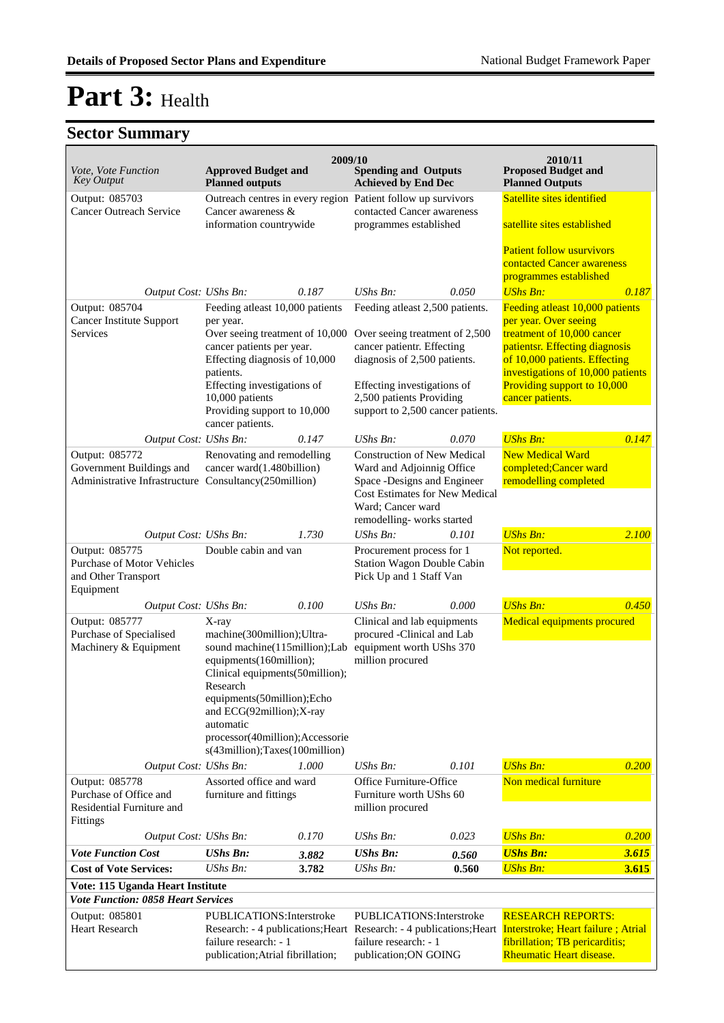|                                                                               |                                                              | 2009/10 |                                                                                                                      |       | 2010/11                                                                                                |       |
|-------------------------------------------------------------------------------|--------------------------------------------------------------|---------|----------------------------------------------------------------------------------------------------------------------|-------|--------------------------------------------------------------------------------------------------------|-------|
| Vote, Vote Function<br><b>Key Output</b>                                      | <b>Approved Budget and</b><br><b>Planned outputs</b>         |         | <b>Spending and Outputs</b><br><b>Achieved by End Dec</b>                                                            |       | <b>Proposed Budget and</b><br><b>Planned Outputs</b>                                                   |       |
| Output: 085703<br><b>Cancer Outreach Service</b>                              | Cancer awareness &                                           |         | Outreach centres in every region Patient follow up survivors<br>contacted Cancer awareness<br>programmes established |       | Satellite sites identified                                                                             |       |
|                                                                               | information countrywide                                      |         |                                                                                                                      |       | satellite sites established                                                                            |       |
|                                                                               |                                                              |         |                                                                                                                      |       | <b>Patient follow usurvivors</b><br>contacted Cancer awareness                                         |       |
|                                                                               |                                                              |         |                                                                                                                      |       | programmes established<br><b>UShs Bn:</b>                                                              |       |
| Output Cost: UShs Bn:<br>Output: 085704                                       | Feeding atleast 10,000 patients                              | 0.187   | UShs Bn:<br>Feeding atleast 2,500 patients.                                                                          | 0.050 | Feeding atleast 10,000 patients                                                                        | 0.187 |
| Cancer Institute Support                                                      | per year.                                                    |         |                                                                                                                      |       | per year. Over seeing                                                                                  |       |
| Services                                                                      | Over seeing treatment of 10,000<br>cancer patients per year. |         | Over seeing treatment of 2,500<br>cancer patientr. Effecting                                                         |       | treatment of 10,000 cancer<br>patientsr. Effecting diagnosis                                           |       |
|                                                                               | Effecting diagnosis of 10,000                                |         | diagnosis of 2,500 patients.                                                                                         |       | of 10,000 patients. Effecting                                                                          |       |
|                                                                               | patients.<br>Effecting investigations of                     |         | Effecting investigations of                                                                                          |       | investigations of 10,000 patients<br>Providing support to 10,000                                       |       |
|                                                                               | 10,000 patients                                              |         | 2,500 patients Providing                                                                                             |       | cancer patients.                                                                                       |       |
|                                                                               | Providing support to 10,000<br>cancer patients.              |         | support to 2,500 cancer patients.                                                                                    |       |                                                                                                        |       |
| Output Cost: UShs Bn:                                                         |                                                              | 0.147   | $UShs Bn$ :                                                                                                          | 0.070 | <b>UShs Bn:</b>                                                                                        | 0.147 |
| Output: 085772<br>Government Buildings and                                    | Renovating and remodelling<br>cancer ward(1.480billion)      |         | <b>Construction of New Medical</b><br>Ward and Adjoinnig Office                                                      |       | <b>New Medical Ward</b><br>completed;Cancer ward                                                       |       |
| Administrative Infrastructure Consultancy(250million)                         |                                                              |         | Space -Designs and Engineer                                                                                          |       | remodelling completed                                                                                  |       |
|                                                                               |                                                              |         | <b>Cost Estimates for New Medical</b><br>Ward; Cancer ward                                                           |       |                                                                                                        |       |
|                                                                               |                                                              |         | remodelling-works started                                                                                            |       |                                                                                                        |       |
| Output Cost: UShs Bn:                                                         |                                                              | 1.730   | UShs Bn:                                                                                                             | 0.101 | <b>UShs Bn:</b>                                                                                        | 2.100 |
| Output: 085775<br><b>Purchase of Motor Vehicles</b><br>and Other Transport    | Double cabin and van                                         |         | Procurement process for 1<br>Station Wagon Double Cabin<br>Pick Up and 1 Staff Van                                   |       | Not reported.                                                                                          |       |
| Equipment<br>Output Cost: UShs Bn:                                            |                                                              | 0.100   | UShs Bn:                                                                                                             | 0.000 | <b>UShs Bn:</b>                                                                                        | 0.450 |
| Output: 085777                                                                | X-ray                                                        |         | Clinical and lab equipments                                                                                          |       | <b>Medical equipments procured</b>                                                                     |       |
| Purchase of Specialised                                                       | machine(300million);Ultra-                                   |         | procured -Clinical and Lab                                                                                           |       |                                                                                                        |       |
| Machinery & Equipment                                                         | sound machine(115million);Lab<br>equipments(160million);     |         | equipment worth UShs 370<br>million procured                                                                         |       |                                                                                                        |       |
|                                                                               | Clinical equipments (50million);                             |         |                                                                                                                      |       |                                                                                                        |       |
|                                                                               | Research<br>equipments(50million);Echo                       |         |                                                                                                                      |       |                                                                                                        |       |
|                                                                               | and ECG(92million);X-ray<br>automatic                        |         |                                                                                                                      |       |                                                                                                        |       |
|                                                                               | processor(40million);Accessorie                              |         |                                                                                                                      |       |                                                                                                        |       |
|                                                                               | s(43million);Taxes(100million)                               |         |                                                                                                                      |       |                                                                                                        |       |
| Output Cost: UShs Bn:<br>Output: 085778                                       | Assorted office and ward                                     | 1.000   | UShs Bn:<br>Office Furniture-Office                                                                                  | 0.101 | <b>UShs Bn:</b><br>Non medical furniture                                                               | 0.200 |
| Purchase of Office and                                                        | furniture and fittings                                       |         | Furniture worth UShs 60                                                                                              |       |                                                                                                        |       |
| Residential Furniture and<br>Fittings                                         |                                                              |         | million procured                                                                                                     |       |                                                                                                        |       |
| Output Cost: UShs Bn:                                                         |                                                              | 0.170   | <b>UShs Bn:</b>                                                                                                      | 0.023 | <b>UShs Bn:</b>                                                                                        | 0.200 |
| <b>Vote Function Cost</b>                                                     | <b>UShs Bn:</b>                                              | 3.882   | <b>UShs Bn:</b>                                                                                                      | 0.560 | <b>UShs Bn:</b>                                                                                        | 3.615 |
| <b>Cost of Vote Services:</b>                                                 | UShs Bn:                                                     | 3.782   | UShs Bn:                                                                                                             | 0.560 | <b>UShs Bn:</b>                                                                                        | 3.615 |
| Vote: 115 Uganda Heart Institute<br><b>Vote Function: 0858 Heart Services</b> |                                                              |         |                                                                                                                      |       |                                                                                                        |       |
| Output: 085801                                                                | PUBLICATIONS: Interstroke                                    |         | PUBLICATIONS: Interstroke                                                                                            |       | <b>RESEARCH REPORTS:</b>                                                                               |       |
| <b>Heart Research</b>                                                         |                                                              |         |                                                                                                                      |       | Research: - 4 publications; Heart Research: - 4 publications; Heart Interstroke; Heart failure; Atrial |       |
|                                                                               | failure research: - 1<br>publication; Atrial fibrillation;   |         | failure research: - 1<br>publication; ON GOING                                                                       |       | fibrillation; TB pericarditis;<br>Rheumatic Heart disease.                                             |       |
|                                                                               |                                                              |         |                                                                                                                      |       |                                                                                                        |       |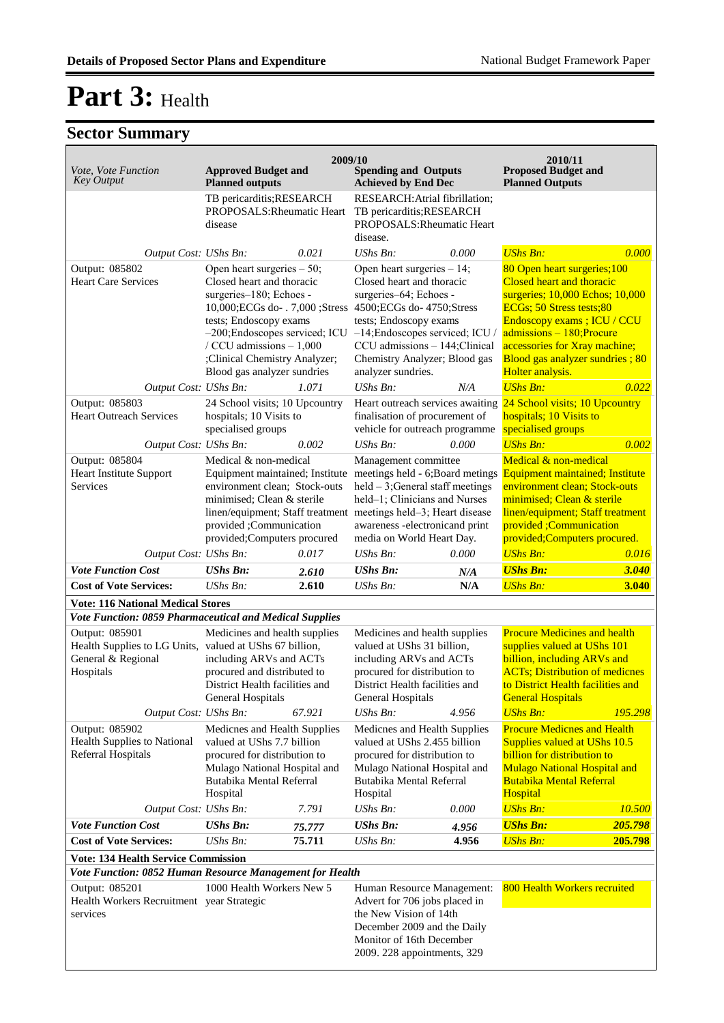| Vote, Vote Function<br><b>Key Output</b>                                                                     | <b>Approved Budget and</b>                                                                                                                                                                                                                                                             | 2009/10          | <b>Spending and Outputs</b>                                                                                                                                                                                                                                           |                | 2010/11<br><b>Proposed Budget and</b>                                                                                                                                                                                                                                         |                    |
|--------------------------------------------------------------------------------------------------------------|----------------------------------------------------------------------------------------------------------------------------------------------------------------------------------------------------------------------------------------------------------------------------------------|------------------|-----------------------------------------------------------------------------------------------------------------------------------------------------------------------------------------------------------------------------------------------------------------------|----------------|-------------------------------------------------------------------------------------------------------------------------------------------------------------------------------------------------------------------------------------------------------------------------------|--------------------|
|                                                                                                              | <b>Planned outputs</b><br>TB pericarditis; RESEARCH<br>PROPOSALS: Rheumatic Heart<br>disease                                                                                                                                                                                           |                  | <b>Achieved by End Dec</b><br>RESEARCH: Atrial fibrillation;<br>TB pericarditis; RESEARCH<br>PROPOSALS: Rheumatic Heart                                                                                                                                               |                | <b>Planned Outputs</b>                                                                                                                                                                                                                                                        |                    |
| Output Cost: UShs Bn:                                                                                        |                                                                                                                                                                                                                                                                                        | 0.021            | disease.<br>UShs Bn:                                                                                                                                                                                                                                                  | 0.000          | <b>UShs Bn:</b>                                                                                                                                                                                                                                                               | 0.000              |
| Output: 085802<br><b>Heart Care Services</b>                                                                 | Open heart surgeries $-50$ ;<br>Closed heart and thoracic<br>surgeries-180; Echoes -<br>10,000; ECGs do- . 7,000 ; Stress<br>tests; Endoscopy exams<br>-200; Endoscopes serviced; ICU<br>/ CCU admissions $-1,000$<br>;Clinical Chemistry Analyzer;<br>Blood gas analyzer sundries     |                  | Open heart surgeries - 14;<br>Closed heart and thoracic<br>surgeries-64; Echoes -<br>4500; ECGs do-4750; Stress<br>tests; Endoscopy exams<br>-14; Endoscopes serviced; ICU /<br>CCU admissions - 144; Clinical<br>Chemistry Analyzer; Blood gas<br>analyzer sundries. |                | 80 Open heart surgeries; 100<br>Closed heart and thoracic<br>surgeries; 10,000 Echos; 10,000<br>ECGs; 50 Stress tests;80<br>Endoscopy exams; ICU / CCU<br>$admissions - 180; Procure$<br>accessories for Xray machine;<br>Blood gas analyzer sundries; 80<br>Holter analysis. |                    |
| Output Cost: UShs Bn:<br>Output: 085803<br><b>Heart Outreach Services</b>                                    | 24 School visits; 10 Upcountry<br>hospitals; 10 Visits to<br>specialised groups                                                                                                                                                                                                        | 1.071            | UShs Bn:<br>finalisation of procurement of<br>vehicle for outreach programme                                                                                                                                                                                          | N/A            | <b>UShs Bn:</b><br>Heart outreach services awaiting 24 School visits; 10 Upcountry<br>hospitals; 10 Visits to<br>specialised groups                                                                                                                                           | 0.022              |
| Output: 085804<br><b>Heart Institute Support</b><br>Services                                                 | Output Cost: UShs Bn:<br>0.002<br>Medical & non-medical<br>Equipment maintained; Institute<br>environment clean; Stock-outs<br>minimised; Clean & sterile<br>linen/equipment; Staff treatment meetings held-3; Heart disease<br>provided ;Communication<br>provided;Computers procured |                  | UShs Bn:<br>0.000<br>Management committee<br>meetings held - 6; Board metings<br>$held - 3$ ; General staff meetings<br>held-1; Clinicians and Nurses<br>awareness -electronicand print<br>media on World Heart Day.                                                  |                | <b>UShs Bn:</b><br>Medical & non-medical<br><b>Equipment maintained; Institute</b><br>environment clean; Stock-outs<br>minimised; Clean & sterile<br>linen/equipment; Staff treatment<br>provided ;Communication<br>provided;Computers procured.                              | 0.002              |
| Output Cost: UShs Bn:                                                                                        |                                                                                                                                                                                                                                                                                        | 0.017            | UShs Bn:                                                                                                                                                                                                                                                              | 0.000          | <b>UShs Bn:</b>                                                                                                                                                                                                                                                               | 0.016              |
| <b>Vote Function Cost</b><br><b>Cost of Vote Services:</b>                                                   | <b>UShs Bn:</b><br>UShs Bn:                                                                                                                                                                                                                                                            | 2.610<br>2.610   | <b>UShs Bn:</b><br>UShs Bn:                                                                                                                                                                                                                                           | N/A<br>N/A     | <b>UShs Bn:</b><br><b>UShs Bn:</b>                                                                                                                                                                                                                                            | 3.040<br>3.040     |
| <b>Vote: 116 National Medical Stores</b>                                                                     |                                                                                                                                                                                                                                                                                        |                  |                                                                                                                                                                                                                                                                       |                |                                                                                                                                                                                                                                                                               |                    |
| Vote Function: 0859 Pharmaceutical and Medical Supplies                                                      |                                                                                                                                                                                                                                                                                        |                  |                                                                                                                                                                                                                                                                       |                |                                                                                                                                                                                                                                                                               |                    |
| Output: 085901<br>Health Supplies to LG Units, valued at UShs 67 billion,<br>General & Regional<br>Hospitals | Medicines and health supplies<br>including ARVs and ACTs<br>procured and distributed to<br>District Health facilities and<br>General Hospitals                                                                                                                                         |                  | Medicines and health supplies<br>valued at UShs 31 billion,<br>including ARVs and ACTs<br>procured for distribution to<br>District Health facilities and<br>General Hospitals<br>UShs Bn:                                                                             | 4.956          | <b>Procure Medicines and health</b><br>supplies valued at UShs 101<br>billion, including ARVs and<br><b>ACTs</b> ; Distribution of medicnes<br>to District Health facilities and<br><b>General Hospitals</b><br><b>UShs Bn:</b>                                               | 195.298            |
| Output: 085902<br><b>Health Supplies to National</b><br>Referral Hospitals                                   | Output Cost: UShs Bn:<br>67.921<br>Medicnes and Health Supplies<br>valued at UShs 7.7 billion<br>procured for distribution to<br>Mulago National Hospital and<br>Butabika Mental Referral<br>Hospital                                                                                  |                  | Medicnes and Health Supplies<br>valued at UShs 2.455 billion<br>procured for distribution to<br>Mulago National Hospital and<br>Butabika Mental Referral<br>Hospital                                                                                                  |                | <b>Procure Medicnes and Health</b><br>Supplies valued at UShs 10.5<br>billion for distribution to<br><b>Mulago National Hospital and</b><br><b>Butabika Mental Referral</b><br>Hospital                                                                                       |                    |
| Output Cost: UShs Bn:                                                                                        |                                                                                                                                                                                                                                                                                        | 7.791            | UShs Bn:                                                                                                                                                                                                                                                              | 0.000          | <b>UShs Bn:</b>                                                                                                                                                                                                                                                               | 10.500             |
| <b>Vote Function Cost</b><br><b>Cost of Vote Services:</b>                                                   | <b>UShs Bn:</b><br>UShs Bn:                                                                                                                                                                                                                                                            | 75.777<br>75.711 | <b>UShs Bn:</b><br><b>UShs Bn:</b>                                                                                                                                                                                                                                    | 4.956<br>4.956 | <b>UShs Bn:</b><br><b>UShs Bn:</b>                                                                                                                                                                                                                                            | 205.798<br>205.798 |
| <b>Vote: 134 Health Service Commission</b>                                                                   |                                                                                                                                                                                                                                                                                        |                  |                                                                                                                                                                                                                                                                       |                |                                                                                                                                                                                                                                                                               |                    |
| Vote Function: 0852 Human Resource Management for Health                                                     |                                                                                                                                                                                                                                                                                        |                  |                                                                                                                                                                                                                                                                       |                |                                                                                                                                                                                                                                                                               |                    |
| Output: 085201<br>Health Workers Recruitment year Strategic<br>services                                      | 1000 Health Workers New 5                                                                                                                                                                                                                                                              |                  | Human Resource Management:<br>Advert for 706 jobs placed in<br>the New Vision of 14th<br>December 2009 and the Daily<br>Monitor of 16th December<br>2009. 228 appointments, 329                                                                                       |                | 800 Health Workers recruited                                                                                                                                                                                                                                                  |                    |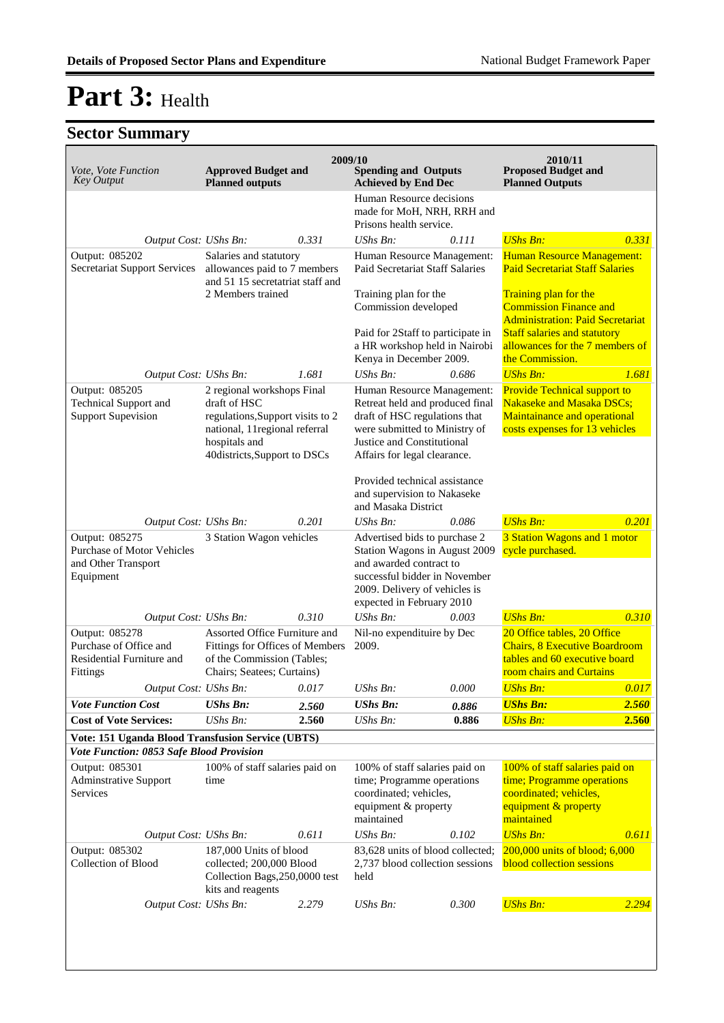| Vote, Vote Function<br><b>Key Output</b>                                          | <b>Approved Budget and</b><br><b>Planned outputs</b>                                                                                                              |       | 2009/10<br><b>Spending and Outputs</b><br><b>Achieved by End Dec</b><br>Human Resource decisions<br>made for MoH, NRH, RRH and<br>Prisons health service.                                     |           | 2010/11<br><b>Proposed Budget and</b><br><b>Planned Outputs</b>                                                                    |       |
|-----------------------------------------------------------------------------------|-------------------------------------------------------------------------------------------------------------------------------------------------------------------|-------|-----------------------------------------------------------------------------------------------------------------------------------------------------------------------------------------------|-----------|------------------------------------------------------------------------------------------------------------------------------------|-------|
| Output Cost: UShs Bn:                                                             |                                                                                                                                                                   | 0.331 | $UShs Bn$ :                                                                                                                                                                                   | 0.111     | <b>UShs Bn:</b>                                                                                                                    | 0.331 |
| Output: 085202<br><b>Secretariat Support Services</b>                             | Salaries and statutory<br>allowances paid to 7 members<br>and 51 15 secretatriat staff and<br>2 Members trained                                                   |       | Human Resource Management:<br><b>Paid Secretariat Staff Salaries</b>                                                                                                                          |           | Human Resource Management:<br><b>Paid Secretariat Staff Salaries</b>                                                               |       |
|                                                                                   |                                                                                                                                                                   |       | Training plan for the<br>Commission developed                                                                                                                                                 |           | Training plan for the<br><b>Commission Finance and</b><br><b>Administration: Paid Secretariat</b>                                  |       |
|                                                                                   |                                                                                                                                                                   |       | Paid for 2Staff to participate in<br>a HR workshop held in Nairobi<br>Kenya in December 2009.                                                                                                 |           | <b>Staff salaries and statutory</b><br>allowances for the 7 members of<br>the Commission.                                          |       |
| Output Cost: UShs Bn:                                                             |                                                                                                                                                                   | 1.681 | $UShs Bn$ :                                                                                                                                                                                   | 0.686     | <b>UShs Bn:</b>                                                                                                                    | 1.681 |
| Output: 085205<br><b>Technical Support and</b><br><b>Support Supevision</b>       | 2 regional workshops Final<br>draft of HSC<br>regulations, Support visits to 2<br>national, 11 regional referral<br>hospitals and<br>40districts, Support to DSCs |       | Human Resource Management:<br>Retreat held and produced final<br>draft of HSC regulations that<br>were submitted to Ministry of<br>Justice and Constitutional<br>Affairs for legal clearance. |           | <b>Provide Technical support to</b><br>Nakaseke and Masaka DSCs;<br>Maintainance and operational<br>costs expenses for 13 vehicles |       |
|                                                                                   |                                                                                                                                                                   |       | Provided technical assistance<br>and supervision to Nakaseke<br>and Masaka District                                                                                                           |           |                                                                                                                                    |       |
| Output Cost: UShs Bn:                                                             |                                                                                                                                                                   | 0.201 | $\mathit{UShs}\, \mathit{Bn}$ :                                                                                                                                                               | 0.086     | <b>UShs Bn:</b>                                                                                                                    | 0.201 |
| Output: 085275<br>Purchase of Motor Vehicles<br>and Other Transport<br>Equipment  | 3 Station Wagon vehicles                                                                                                                                          |       | Advertised bids to purchase 2<br>Station Wagons in August 2009<br>and awarded contract to<br>successful bidder in November<br>2009. Delivery of vehicles is<br>expected in February 2010      |           | 3 Station Wagons and 1 motor<br>cycle purchased.                                                                                   |       |
| Output Cost: UShs Bn:                                                             |                                                                                                                                                                   | 0.310 | $UShs Bn$ :                                                                                                                                                                                   | 0.003     | <b>UShs Bn:</b>                                                                                                                    | 0.310 |
| Output: 085278<br>Purchase of Office and<br>Residential Furniture and<br>Fittings | Assorted Office Furniture and<br>Fittings for Offices of Members<br>of the Commission (Tables;<br>Chairs; Seatees; Curtains)                                      |       | Nil-no expendituire by Dec<br>2009.                                                                                                                                                           |           | 20 Office tables, 20 Office<br><b>Chairs, 8 Executive Boardroom</b><br>tables and 60 executive board<br>room chairs and Curtains   |       |
|                                                                                   | Output Cost: UShs Bn: 0.017                                                                                                                                       |       | UShs Bn:                                                                                                                                                                                      | $0.000\,$ | <b>UShs Bn:</b>                                                                                                                    | 0.017 |
| <b>Vote Function Cost</b>                                                         | <b>UShs Bn:</b>                                                                                                                                                   | 2.560 | <b>UShs Bn:</b>                                                                                                                                                                               | 0.886     | <b>UShs Bn:</b>                                                                                                                    | 2.560 |
| <b>Cost of Vote Services:</b>                                                     | UShs Bn:                                                                                                                                                          | 2.560 | <b>UShs Bn:</b>                                                                                                                                                                               | 0.886     | <b>UShs Bn:</b>                                                                                                                    | 2.560 |
| Vote: 151 Uganda Blood Transfusion Service (UBTS)                                 |                                                                                                                                                                   |       |                                                                                                                                                                                               |           |                                                                                                                                    |       |
| Vote Function: 0853 Safe Blood Provision                                          |                                                                                                                                                                   |       |                                                                                                                                                                                               |           |                                                                                                                                    |       |
| Output: 085301<br><b>Adminstrative Support</b><br>Services                        | 100% of staff salaries paid on<br>time                                                                                                                            |       | 100% of staff salaries paid on<br>time; Programme operations<br>coordinated; vehicles,<br>equipment & property<br>maintained                                                                  |           | 100% of staff salaries paid on<br>time; Programme operations<br>coordinated; vehicles,<br>equipment & property<br>maintained       |       |
| Output Cost: UShs Bn:                                                             |                                                                                                                                                                   | 0.611 | UShs Bn:                                                                                                                                                                                      | 0.102     | <b>UShs Bn:</b>                                                                                                                    | 0.611 |
| Output: 085302<br><b>Collection of Blood</b>                                      | 187,000 Units of blood<br>collected; 200,000 Blood<br>Collection Bags, 250,0000 test<br>kits and reagents                                                         |       | 83,628 units of blood collected;<br>2,737 blood collection sessions<br>held                                                                                                                   |           | $200,000$ units of blood; $6,000$<br><b>blood collection sessions</b>                                                              |       |
| Output Cost: UShs Bn:                                                             |                                                                                                                                                                   | 2.279 | UShs Bn:                                                                                                                                                                                      | 0.300     | <b>UShs Bn:</b>                                                                                                                    | 2.294 |
|                                                                                   |                                                                                                                                                                   |       |                                                                                                                                                                                               |           |                                                                                                                                    |       |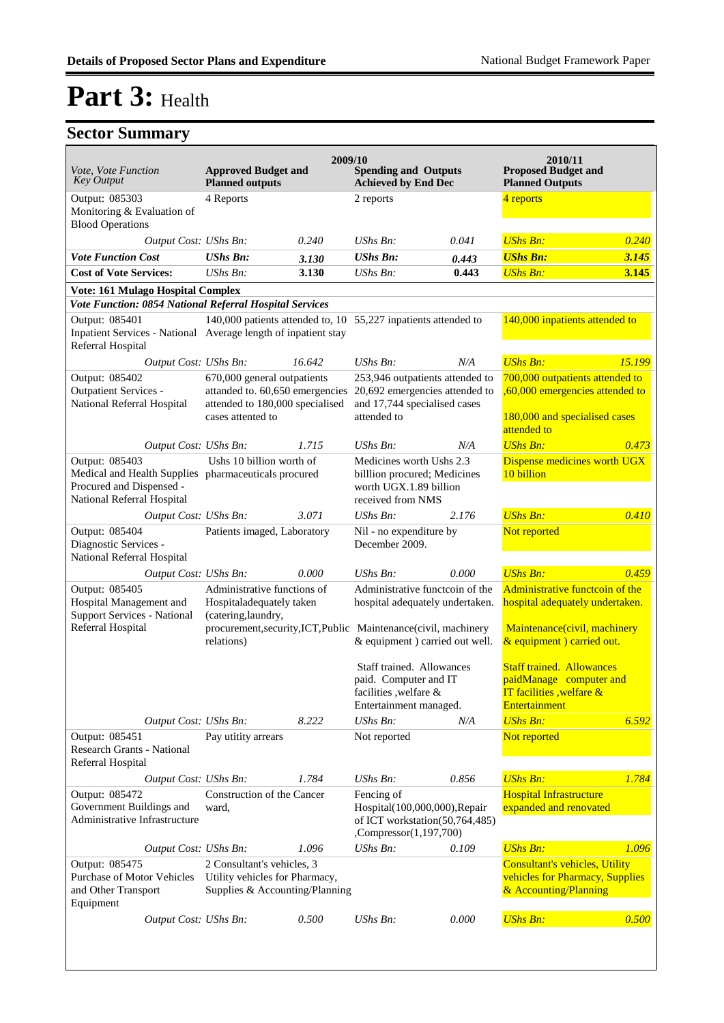| Vote, Vote Function<br><b>Key Output</b>                                                                                         | <b>Approved Budget and</b><br><b>Planned outputs</b>                                           | 2009/10 | <b>Spending and Outputs</b><br><b>Achieved by End Dec</b>                                                                                                                 |       | 2010/11<br><b>Proposed Budget and</b><br><b>Planned Outputs</b>                                                                  |        |
|----------------------------------------------------------------------------------------------------------------------------------|------------------------------------------------------------------------------------------------|---------|---------------------------------------------------------------------------------------------------------------------------------------------------------------------------|-------|----------------------------------------------------------------------------------------------------------------------------------|--------|
| Output: 085303<br>Monitoring & Evaluation of<br><b>Blood Operations</b>                                                          | 4 Reports                                                                                      |         | 2 reports                                                                                                                                                                 |       | 4 reports                                                                                                                        |        |
| Output Cost: UShs Bn:                                                                                                            |                                                                                                | 0.240   | $UShs Bn$ :                                                                                                                                                               | 0.041 | <b>UShs Bn:</b>                                                                                                                  | 0.240  |
| <b>Vote Function Cost</b>                                                                                                        | <b>UShs Bn:</b>                                                                                | 3.130   | <b>UShs Bn:</b>                                                                                                                                                           | 0.443 | <b>UShs Bn:</b>                                                                                                                  | 3.145  |
| <b>Cost of Vote Services:</b>                                                                                                    | UShs Bn:                                                                                       | 3.130   | <b>UShs Bn:</b>                                                                                                                                                           | 0.443 | <b>UShs Bn:</b>                                                                                                                  | 3.145  |
| Vote: 161 Mulago Hospital Complex                                                                                                |                                                                                                |         |                                                                                                                                                                           |       |                                                                                                                                  |        |
| Vote Function: 0854 National Referral Hospital Services                                                                          |                                                                                                |         |                                                                                                                                                                           |       |                                                                                                                                  |        |
| Output: 085401<br>Inpatient Services - National Average length of inpatient stay<br>Referral Hospital                            |                                                                                                |         | 140,000 patients attended to, 10 $55,227$ inpatients attended to                                                                                                          |       | 140,000 inpatients attended to                                                                                                   |        |
| Output Cost: UShs Bn:                                                                                                            |                                                                                                | 16.642  | UShs Bn:                                                                                                                                                                  | N/A   | <b>UShs Bn:</b>                                                                                                                  | 15.199 |
| Output: 085402<br>Outpatient Services -                                                                                          | 670,000 general outpatients<br>attanded to. 60,650 emergencies                                 |         | 253,946 outpatients attended to<br>20,692 emergencies attended to                                                                                                         |       | 700,000 outpatients attended to<br>,60,000 emergencies attended to                                                               |        |
| National Referral Hospital                                                                                                       | attended to 180,000 specialised<br>cases attented to                                           |         | and 17,744 specialised cases<br>attended to                                                                                                                               |       | 180,000 and specialised cases<br>attended to                                                                                     |        |
| Output Cost: UShs Bn:                                                                                                            |                                                                                                | 1.715   | $UShs Bn$ :                                                                                                                                                               | N/A   | <b>UShs Bn:</b>                                                                                                                  | 0.473  |
| Output: 085403<br>Medical and Health Supplies pharmaceuticals procured<br>Procured and Dispensed -<br>National Referral Hospital | Ushs 10 billion worth of                                                                       |         | Medicines worth Ushs 2.3<br>billlion procured; Medicines<br>worth UGX.1.89 billion<br>received from NMS                                                                   |       | Dispense medicines worth UGX<br>10 billion                                                                                       |        |
| Output Cost: UShs Bn:                                                                                                            |                                                                                                | 3.071   | $UShs Bn$ :                                                                                                                                                               | 2.176 | <b>UShs Bn:</b>                                                                                                                  | 0.410  |
| Output: 085404<br>Diagnostic Services -<br>National Referral Hospital                                                            | Patients imaged, Laboratory                                                                    |         | Nil - no expenditure by<br>December 2009.                                                                                                                                 |       | Not reported                                                                                                                     |        |
| Output Cost: UShs Bn:                                                                                                            |                                                                                                | 0.000   | UShs Bn:                                                                                                                                                                  | 0.000 | <b>UShs Bn:</b>                                                                                                                  | 0.459  |
| Output: 085405<br>Hospital Management and<br><b>Support Services - National</b><br>Referral Hospital                             | Administrative functions of<br>Hospitaladequately taken<br>(catering,laundry,<br>relations)    |         | Administrative functcoin of the<br>hospital adequately undertaken.<br>procurement, security, ICT, Public Maintenance (civil, machinery<br>& equipment ) carried out well. |       | Administrative functcoin of the<br>hospital adequately undertaken.<br>Maintenance(civil, machinery<br>& equipment ) carried out. |        |
|                                                                                                                                  |                                                                                                |         | Staff trained. Allowances<br>paid. Computer and IT<br>facilities , welfare &<br>Entertainment managed.                                                                    |       | <b>Staff trained. Allowances</b><br>paidManage computer and<br><b>IT facilities</b> , welfare $\&$<br>Entertainment              |        |
| Output Cost: UShs Bn:                                                                                                            |                                                                                                | 8.222   | <b>UShs Bn:</b>                                                                                                                                                           | N/A   | <b>UShs Bn:</b>                                                                                                                  | 6.592  |
| Output: 085451<br><b>Research Grants - National</b><br>Referral Hospital                                                         | Pay utitity arrears                                                                            |         | Not reported                                                                                                                                                              |       | Not reported                                                                                                                     |        |
| Output Cost: UShs Bn:                                                                                                            |                                                                                                | 1.784   | UShs Bn:                                                                                                                                                                  | 0.856 | <b>UShs Bn:</b>                                                                                                                  | 1.784  |
| Output: 085472<br>Government Buildings and<br>Administrative Infrastructure                                                      | Construction of the Cancer<br>ward,                                                            |         | Fencing of<br>Hospital(100,000,000), Repair<br>of ICT workstation(50,764,485)<br>,Compressor(1,197,700)                                                                   |       | <b>Hospital Infrastructure</b><br>expanded and renovated                                                                         |        |
| Output Cost: UShs Bn:                                                                                                            |                                                                                                | 1.096   | UShs Bn:                                                                                                                                                                  | 0.109 | <b>UShs Bn:</b>                                                                                                                  | 1.096  |
| Output: 085475<br><b>Purchase of Motor Vehicles</b><br>and Other Transport<br>Equipment                                          | 2 Consultant's vehicles, 3<br>Utility vehicles for Pharmacy,<br>Supplies & Accounting/Planning |         |                                                                                                                                                                           |       | <b>Consultant's vehicles, Utility</b><br>vehicles for Pharmacy, Supplies<br>& Accounting/Planning                                |        |
| Output Cost: UShs Bn:                                                                                                            |                                                                                                | 0.500   | $UShs Bn$ :                                                                                                                                                               | 0.000 | <b>UShs Bn:</b>                                                                                                                  | 0.500  |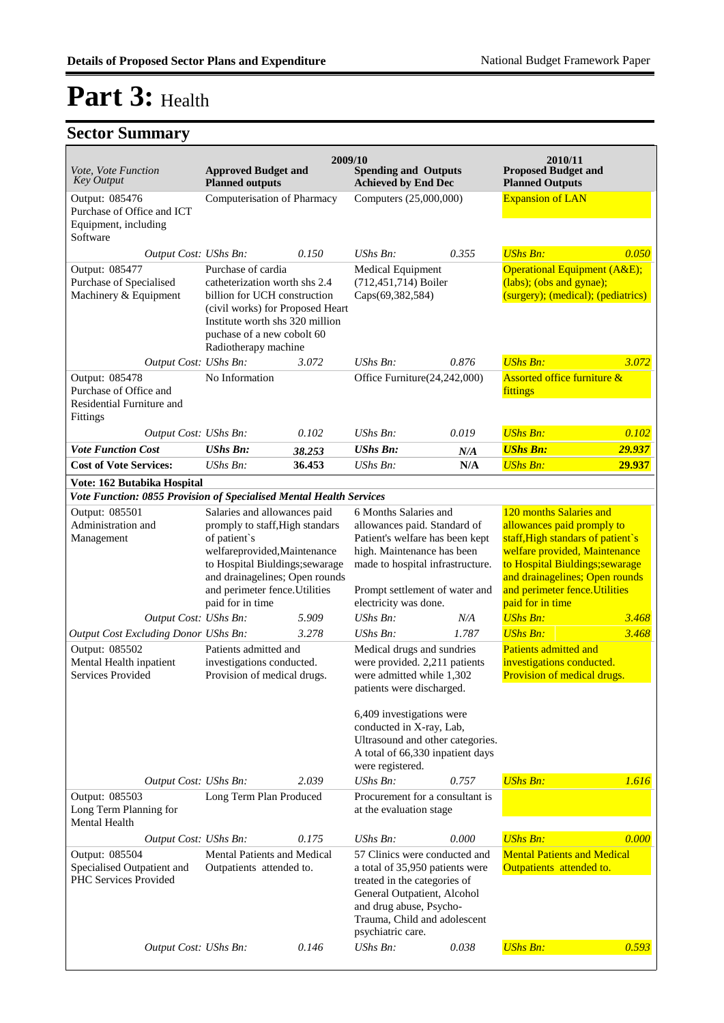|                                                                                             |                                                                                                                                                                                                                                            | 2009/10                     |                                                                                                                                                                                                                                                        |                        | 2010/11                                                                                                                                                                                                                                                |        |
|---------------------------------------------------------------------------------------------|--------------------------------------------------------------------------------------------------------------------------------------------------------------------------------------------------------------------------------------------|-----------------------------|--------------------------------------------------------------------------------------------------------------------------------------------------------------------------------------------------------------------------------------------------------|------------------------|--------------------------------------------------------------------------------------------------------------------------------------------------------------------------------------------------------------------------------------------------------|--------|
| Vote, Vote Function<br><b>Key Output</b>                                                    | <b>Approved Budget and</b><br><b>Planned outputs</b>                                                                                                                                                                                       |                             | <b>Spending and Outputs</b><br><b>Achieved by End Dec</b>                                                                                                                                                                                              |                        | <b>Proposed Budget and</b><br><b>Planned Outputs</b>                                                                                                                                                                                                   |        |
| Output: 085476<br>Purchase of Office and ICT<br>Equipment, including<br>Software            |                                                                                                                                                                                                                                            | Computerisation of Pharmacy |                                                                                                                                                                                                                                                        | Computers (25,000,000) |                                                                                                                                                                                                                                                        |        |
| Output Cost: UShs Bn:<br>Output: 085477<br>Purchase of Specialised<br>Machinery & Equipment | 0.150<br>Purchase of cardia<br>catheterization worth shs 2.4<br>billion for UCH construction<br>(civil works) for Proposed Heart<br>Institute worth shs 320 million<br>puchase of a new cobolt 60<br>Radiotherapy machine                  |                             | UShs Bn:<br><b>Medical Equipment</b><br>(712,451,714) Boiler<br>Caps(69,382,584)                                                                                                                                                                       | 0.355                  | <b>UShs Bn:</b><br>Operational Equipment (A&E);<br>(labs); (obs and gynae);<br>(surgery); (medical); (pediatrics)                                                                                                                                      | 0.050  |
| Output Cost: UShs Bn:                                                                       |                                                                                                                                                                                                                                            | 3.072                       | UShs Bn:                                                                                                                                                                                                                                               | 0.876                  | <b>UShs Bn:</b>                                                                                                                                                                                                                                        | 3.072  |
| Output: 085478<br>Purchase of Office and<br>Residential Furniture and<br>Fittings           | No Information                                                                                                                                                                                                                             |                             | Office Furniture(24,242,000)                                                                                                                                                                                                                           |                        | <b>Assorted office furniture &amp;</b><br>fittings                                                                                                                                                                                                     |        |
| Output Cost: UShs Bn:                                                                       |                                                                                                                                                                                                                                            | 0.102                       | $UShs Bn$ :                                                                                                                                                                                                                                            | 0.019                  | <b>UShs Bn:</b>                                                                                                                                                                                                                                        | 0.102  |
| <b>Vote Function Cost</b>                                                                   | <b>UShs Bn:</b>                                                                                                                                                                                                                            | 38.253                      | <b>UShs Bn:</b>                                                                                                                                                                                                                                        | N/A                    | <b>UShs Bn:</b>                                                                                                                                                                                                                                        | 29.937 |
| <b>Cost of Vote Services:</b>                                                               | $UShs Bn$ :                                                                                                                                                                                                                                | 36.453                      | <b>UShs Bn:</b>                                                                                                                                                                                                                                        | N/A                    | <b>UShs Bn:</b>                                                                                                                                                                                                                                        | 29.937 |
| Vote: 162 Butabika Hospital                                                                 |                                                                                                                                                                                                                                            |                             |                                                                                                                                                                                                                                                        |                        |                                                                                                                                                                                                                                                        |        |
| Vote Function: 0855 Provision of Specialised Mental Health Services                         |                                                                                                                                                                                                                                            |                             |                                                                                                                                                                                                                                                        |                        |                                                                                                                                                                                                                                                        |        |
| Output: 085501<br>Administration and<br>Management                                          | Salaries and allowances paid<br>promply to staff, High standars<br>of patient's<br>welfareprovided, Maintenance<br>to Hospital Biuldings; sewarage<br>and drainagelines; Open rounds<br>and perimeter fence. Utilities<br>paid for in time |                             | 6 Months Salaries and<br>allowances paid. Standard of<br>Patient's welfare has been kept<br>high. Maintenance has been<br>made to hospital infrastructure.<br>Prompt settlement of water and<br>electricity was done.                                  |                        | 120 months Salaries and<br>allowances paid promply to<br>staff, High standars of patient's<br>welfare provided, Maintenance<br>to Hospital Biuldings; sewarage<br>and drainagelines; Open rounds<br>and perimeter fence. Utilities<br>paid for in time |        |
| Output Cost: UShs Bn:                                                                       |                                                                                                                                                                                                                                            | 5.909                       | $UShs Bn$ :                                                                                                                                                                                                                                            | N/A                    | <b>UShs Bn:</b>                                                                                                                                                                                                                                        | 3.468  |
| Output Cost Excluding Donor UShs Bn:                                                        |                                                                                                                                                                                                                                            | 3.278                       | UShs Bn:                                                                                                                                                                                                                                               | 1.787                  | <b>UShs Bn:</b>                                                                                                                                                                                                                                        | 3.468  |
| Output: 085502<br>Mental Health inpatient<br>Services Provided                              | Patients admitted and<br>investigations conducted.<br>Provision of medical drugs.                                                                                                                                                          |                             | Medical drugs and sundries<br>were provided. 2,211 patients<br>were admitted while 1,302<br>patients were discharged.<br>6,409 investigations were<br>conducted in X-ray, Lab,<br>Ultrasound and other categories.<br>A total of 66,330 inpatient days |                        | Patients admitted and<br>investigations conducted.<br>Provision of medical drugs.                                                                                                                                                                      |        |
|                                                                                             |                                                                                                                                                                                                                                            |                             | were registered.                                                                                                                                                                                                                                       |                        |                                                                                                                                                                                                                                                        |        |
| Output Cost: UShs Bn:<br>Output: 085503<br>Long Term Planning for<br><b>Mental Health</b>   | Long Term Plan Produced                                                                                                                                                                                                                    | 2.039                       | UShs Bn:<br>Procurement for a consultant is<br>at the evaluation stage                                                                                                                                                                                 | 0.757                  | <b>UShs Bn:</b>                                                                                                                                                                                                                                        | 1.616  |
|                                                                                             |                                                                                                                                                                                                                                            |                             | UShs Bn:                                                                                                                                                                                                                                               | 0.000                  | <b>UShs Bn:</b>                                                                                                                                                                                                                                        | 0.000  |
| Output: 085504<br>Specialised Outpatient and<br>PHC Services Provided                       | 0.175<br>Output Cost: UShs Bn:<br>Mental Patients and Medical<br>Outpatients attended to.                                                                                                                                                  |                             | 57 Clinics were conducted and<br>a total of 35,950 patients were<br>treated in the categories of<br>General Outpatient, Alcohol<br>and drug abuse, Psycho-<br>Trauma, Child and adolescent<br>psychiatric care.                                        |                        | <b>Mental Patients and Medical</b><br>Outpatients attended to.                                                                                                                                                                                         |        |
| Output Cost: UShs Bn:                                                                       |                                                                                                                                                                                                                                            | 0.146                       | UShs Bn:                                                                                                                                                                                                                                               | 0.038                  | <b>UShs Bn:</b>                                                                                                                                                                                                                                        | 0.593  |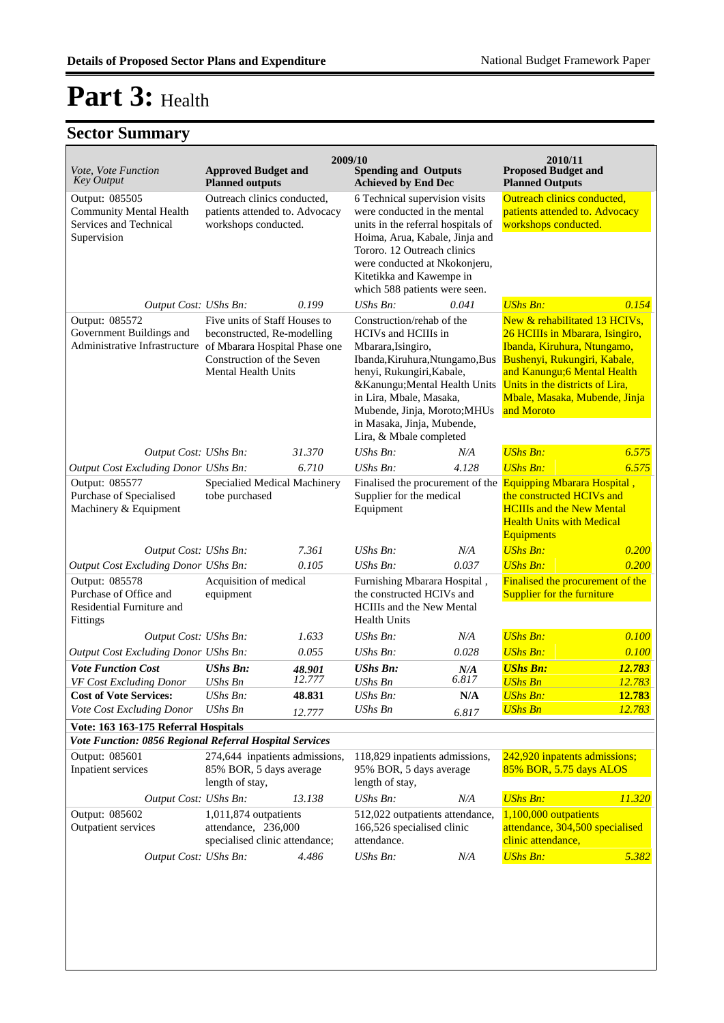| Vote, Vote Function<br><b>Key Output</b>                                                                   | <b>Approved Budget and</b><br><b>Planned outputs</b>                                                                                                                                   |                  | 2009/10                                                                                                                                                                                                                                                                                    | <b>Spending and Outputs</b><br><b>Proposed Budget and</b><br><b>Achieved by End Dec</b><br><b>Planned Outputs</b> |                                                                                                                                                                                                                                                   |                  |
|------------------------------------------------------------------------------------------------------------|----------------------------------------------------------------------------------------------------------------------------------------------------------------------------------------|------------------|--------------------------------------------------------------------------------------------------------------------------------------------------------------------------------------------------------------------------------------------------------------------------------------------|-------------------------------------------------------------------------------------------------------------------|---------------------------------------------------------------------------------------------------------------------------------------------------------------------------------------------------------------------------------------------------|------------------|
| Output: 085505<br><b>Community Mental Health</b><br>Services and Technical<br>Supervision                  | Outreach clinics conducted,<br>patients attended to. Advocacy<br>workshops conducted.                                                                                                  |                  | 6 Technical supervision visits<br>were conducted in the mental<br>units in the referral hospitals of<br>Hoima, Arua, Kabale, Jinja and<br>Tororo. 12 Outreach clinics<br>were conducted at Nkokonjeru,<br>Kitetikka and Kawempe in<br>which 588 patients were seen.                        |                                                                                                                   | Outreach clinics conducted,<br>patients attended to. Advocacy<br>workshops conducted.                                                                                                                                                             |                  |
| Output Cost: UShs Bn:                                                                                      |                                                                                                                                                                                        | 0.199            | <b>UShs Bn:</b>                                                                                                                                                                                                                                                                            | 0.041                                                                                                             | <b>UShs Bn:</b>                                                                                                                                                                                                                                   | 0.154            |
| Output: 085572<br>Government Buildings and                                                                 | Five units of Staff Houses to<br>beconstructed, Re-modelling<br>Administrative Infrastructure of Mbarara Hospital Phase one<br>Construction of the Seven<br><b>Mental Health Units</b> |                  | Construction/rehab of the<br>HCIVs and HCIIIs in<br>Mbarara, Isingiro,<br>Ibanda, Kiruhura, Ntungamo, Bus<br>henyi, Rukungiri, Kabale,<br>&Kanungu Mental Health Units<br>in Lira, Mbale, Masaka,<br>Mubende, Jinja, Moroto; MHUs<br>in Masaka, Jinja, Mubende,<br>Lira, & Mbale completed |                                                                                                                   | New & rehabilitated 13 HCIVs,<br>26 HCIIIs in Mbarara, Isingiro,<br>Ibanda, Kiruhura, Ntungamo,<br>Bushenyi, Rukungiri, Kabale,<br>and Kanungu; 6 Mental Health<br>Units in the districts of Lira,<br>Mbale, Masaka, Mubende, Jinja<br>and Moroto |                  |
| Output Cost: UShs Bn:                                                                                      |                                                                                                                                                                                        | 31.370           | UShs Bn:                                                                                                                                                                                                                                                                                   | N/A                                                                                                               | <b>UShs Bn:</b>                                                                                                                                                                                                                                   | 6.575            |
| Output Cost Excluding Donor UShs Bn:<br>Output: 085577<br>Purchase of Specialised<br>Machinery & Equipment | 6.710<br>Specialied Medical Machinery<br>tobe purchased                                                                                                                                |                  | $UShs Bn$ :<br>4.128<br>Finalised the procurement of the<br>Supplier for the medical<br>Equipment                                                                                                                                                                                          |                                                                                                                   | 6.575<br><b>UShs Bn:</b><br><b>Equipping Mbarara Hospital</b> ,<br>the constructed HCIVs and<br><b>HCIIIs and the New Mental</b><br><b>Health Units with Medical</b><br>Equipments                                                                |                  |
| Output Cost: UShs Bn:                                                                                      |                                                                                                                                                                                        | 7.361            | $UShs Bn$ :                                                                                                                                                                                                                                                                                | N/A                                                                                                               | <b>UShs Bn:</b>                                                                                                                                                                                                                                   | 0.200            |
| Output Cost Excluding Donor UShs Bn:                                                                       |                                                                                                                                                                                        | 0.105            | UShs Bn:                                                                                                                                                                                                                                                                                   | 0.037                                                                                                             | <b>UShs Bn:</b>                                                                                                                                                                                                                                   | 0.200            |
| Output: 085578<br>Purchase of Office and<br>Residential Furniture and<br>Fittings                          | Acquisition of medical<br>equipment                                                                                                                                                    |                  | Furnishing Mbarara Hospital,<br>the constructed HCIVs and<br><b>HCIIIs and the New Mental</b><br><b>Health Units</b>                                                                                                                                                                       |                                                                                                                   | Finalised the procurement of the<br><b>Supplier for the furniture</b>                                                                                                                                                                             |                  |
| Output Cost: UShs Bn:                                                                                      |                                                                                                                                                                                        | 1.633            | UShs Bn:                                                                                                                                                                                                                                                                                   | N/A                                                                                                               | <b>UShs Bn:</b>                                                                                                                                                                                                                                   | 0.100            |
| Output Cost Excluding Donor UShs Bn:                                                                       |                                                                                                                                                                                        | 0.055            | $UShs Bn$ :                                                                                                                                                                                                                                                                                | 0.028                                                                                                             | <b>UShs Bn:</b>                                                                                                                                                                                                                                   | 0.100            |
| <b>Vote Function Cost</b><br>VF Cost Excluding Donor                                                       | <b>UShs Bn:</b><br><b>UShs Bn</b>                                                                                                                                                      | 48.901<br>12.777 | <b>UShs Bn:</b><br><b>UShs Bn</b>                                                                                                                                                                                                                                                          | N/A<br>6.817                                                                                                      | <b>UShs Bn:</b><br><b>UShs Bn</b>                                                                                                                                                                                                                 | 12.783<br>12.783 |
| <b>Cost of Vote Services:</b>                                                                              | UShs Bn:                                                                                                                                                                               | 48.831           | UShs Bn:                                                                                                                                                                                                                                                                                   | N/A                                                                                                               | <b>UShs Bn:</b>                                                                                                                                                                                                                                   | 12.783           |
| Vote Cost Excluding Donor                                                                                  | <b>UShs Bn</b>                                                                                                                                                                         | 12.777           | <b>UShs Bn</b>                                                                                                                                                                                                                                                                             | 6.817                                                                                                             | <b>UShs Bn</b>                                                                                                                                                                                                                                    | 12.783           |
| Vote: 163 163-175 Referral Hospitals                                                                       |                                                                                                                                                                                        |                  |                                                                                                                                                                                                                                                                                            |                                                                                                                   |                                                                                                                                                                                                                                                   |                  |
| Vote Function: 0856 Regional Referral Hospital Services                                                    |                                                                                                                                                                                        |                  |                                                                                                                                                                                                                                                                                            |                                                                                                                   |                                                                                                                                                                                                                                                   |                  |
| Output: 085601<br>Inpatient services                                                                       | 274,644 inpatients admissions,<br>85% BOR, 5 days average<br>length of stay,                                                                                                           |                  | 118,829 inpatients admissions,<br>95% BOR, 5 days average<br>length of stay,                                                                                                                                                                                                               |                                                                                                                   | 242,920 inpatents admissions;<br>85% BOR, 5.75 days ALOS                                                                                                                                                                                          |                  |
| Output Cost: UShs Bn:                                                                                      |                                                                                                                                                                                        | 13.138           | UShs Bn:                                                                                                                                                                                                                                                                                   | N/A                                                                                                               | <b>UShs Bn:</b>                                                                                                                                                                                                                                   | 11.320           |
| Output: 085602<br>Outpatient services                                                                      | 1,011,874 outpatients<br>attendance, 236,000<br>specialised clinic attendance;                                                                                                         |                  | 512,022 outpatients attendance,<br>166,526 specialised clinic<br>attendance.                                                                                                                                                                                                               |                                                                                                                   | 1,100,000 outpatients<br>attendance, 304,500 specialised<br>clinic attendance,                                                                                                                                                                    |                  |
| Output Cost: UShs Bn:                                                                                      |                                                                                                                                                                                        | 4.486            | <b>UShs Bn:</b>                                                                                                                                                                                                                                                                            | N/A                                                                                                               | <b>UShs Bn:</b>                                                                                                                                                                                                                                   | 5.382            |
|                                                                                                            |                                                                                                                                                                                        |                  |                                                                                                                                                                                                                                                                                            |                                                                                                                   |                                                                                                                                                                                                                                                   |                  |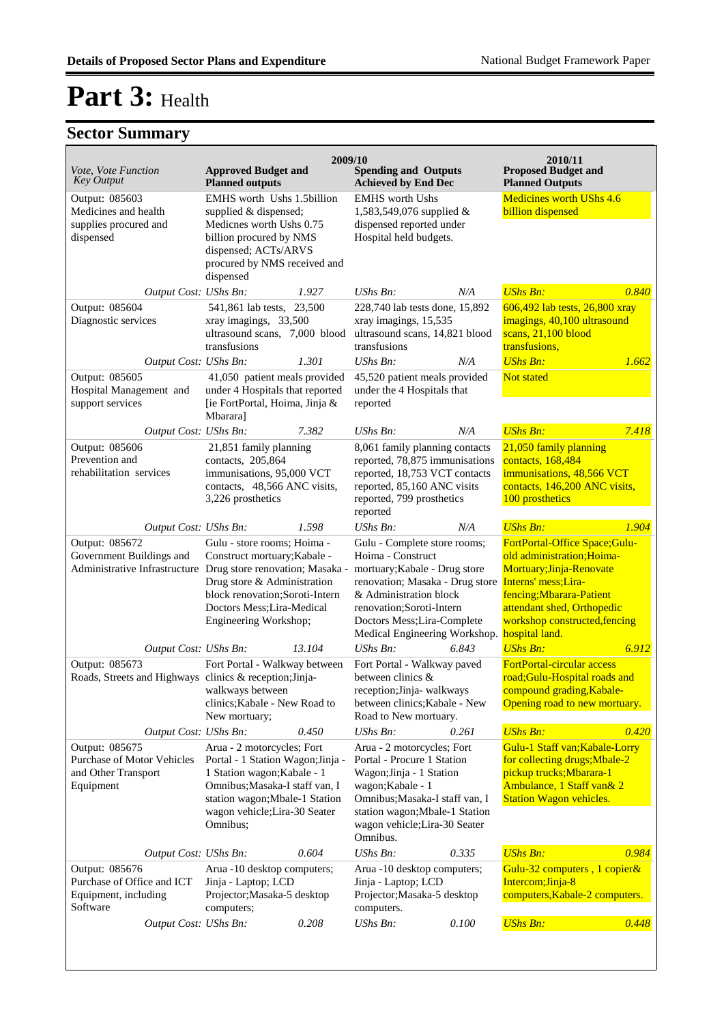| <i>Vote, Vote Function</i>                                                                                  | <b>Approved Budget and</b>                                                                                                                                                                                      | 2009/10 | <b>Spending and Outputs</b>                                                                                                                                                                                                                                      |       | 2010/11<br><b>Proposed Budget and</b>                                                                                                                                                                |       |
|-------------------------------------------------------------------------------------------------------------|-----------------------------------------------------------------------------------------------------------------------------------------------------------------------------------------------------------------|---------|------------------------------------------------------------------------------------------------------------------------------------------------------------------------------------------------------------------------------------------------------------------|-------|------------------------------------------------------------------------------------------------------------------------------------------------------------------------------------------------------|-------|
| <b>Key Output</b>                                                                                           | <b>Planned outputs</b>                                                                                                                                                                                          |         | <b>Achieved by End Dec</b>                                                                                                                                                                                                                                       |       | <b>Planned Outputs</b>                                                                                                                                                                               |       |
| Output: 085603<br>Medicines and health<br>supplies procured and<br>dispensed                                | EMHS worth Ushs 1.5billion<br>supplied & dispensed;<br>Medicnes worth Ushs 0.75<br>billion procured by NMS<br>dispensed; ACTs/ARVS<br>procured by NMS received and<br>dispensed                                 |         | <b>EMHS</b> worth Ushs<br>1,583,549,076 supplied $&$<br>dispensed reported under<br>Hospital held budgets.                                                                                                                                                       |       | Medicines worth UShs 4.6<br>billion dispensed                                                                                                                                                        |       |
| Output Cost: UShs Bn:                                                                                       |                                                                                                                                                                                                                 | 1.927   | UShs Bn:                                                                                                                                                                                                                                                         | N/A   | <b>UShs Bn:</b>                                                                                                                                                                                      | 0.840 |
| Output: 085604<br>Diagnostic services                                                                       | 541,861 lab tests, 23,500<br>xray imagings, 33,500<br>ultrasound scans, 7,000 blood<br>transfusions                                                                                                             |         | 228,740 lab tests done, 15,892<br>xray imagings, 15,535<br>ultrasound scans, 14,821 blood<br>transfusions                                                                                                                                                        |       | 606,492 lab tests, 26,800 xray<br>imagings, 40,100 ultrasound<br>scans, 21,100 blood<br>transfusions,                                                                                                |       |
| Output Cost: UShs Bn:                                                                                       |                                                                                                                                                                                                                 | 1.301   | UShs Bn:                                                                                                                                                                                                                                                         | N/A   | <b>UShs Bn:</b>                                                                                                                                                                                      | 1.662 |
| Output: 085605<br>Hospital Management and<br>support services                                               | 41,050 patient meals provided<br>under 4 Hospitals that reported<br>[ie FortPortal, Hoima, Jinja &<br>Mbarara]                                                                                                  |         | 45,520 patient meals provided<br>under the 4 Hospitals that<br>reported                                                                                                                                                                                          |       | <b>Not stated</b>                                                                                                                                                                                    |       |
| Output Cost: UShs Bn:                                                                                       |                                                                                                                                                                                                                 | 7.382   | <b>UShs Bn:</b>                                                                                                                                                                                                                                                  | N/A   | <b>UShs Bn:</b>                                                                                                                                                                                      | 7.418 |
| Output: 085606<br>Prevention and                                                                            | 21,851 family planning<br>contacts, 205,864                                                                                                                                                                     |         | 8,061 family planning contacts<br>reported, 78,875 immunisations                                                                                                                                                                                                 |       | 21,050 family planning<br>contacts, 168,484                                                                                                                                                          |       |
| rehabilitation services                                                                                     | immunisations, 95,000 VCT<br>contacts, 48,566 ANC visits,<br>3,226 prosthetics                                                                                                                                  |         | reported, 18,753 VCT contacts<br>reported, 85,160 ANC visits<br>reported, 799 prosthetics<br>reported                                                                                                                                                            |       | immunisations, 48,566 VCT<br>contacts, 146,200 ANC visits,<br>100 prosthetics                                                                                                                        |       |
| Output Cost: UShs Bn:                                                                                       |                                                                                                                                                                                                                 | 1.598   | UShs Bn:                                                                                                                                                                                                                                                         | N/A   | <b>UShs Bn:</b>                                                                                                                                                                                      | 1.904 |
| Output: 085672<br>Government Buildings and<br>Administrative Infrastructure Drug store renovation; Masaka - | Gulu - store rooms; Hoima -<br>Construct mortuary; Kabale -<br>Drug store & Administration<br>block renovation; Soroti-Intern<br>Doctors Mess; Lira-Medical<br>Engineering Workshop;                            |         | Gulu - Complete store rooms;<br>Hoima - Construct<br>mortuary; Kabale - Drug store<br>renovation; Masaka - Drug store Interns' mess; Lira-<br>& Administration block<br>renovation;Soroti-Intern<br>Doctors Mess; Lira-Complete<br>Medical Engineering Workshop. |       | FortPortal-Office Space;Gulu-<br>old administration; Hoima-<br>Mortuary; Jinja-Renovate<br>fencing; Mbarara-Patient<br>attendant shed, Orthopedic<br>workshop constructed, fencing<br>hospital land. |       |
| Output Cost: UShs Bn:                                                                                       |                                                                                                                                                                                                                 | 13.104  | UShs Bn:                                                                                                                                                                                                                                                         | 6.843 | <b>UShs Bn:</b>                                                                                                                                                                                      | 6.912 |
| Output: 085673<br>Roads, Streets and Highways clinics & reception; Jinja-<br>Output Cost: UShs Bn:          | Fort Portal - Walkway between<br>walkways between<br>clinics; Kabale - New Road to<br>New mortuary;                                                                                                             | 0.450   | Fort Portal - Walkway paved<br>between clinics $\&$<br>reception; Jinja- walkways<br>between clinics; Kabale - New<br>Road to New mortuary.<br>UShs Bn:                                                                                                          | 0.261 | <b>FortPortal-circular access</b><br>road;Gulu-Hospital roads and<br>compound grading, Kabale-<br>Opening road to new mortuary.<br><b>UShs Bn:</b>                                                   | 0.420 |
| Output: 085675<br>Purchase of Motor Vehicles<br>and Other Transport<br>Equipment                            | Arua - 2 motorcycles; Fort<br>Portal - 1 Station Wagon; Jinja -<br>1 Station wagon; Kabale - 1<br>Omnibus; Masaka-I staff van, I<br>station wagon; Mbale-1 Station<br>wagon vehicle; Lira-30 Seater<br>Omnibus; |         | Arua - 2 motorcycles; Fort<br>Portal - Procure 1 Station<br>Wagon; Jinja - 1 Station<br>wagon; Kabale - 1<br>Omnibus; Masaka-I staff van, I<br>station wagon; Mbale-1 Station<br>wagon vehicle; Lira-30 Seater<br>Omnibus.                                       |       | Gulu-1 Staff van; Kabale-Lorry<br>for collecting drugs; Mbale-2<br>pickup trucks; Mbarara-1<br>Ambulance, 1 Staff van& 2<br><b>Station Wagon vehicles.</b>                                           |       |
| Output Cost: UShs Bn:                                                                                       |                                                                                                                                                                                                                 | 0.604   | UShs Bn:                                                                                                                                                                                                                                                         | 0.335 | <b>UShs Bn:</b>                                                                                                                                                                                      | 0.984 |
| Output: 085676<br>Purchase of Office and ICT<br>Equipment, including<br>Software                            | Arua -10 desktop computers;<br>Jinja - Laptop; LCD<br>Projector; Masaka-5 desktop<br>computers;                                                                                                                 |         | Arua -10 desktop computers;<br>Jinja - Laptop; LCD<br>Projector; Masaka-5 desktop<br>computers.                                                                                                                                                                  |       | Gulu-32 computers, 1 copier&<br>Intercom; Jinja-8<br>computers, Kabale-2 computers.                                                                                                                  |       |
| Output Cost: UShs Bn:                                                                                       |                                                                                                                                                                                                                 | 0.208   | UShs Bn:                                                                                                                                                                                                                                                         | 0.100 | <b>UShs Bn:</b>                                                                                                                                                                                      | 0.448 |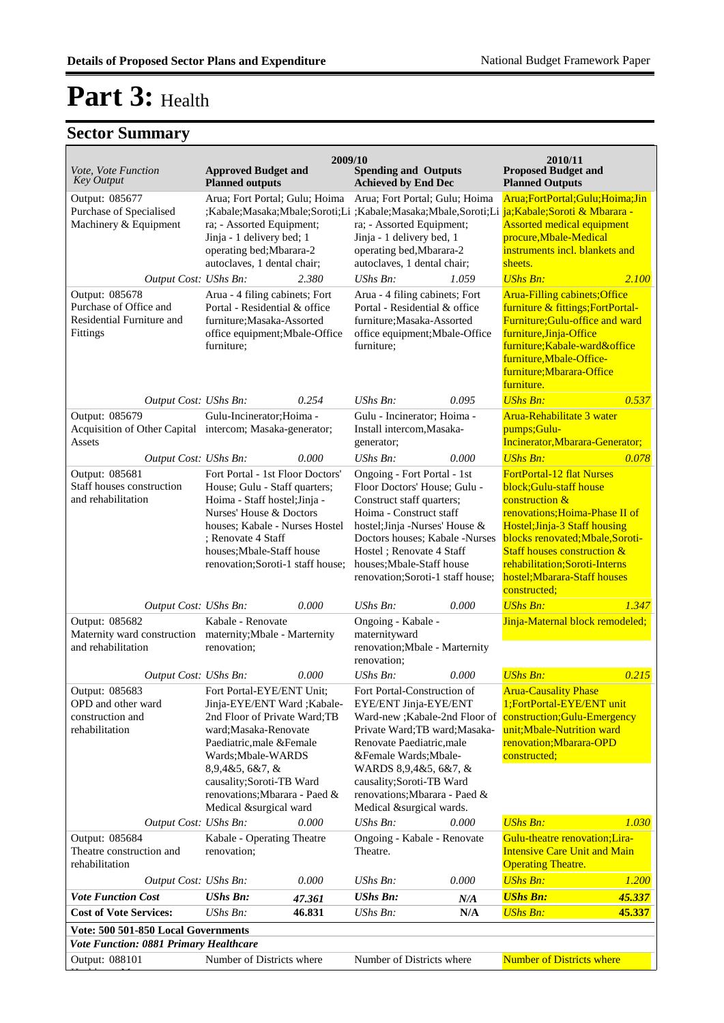| <i>Vote, Vote Function</i>                                                                        | <b>Approved Budget and</b>                                                                                                                                                                                                                             | 2009/10                                                                                                                                                                                                                                                       | <b>Spending and Outputs</b>                                                                                                                                                                                                                             |                                                                                                                                                                                                                                                                                                  | 2010/11<br><b>Proposed Budget and</b>                                                                                                                                                                                                                                                                          |                  |
|---------------------------------------------------------------------------------------------------|--------------------------------------------------------------------------------------------------------------------------------------------------------------------------------------------------------------------------------------------------------|---------------------------------------------------------------------------------------------------------------------------------------------------------------------------------------------------------------------------------------------------------------|---------------------------------------------------------------------------------------------------------------------------------------------------------------------------------------------------------------------------------------------------------|--------------------------------------------------------------------------------------------------------------------------------------------------------------------------------------------------------------------------------------------------------------------------------------------------|----------------------------------------------------------------------------------------------------------------------------------------------------------------------------------------------------------------------------------------------------------------------------------------------------------------|------------------|
| <b>Key Output</b>                                                                                 | <b>Planned outputs</b>                                                                                                                                                                                                                                 |                                                                                                                                                                                                                                                               | <b>Achieved by End Dec</b>                                                                                                                                                                                                                              |                                                                                                                                                                                                                                                                                                  | <b>Planned Outputs</b>                                                                                                                                                                                                                                                                                         |                  |
| Output: 085677<br>Purchase of Specialised<br>Machinery & Equipment                                | Arua; Fort Portal; Gulu; Hoima<br>ra; - Assorted Equipment;<br>Jinja - 1 delivery bed; 1<br>operating bed; Mbarara-2<br>autoclaves, 1 dental chair;                                                                                                    |                                                                                                                                                                                                                                                               | Arua; Fort Portal; Gulu; Hoima<br>;Kabale;Masaka;Mbale;Soroti;Li ;Kabale;Masaka;Mbale,Soroti;Li ja;Kabale;Soroti & Mbarara -<br>ra; - Assorted Equipment;<br>Jinja - 1 delivery bed, 1<br>operating bed, Mbarara-2<br>autoclaves, 1 dental chair;       |                                                                                                                                                                                                                                                                                                  | Arua;FortPortal;Gulu;Hoima;Jin<br><b>Assorted medical equipment</b><br>procure, Mbale-Medical<br>instruments incl. blankets and<br>sheets.                                                                                                                                                                     |                  |
| Output Cost: UShs Bn:                                                                             |                                                                                                                                                                                                                                                        | 2.380                                                                                                                                                                                                                                                         | UShs Bn:                                                                                                                                                                                                                                                | 1.059                                                                                                                                                                                                                                                                                            |                                                                                                                                                                                                                                                                                                                | 2.100            |
| Output: 085678<br>Purchase of Office and<br>Residential Furniture and<br>Fittings                 | Arua - 4 filing cabinets; Fort<br>Portal - Residential & office<br>furniture; Masaka-Assorted<br>office equipment; Mbale-Office<br>furniture;                                                                                                          |                                                                                                                                                                                                                                                               | Arua - 4 filing cabinets; Fort<br>Portal - Residential & office<br>furniture: Masaka-Assorted<br>office equipment; Mbale-Office<br>furniture;                                                                                                           |                                                                                                                                                                                                                                                                                                  | <b>Arua-Filling cabinets; Office</b><br>furniture & fittings; FortPortal-<br>Furniture: Gulu-office and ward<br>furniture, Jinja-Office<br>furniture; Kabale-ward&office<br>furniture, Mbale-Office-<br>furniture; Mbarara-Office<br>furniture.                                                                |                  |
| Output Cost: UShs Bn:                                                                             |                                                                                                                                                                                                                                                        | 0.254                                                                                                                                                                                                                                                         | $UShs Bn$ :                                                                                                                                                                                                                                             | 0.095                                                                                                                                                                                                                                                                                            | <b>UShs Bn:</b>                                                                                                                                                                                                                                                                                                | 0.537            |
| Output: 085679<br>Acquisition of Other Capital intercom; Masaka-generator;<br>Assets              | Gulu-Incinerator; Hoima -                                                                                                                                                                                                                              |                                                                                                                                                                                                                                                               | Gulu - Incinerator; Hoima -<br>Install intercom, Masaka-<br>generator;                                                                                                                                                                                  |                                                                                                                                                                                                                                                                                                  | Arua-Rehabilitate 3 water<br>pumps;Gulu-<br>Incinerator, Mbarara-Generator;                                                                                                                                                                                                                                    |                  |
| Output Cost: UShs Bn:                                                                             |                                                                                                                                                                                                                                                        | 0.000                                                                                                                                                                                                                                                         | UShs Bn:<br>Ongoing - Fort Portal - 1st                                                                                                                                                                                                                 | 0.000                                                                                                                                                                                                                                                                                            | <b>UShs Bn:</b>                                                                                                                                                                                                                                                                                                | 0.078            |
| Output: 085681<br>Staff houses construction<br>and rehabilitation                                 | Fort Portal - 1st Floor Doctors'<br>House; Gulu - Staff quarters;<br>Hoima - Staff hostel; Jinja -<br>Nurses' House & Doctors<br>houses; Kabale - Nurses Hostel<br>; Renovate 4 Staff<br>houses; Mbale-Staff house<br>renovation;Soroti-1 staff house; |                                                                                                                                                                                                                                                               | Floor Doctors' House; Gulu -<br>Construct staff quarters;<br>Hoima - Construct staff<br>hostel; Jinja - Nurses' House &<br>Doctors houses; Kabale -Nurses<br>Hostel ; Renovate 4 Staff<br>houses; Mbale-Staff house<br>renovation;Soroti-1 staff house; |                                                                                                                                                                                                                                                                                                  | <b>FortPortal-12 flat Nurses</b><br>block;Gulu-staff house<br>construction &<br>renovations; Hoima-Phase II of<br>Hostel; Jinja-3 Staff housing<br>blocks renovated; Mbale, Soroti-<br><b>Staff houses construction &amp;</b><br>rehabilitation;Soroti-Interns<br>hostel; Mbarara-Staff houses<br>constructed; |                  |
| Output Cost: UShs Bn:                                                                             |                                                                                                                                                                                                                                                        | 0.000                                                                                                                                                                                                                                                         | UShs Bn:                                                                                                                                                                                                                                                | 0.000                                                                                                                                                                                                                                                                                            | <b>UShs Bn:</b>                                                                                                                                                                                                                                                                                                | 1.347            |
| Output: 085682<br>Maternity ward construction maternity; Mbale - Marternity<br>and rehabilitation | Kabale - Renovate<br>renovation;                                                                                                                                                                                                                       |                                                                                                                                                                                                                                                               | Ongoing - Kabale -<br>maternityward<br>renovation; Mbale - Marternity<br>renovation;                                                                                                                                                                    |                                                                                                                                                                                                                                                                                                  | Jinja-Maternal block remodeled;                                                                                                                                                                                                                                                                                |                  |
| Output Cost: UShs Bn:                                                                             |                                                                                                                                                                                                                                                        | 0.000                                                                                                                                                                                                                                                         | $UShs Bn$ :                                                                                                                                                                                                                                             | 0.000                                                                                                                                                                                                                                                                                            | <b>UShs Bn:</b>                                                                                                                                                                                                                                                                                                | 0.215            |
| Output: 085683<br>OPD and other ward<br>construction and<br>rehabilitation                        | 8,9,4&5,6&7, &                                                                                                                                                                                                                                         | Fort Portal-EYE/ENT Unit;<br>Jinja-EYE/ENT Ward ; Kabale-<br>2nd Floor of Private Ward; TB<br>ward; Masaka-Renovate<br>Paediatric, male & Female<br>Wards; Mbale-WARDS<br>causality;Soroti-TB Ward<br>renovations; Mbarara - Paed &<br>Medical &surgical ward |                                                                                                                                                                                                                                                         | Fort Portal-Construction of<br>EYE/ENT Jinja-EYE/ENT<br>Ward-new ; Kabale-2nd Floor of<br>Private Ward; TB ward; Masaka-<br>Renovate Paediatric, male<br>&Female Wards; Mbale-<br>WARDS 8,9,4&5, 6&7, &<br>causality;Soroti-TB Ward<br>renovations; Mbarara - Paed &<br>Medical &surgical wards. | <b>Arua-Causality Phase</b><br>1;FortPortal-EYE/ENT unit<br>construction; Gulu-Emergency<br>unit; Mbale-Nutrition ward<br>renovation; Mbarara-OPD<br>constructed;                                                                                                                                              |                  |
| Output Cost: UShs Bn:                                                                             |                                                                                                                                                                                                                                                        | 0.000                                                                                                                                                                                                                                                         | UShs Bn:                                                                                                                                                                                                                                                | 0.000                                                                                                                                                                                                                                                                                            | <b>UShs Bn:</b><br>Gulu-theatre renovation:Lira-                                                                                                                                                                                                                                                               | 1.030            |
| Output: 085684<br>Theatre construction and<br>rehabilitation                                      | Kabale - Operating Theatre<br>renovation;                                                                                                                                                                                                              |                                                                                                                                                                                                                                                               | Ongoing - Kabale - Renovate<br>Theatre.                                                                                                                                                                                                                 |                                                                                                                                                                                                                                                                                                  | <b>Intensive Care Unit and Main</b><br><b>Operating Theatre.</b>                                                                                                                                                                                                                                               |                  |
| Output Cost: UShs Bn:                                                                             |                                                                                                                                                                                                                                                        | 0.000                                                                                                                                                                                                                                                         | UShs Bn:                                                                                                                                                                                                                                                | 0.000                                                                                                                                                                                                                                                                                            | <b>UShs Bn:</b>                                                                                                                                                                                                                                                                                                | 1.200            |
| <b>Vote Function Cost</b><br><b>Cost of Vote Services:</b>                                        | <b>UShs Bn:</b><br>UShs Bn:                                                                                                                                                                                                                            | 47.361<br>46.831                                                                                                                                                                                                                                              | <b>UShs Bn:</b><br>UShs Bn:                                                                                                                                                                                                                             | N/A<br>N/A                                                                                                                                                                                                                                                                                       | <b>UShs Bn:</b><br><b>UShs Bn:</b>                                                                                                                                                                                                                                                                             | 45.337<br>45.337 |
|                                                                                                   |                                                                                                                                                                                                                                                        |                                                                                                                                                                                                                                                               |                                                                                                                                                                                                                                                         |                                                                                                                                                                                                                                                                                                  |                                                                                                                                                                                                                                                                                                                |                  |
| Vote: 500 501-850 Local Governments<br>Vote Function: 0881 Primary Healthcare                     |                                                                                                                                                                                                                                                        |                                                                                                                                                                                                                                                               |                                                                                                                                                                                                                                                         |                                                                                                                                                                                                                                                                                                  |                                                                                                                                                                                                                                                                                                                |                  |
| Output: 088101                                                                                    | Number of Districts where                                                                                                                                                                                                                              |                                                                                                                                                                                                                                                               | Number of Districts where                                                                                                                                                                                                                               |                                                                                                                                                                                                                                                                                                  | <b>Number of Districts where</b>                                                                                                                                                                                                                                                                               |                  |
|                                                                                                   |                                                                                                                                                                                                                                                        |                                                                                                                                                                                                                                                               |                                                                                                                                                                                                                                                         |                                                                                                                                                                                                                                                                                                  |                                                                                                                                                                                                                                                                                                                |                  |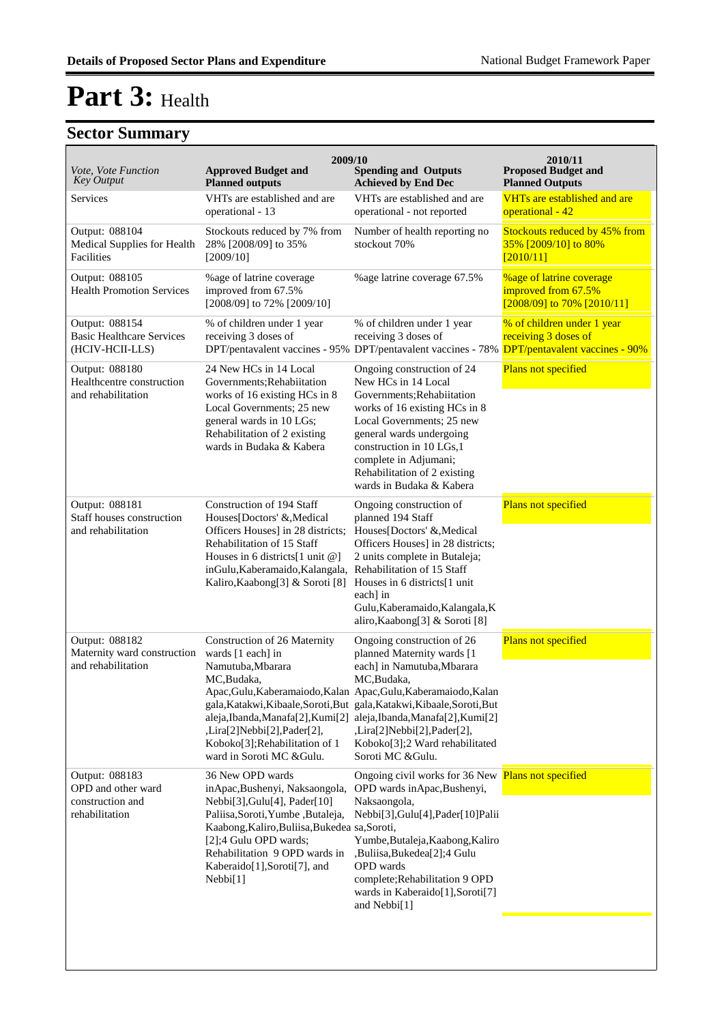| Vote, Vote Function<br><b>Key Output</b>                                   | 2009/10<br><b>Approved Budget and</b><br><b>Planned outputs</b>                                                                                                                                                                                                               | <b>Spending and Outputs</b><br><b>Achieved by End Dec</b>                                                                                                                                                                                                                                                                                                                                                      | 2010/11<br><b>Proposed Budget and</b><br><b>Planned Outputs</b>                      |
|----------------------------------------------------------------------------|-------------------------------------------------------------------------------------------------------------------------------------------------------------------------------------------------------------------------------------------------------------------------------|----------------------------------------------------------------------------------------------------------------------------------------------------------------------------------------------------------------------------------------------------------------------------------------------------------------------------------------------------------------------------------------------------------------|--------------------------------------------------------------------------------------|
| Services                                                                   | VHTs are established and are<br>operational - 13                                                                                                                                                                                                                              | VHTs are established and are<br>operational - not reported                                                                                                                                                                                                                                                                                                                                                     | VHTs are established and are<br>operational - 42                                     |
| Output: 088104<br>Medical Supplies for Health<br>Facilities                | Stockouts reduced by 7% from<br>28% [2008/09] to 35%<br>[2009/10]                                                                                                                                                                                                             | Number of health reporting no<br>stockout 70%                                                                                                                                                                                                                                                                                                                                                                  | Stockouts reduced by 45% from<br>35% [2009/10] to 80%<br>[2010/11]                   |
| Output: 088105<br><b>Health Promotion Services</b>                         | %age of latrine coverage<br>improved from 67.5%<br>[2008/09] to 72% [2009/10]                                                                                                                                                                                                 | %age latrine coverage 67.5%                                                                                                                                                                                                                                                                                                                                                                                    | <b>%age of latrine coverage</b><br>improved from 67.5%<br>[2008/09] to 70% [2010/11] |
| Output: 088154<br><b>Basic Healthcare Services</b><br>(HCIV-HCII-LLS)      | % of children under 1 year<br>receiving 3 doses of                                                                                                                                                                                                                            | % of children under 1 year<br>receiving 3 doses of<br>DPT/pentavalent vaccines - 95% DPT/pentavalent vaccines - 78% DPT/pentavalent vaccines - 90%                                                                                                                                                                                                                                                             | % of children under 1 year<br>receiving 3 doses of                                   |
| Output: 088180<br>Healthcentre construction<br>and rehabilitation          | 24 New HCs in 14 Local<br>Governments; Rehabiitation<br>works of 16 existing HCs in 8<br>Local Governments; 25 new<br>general wards in 10 LGs;<br>Rehabilitation of 2 existing<br>wards in Budaka & Kabera                                                                    | Ongoing construction of 24<br>New HCs in 14 Local<br>Governments; Rehabiitation<br>works of 16 existing HCs in 8<br>Local Governments: 25 new<br>general wards undergoing<br>construction in 10 LGs, 1<br>complete in Adjumani;<br>Rehabilitation of 2 existing<br>wards in Budaka & Kabera                                                                                                                    | Plans not specified                                                                  |
| Output: 088181<br>Staff houses construction<br>and rehabilitation          | Construction of 194 Staff<br>Houses[Doctors' &, Medical<br>Officers Houses] in 28 districts;<br>Rehabilitation of 15 Staff<br>Houses in 6 districts[1 unit @]<br>inGulu, Kaberamaido, Kalangala,<br>Kaliro, Kaabong[3] & Soroti [8]                                           | Ongoing construction of<br>planned 194 Staff<br>Houses[Doctors' & Medical<br>Officers Houses] in 28 districts;<br>2 units complete in Butaleja;<br>Rehabilitation of 15 Staff<br>Houses in 6 districts[1 unit]<br>each] in<br>Gulu, Kaberamaido, Kalangala, K<br>aliro, Kaabong[3] & Soroti [8]                                                                                                                | Plans not specified                                                                  |
| Output: 088182<br>Maternity ward construction<br>and rehabilitation        | Construction of 26 Maternity<br>wards [1 each] in<br>Namutuba, Mbarara<br>MC,Budaka,<br>,Lira[2]Nebbi[2],Pader[2],<br>Koboko[3];Rehabilitation of 1<br>ward in Soroti MC & Gulu.                                                                                              | Ongoing construction of 26<br>planned Maternity wards [1<br>each] in Namutuba, Mbarara<br>MC, Budaka,<br>Apac, Gulu, Kaberamaiodo, Kalan Apac, Gulu, Kaberamaiodo, Kalan<br>gala, Katakwi, Kibaale, Soroti, But gala, Katakwi, Kibaale, Soroti, But<br>aleja, Ibanda, Manafa[2], Kumi[2] aleja, Ibanda, Manafa[2], Kumi[2]<br>,Lira[2]Nebbi[2],Pader[2],<br>Koboko[3];2 Ward rehabilitated<br>Soroti MC &Gulu. | Plans not specified                                                                  |
| Output: 088183<br>OPD and other ward<br>construction and<br>rehabilitation | 36 New OPD wards<br>inApac, Bushenyi, Naksaongola,<br>Nebbi[3], Gulu[4], Pader[10]<br>Paliisa, Soroti, Yumbe, Butaleja,<br>Kaabong, Kaliro, Buliisa, Bukedea sa, Soroti,<br>[2];4 Gulu OPD wards;<br>Rehabilitation 9 OPD wards in<br>Kaberaido[1],Soroti[7], and<br>Nebbi[1] | Ongoing civil works for 36 New Plans not specified<br>OPD wards in Apac, Bushenyi,<br>Naksaongola,<br>Nebbi[3], Gulu[4], Pader[10] Palii<br>Yumbe, Butaleja, Kaabong, Kaliro<br>,Buliisa,Bukedea[2];4 Gulu<br>OPD wards<br>complete; Rehabilitation 9 OPD<br>wards in Kaberaido[1],Soroti[7]<br>and Nebbi[1]                                                                                                   |                                                                                      |